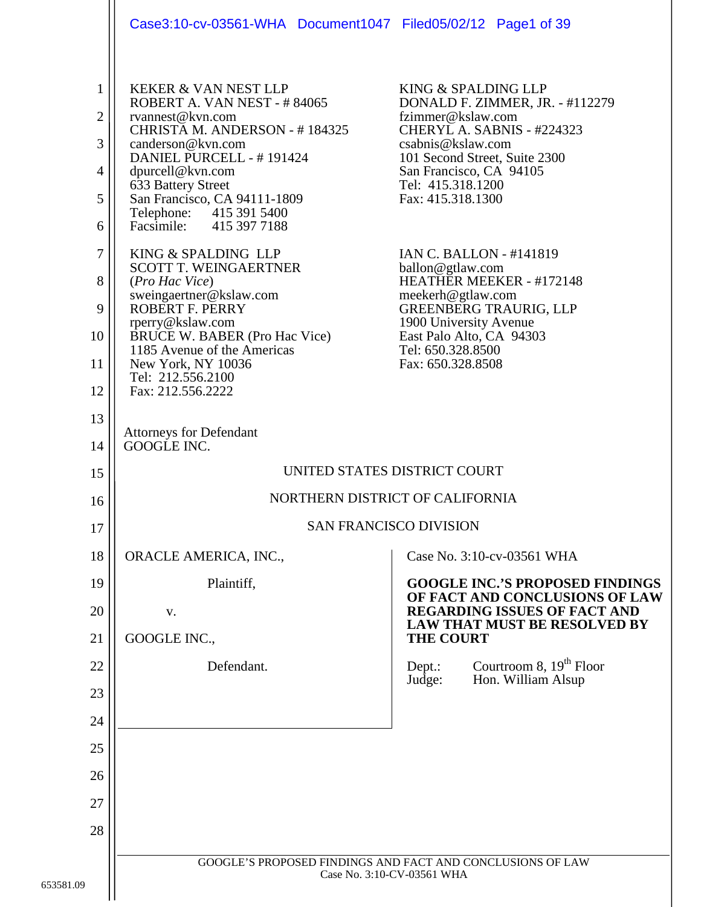|                                                            | Case3:10-cv-03561-WHA Document1047 Filed05/02/12 Page1 of 39                                                                                                                                                                                                                                                                                                                                                                                                                                                                                        |                                                                                                                                                                                                                                                                                                                                                                                                                                                                              |
|------------------------------------------------------------|-----------------------------------------------------------------------------------------------------------------------------------------------------------------------------------------------------------------------------------------------------------------------------------------------------------------------------------------------------------------------------------------------------------------------------------------------------------------------------------------------------------------------------------------------------|------------------------------------------------------------------------------------------------------------------------------------------------------------------------------------------------------------------------------------------------------------------------------------------------------------------------------------------------------------------------------------------------------------------------------------------------------------------------------|
| 1<br>2<br>3<br>4<br>5<br>6<br>$\tau$<br>8<br>9<br>10<br>11 | <b>KEKER &amp; VAN NEST LLP</b><br>ROBERT A. VAN NEST - #84065<br>rvannest@kvn.com<br>CHRISTA M. ANDERSON - #184325<br>canderson@kvn.com<br>DANIEL PURCELL - #191424<br>dpurcell@kvn.com<br>633 Battery Street<br>San Francisco, CA 94111-1809<br>Telephone: 415 391 5400<br>Facsimile: 415 397 7188<br>KING & SPALDING LLP<br><b>SCOTT T. WEINGAERTNER</b><br>(Pro Hac Vice)<br>sweingaertner@kslaw.com<br><b>ROBERT F. PERRY</b><br>rperry@kslaw.com<br><b>BRUCE W. BABER (Pro Hac Vice)</b><br>1185 Avenue of the Americas<br>New York, NY 10036 | KING & SPALDING LLP<br>DONALD F. ZIMMER, JR. - #112279<br>fzimmer@kslaw.com<br>CHERYL A. SABNIS - #224323<br>csabnis@kslaw.com<br>101 Second Street, Suite 2300<br>San Francisco, CA 94105<br>Tel: 415.318.1200<br>Fax: 415.318.1300<br><b>IAN C. BALLON - #141819</b><br>ballon@gtlaw.com<br>HEATHER MEEKER - #172148<br>meekerh@gtlaw.com<br><b>GREENBERG TRAURIG, LLP</b><br>1900 University Avenue<br>East Palo Alto, CA 94303<br>Tel: 650.328.8500<br>Fax: 650.328.8508 |
| 12<br>13                                                   | Tel: 212.556.2100<br>Fax: 212.556.2222                                                                                                                                                                                                                                                                                                                                                                                                                                                                                                              |                                                                                                                                                                                                                                                                                                                                                                                                                                                                              |
| 14                                                         | <b>Attorneys for Defendant</b><br>GOOGLE INC.                                                                                                                                                                                                                                                                                                                                                                                                                                                                                                       |                                                                                                                                                                                                                                                                                                                                                                                                                                                                              |
| 15                                                         | UNITED STATES DISTRICT COURT                                                                                                                                                                                                                                                                                                                                                                                                                                                                                                                        |                                                                                                                                                                                                                                                                                                                                                                                                                                                                              |
| 16                                                         | NORTHERN DISTRICT OF CALIFORNIA                                                                                                                                                                                                                                                                                                                                                                                                                                                                                                                     |                                                                                                                                                                                                                                                                                                                                                                                                                                                                              |
| 17                                                         | <b>SAN FRANCISCO DIVISION</b>                                                                                                                                                                                                                                                                                                                                                                                                                                                                                                                       |                                                                                                                                                                                                                                                                                                                                                                                                                                                                              |
| 18                                                         | ORACLE AMERICA, INC.,                                                                                                                                                                                                                                                                                                                                                                                                                                                                                                                               | Case No. 3:10-cv-03561 WHA                                                                                                                                                                                                                                                                                                                                                                                                                                                   |
| 19                                                         | Plaintiff,                                                                                                                                                                                                                                                                                                                                                                                                                                                                                                                                          | <b>GOOGLE INC.'S PROPOSED FINDINGS</b><br>OF FACT AND CONCLUSIONS OF LAW                                                                                                                                                                                                                                                                                                                                                                                                     |
| 20                                                         | V.                                                                                                                                                                                                                                                                                                                                                                                                                                                                                                                                                  | <b>REGARDING ISSUES OF FACT AND</b><br><b>LAW THAT MUST BE RESOLVED BY</b>                                                                                                                                                                                                                                                                                                                                                                                                   |
| 21                                                         | GOOGLE INC.,                                                                                                                                                                                                                                                                                                                                                                                                                                                                                                                                        | <b>THE COURT</b>                                                                                                                                                                                                                                                                                                                                                                                                                                                             |
| 22                                                         | Defendant.                                                                                                                                                                                                                                                                                                                                                                                                                                                                                                                                          | Courtroom 8, $19th$ Floor<br>Dept.:<br>Judge:<br>Hon. William Alsup                                                                                                                                                                                                                                                                                                                                                                                                          |
| 23                                                         |                                                                                                                                                                                                                                                                                                                                                                                                                                                                                                                                                     |                                                                                                                                                                                                                                                                                                                                                                                                                                                                              |
| 24                                                         |                                                                                                                                                                                                                                                                                                                                                                                                                                                                                                                                                     |                                                                                                                                                                                                                                                                                                                                                                                                                                                                              |
| 25                                                         |                                                                                                                                                                                                                                                                                                                                                                                                                                                                                                                                                     |                                                                                                                                                                                                                                                                                                                                                                                                                                                                              |
| 26                                                         |                                                                                                                                                                                                                                                                                                                                                                                                                                                                                                                                                     |                                                                                                                                                                                                                                                                                                                                                                                                                                                                              |
| 27                                                         |                                                                                                                                                                                                                                                                                                                                                                                                                                                                                                                                                     |                                                                                                                                                                                                                                                                                                                                                                                                                                                                              |
| 28                                                         |                                                                                                                                                                                                                                                                                                                                                                                                                                                                                                                                                     |                                                                                                                                                                                                                                                                                                                                                                                                                                                                              |
| 09                                                         | GOOGLE'S PROPOSED FINDINGS AND FACT AND CONCLUSIONS OF LAW<br>Case No. 3:10-CV-03561 WHA                                                                                                                                                                                                                                                                                                                                                                                                                                                            |                                                                                                                                                                                                                                                                                                                                                                                                                                                                              |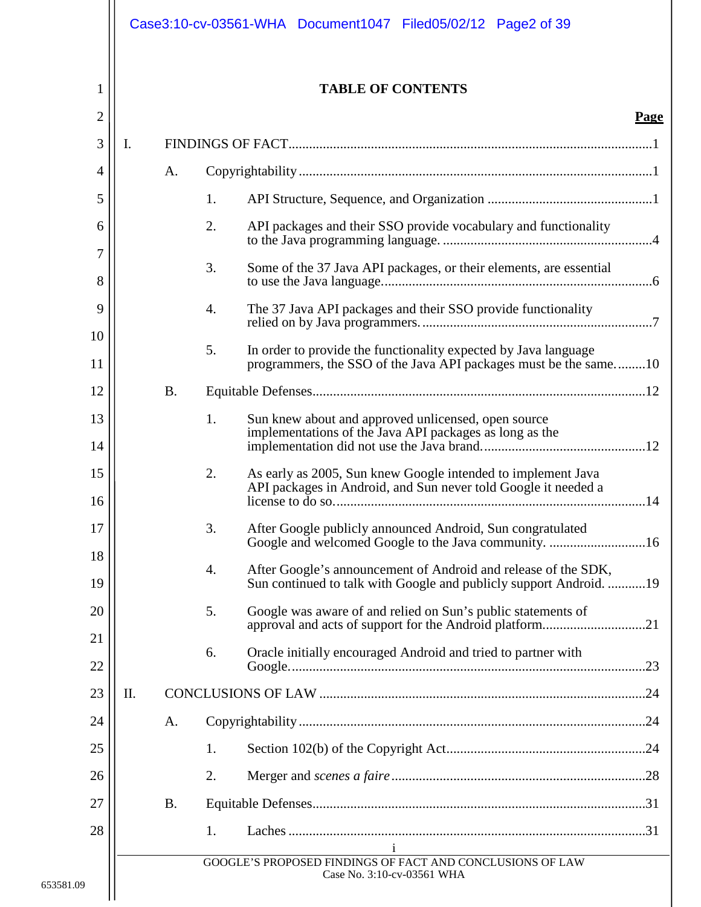|                |     |           | Case3:10-cv-03561-WHA Document1047 Filed05/02/12 Page2 of 39                                                                               |
|----------------|-----|-----------|--------------------------------------------------------------------------------------------------------------------------------------------|
| 1              |     |           | <b>TABLE OF CONTENTS</b>                                                                                                                   |
| $\overline{c}$ |     |           | Page                                                                                                                                       |
| 3              | Ι.  |           |                                                                                                                                            |
| 4              |     | A.        |                                                                                                                                            |
| 5              |     |           | 1.                                                                                                                                         |
| 6              |     |           | 2.<br>API packages and their SSO provide vocabulary and functionality                                                                      |
| 7<br>8         |     |           | 3.<br>Some of the 37 Java API packages, or their elements, are essential                                                                   |
| 9              |     |           | $\overline{4}$ .<br>The 37 Java API packages and their SSO provide functionality                                                           |
| 10             |     |           | 5.<br>In order to provide the functionality expected by Java language                                                                      |
| 11             |     |           | programmers, the SSO of the Java API packages must be the same10                                                                           |
| 12<br>13       |     | <b>B.</b> | 1.                                                                                                                                         |
| 14             |     |           | Sun knew about and approved unlicensed, open source<br>implementations of the Java API packages as long as the                             |
| 15<br>16       |     |           | 2.<br>As early as 2005, Sun knew Google intended to implement Java<br>API packages in Android, and Sun never told Google it needed a       |
| 17             |     |           | 3.<br>After Google publicly announced Android, Sun congratulated                                                                           |
| 18<br>19       |     |           | After Google's announcement of Android and release of the SDK,<br>4.<br>Sun continued to talk with Google and publicly support Android. 19 |
| 20             |     |           | 5.<br>Google was aware of and relied on Sun's public statements of                                                                         |
| 21<br>22       |     |           | Oracle initially encouraged Android and tried to partner with<br>6.                                                                        |
| 23             | II. |           |                                                                                                                                            |
| 24             |     | A.        |                                                                                                                                            |
| 25             |     |           | 1.                                                                                                                                         |
| 26             |     |           | 2.                                                                                                                                         |
| 27             |     | <b>B.</b> |                                                                                                                                            |
| 28             |     |           | 1.<br>$\mathbf{i}$                                                                                                                         |
| 9              |     |           | GOOGLE'S PROPOSED FINDINGS OF FACT AND CONCLUSIONS OF LAW<br>Case No. 3:10-cv-03561 WHA                                                    |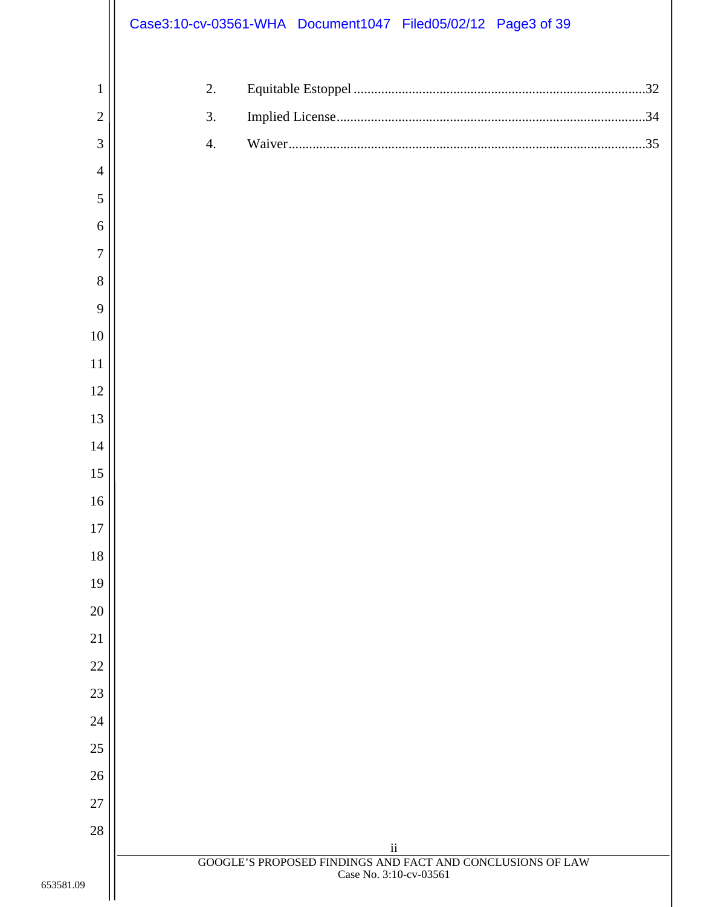|                | Case3:10-cv-03561-WHA Document1047 Filed05/02/12 Page3 of 39                         |
|----------------|--------------------------------------------------------------------------------------|
| $\mathbf{1}$   | 2.                                                                                   |
| $\overline{2}$ | 3.                                                                                   |
| 3              | $\overline{4}$ .                                                                     |
| $\overline{4}$ |                                                                                      |
| 5              |                                                                                      |
| $\sqrt{6}$     |                                                                                      |
| $\overline{7}$ |                                                                                      |
| 8              |                                                                                      |
| 9              |                                                                                      |
| $10\,$         |                                                                                      |
| $11\,$         |                                                                                      |
| $12\,$         |                                                                                      |
| 13             |                                                                                      |
| 14             |                                                                                      |
| 15             |                                                                                      |
| 16             |                                                                                      |
| 17             |                                                                                      |
| 18             |                                                                                      |
| 19             |                                                                                      |
| 20             |                                                                                      |
| 21             |                                                                                      |
| 22             |                                                                                      |
| 23             |                                                                                      |
| 24             |                                                                                      |
| $25\,$         |                                                                                      |
| $26\,$         |                                                                                      |
| 27             |                                                                                      |
| $28\,$         | $\rm ii$                                                                             |
| 653581.09      | GOOGLE'S PROPOSED FINDINGS AND FACT AND CONCLUSIONS OF LAW<br>Case No. 3:10-cv-03561 |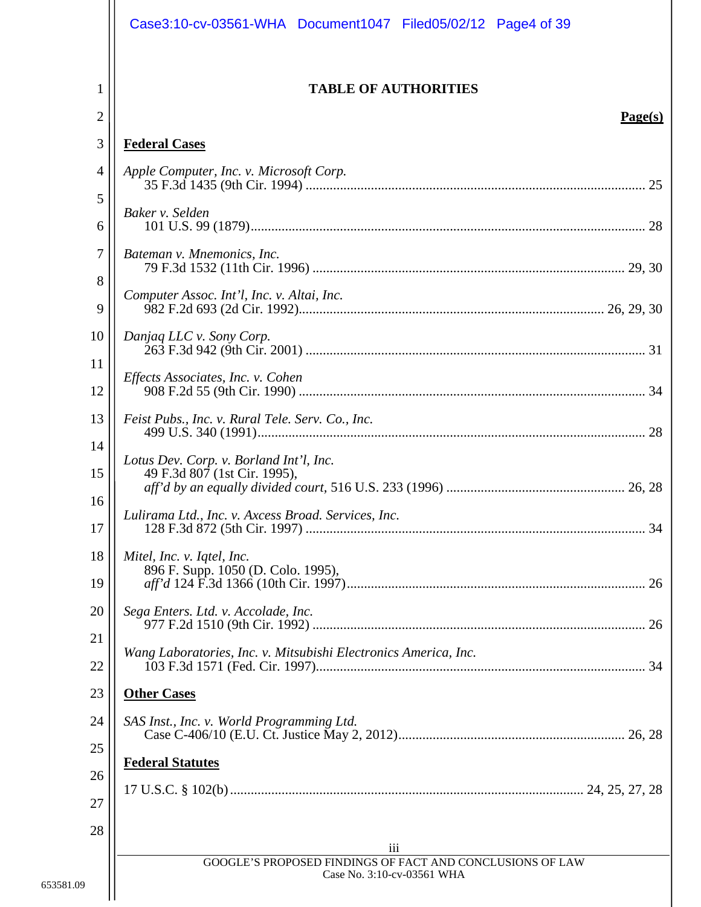|                     | Case3:10-cv-03561-WHA Document1047 Filed05/02/12 Page4 of 39                            |
|---------------------|-----------------------------------------------------------------------------------------|
| 1<br>$\overline{2}$ | <b>TABLE OF AUTHORITIES</b><br>Page(s)                                                  |
| 3                   | <b>Federal Cases</b>                                                                    |
| $\overline{4}$      | Apple Computer, Inc. v. Microsoft Corp.                                                 |
| 5                   |                                                                                         |
| 6                   | Baker v. Selden                                                                         |
| $\overline{7}$      | Bateman v. Mnemonics, Inc.                                                              |
| 8<br>9              | Computer Assoc. Int'l, Inc. v. Altai, Inc.                                              |
| 10                  | Danjaq LLC v. Sony Corp.                                                                |
| 11<br>12            | Effects Associates, Inc. v. Cohen                                                       |
| 13<br>14            | Feist Pubs., Inc. v. Rural Tele. Serv. Co., Inc.                                        |
| 15                  | Lotus Dev. Corp. v. Borland Int'l, Inc.<br>49 F.3d 807 (1st Cir. 1995),                 |
| 16<br>17            | Lulirama Ltd., Inc. v. Axcess Broad. Services, Inc.                                     |
| 18<br>19            | Mitel, Inc. v. Iqtel, Inc.<br>896 F. Supp. 1050 (D. Colo. 1995),                        |
| 20                  | Sega Enters. Ltd. v. Accolade, Inc.                                                     |
| 21<br>22            | Wang Laboratories, Inc. v. Mitsubishi Electronics America, Inc.                         |
| 23                  | <b>Other Cases</b>                                                                      |
| 24                  | SAS Inst., Inc. v. World Programming Ltd.                                               |
| 25                  | <b>Federal Statutes</b>                                                                 |
| 26                  |                                                                                         |
| 27                  |                                                                                         |
| 28                  | iii                                                                                     |
|                     | GOOGLE'S PROPOSED FINDINGS OF FACT AND CONCLUSIONS OF LAW<br>Case No. 3:10-cv-03561 WHA |
|                     |                                                                                         |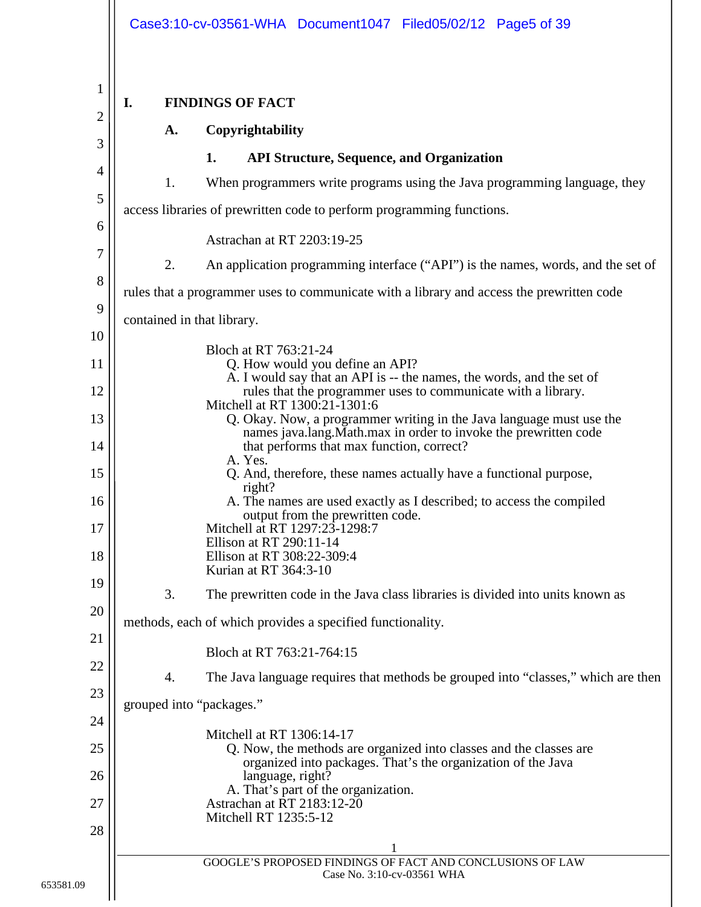<span id="page-4-2"></span><span id="page-4-1"></span><span id="page-4-0"></span>

|    |    | Case3:10-cv-03561-WHA Document1047 Filed05/02/12 Page5 of 39                                                                                                              |
|----|----|---------------------------------------------------------------------------------------------------------------------------------------------------------------------------|
|    |    |                                                                                                                                                                           |
| I. |    | <b>FINDINGS OF FACT</b>                                                                                                                                                   |
|    | A. | Copyrightability                                                                                                                                                          |
|    |    | 1.<br><b>API Structure, Sequence, and Organization</b>                                                                                                                    |
|    | 1. | When programmers write programs using the Java programming language, they                                                                                                 |
|    |    | access libraries of prewritten code to perform programming functions.                                                                                                     |
|    |    | Astrachan at RT 2203:19-25                                                                                                                                                |
|    | 2. | An application programming interface ("API") is the names, words, and the set of                                                                                          |
|    |    | rules that a programmer uses to communicate with a library and access the prewritten code                                                                                 |
|    |    | contained in that library.                                                                                                                                                |
|    |    | Bloch at RT 763:21-24                                                                                                                                                     |
|    |    | Q. How would you define an API?<br>A. I would say that an API is -- the names, the words, and the set of<br>rules that the programmer uses to communicate with a library. |
|    |    | Mitchell at RT 1300:21-1301:6<br>Q. Okay. Now, a programmer writing in the Java language must use the                                                                     |
|    |    | names java.lang.Math.max in order to invoke the prewritten code<br>that performs that max function, correct?<br>A. Yes.                                                   |
|    |    | Q. And, therefore, these names actually have a functional purpose,                                                                                                        |
|    |    | right?<br>A. The names are used exactly as I described; to access the compiled<br>output from the prewritten code.<br>Mitchell at RT 1297:23-1298:7                       |
|    |    | Ellison at RT 290:11-14<br>Ellison at RT 308:22-309:4<br>Kurian at RT 364:3-10                                                                                            |
|    | 3. | The prewritten code in the Java class libraries is divided into units known as                                                                                            |
|    |    | methods, each of which provides a specified functionality.                                                                                                                |
|    |    | Bloch at RT 763:21-764:15                                                                                                                                                 |
|    | 4. | The Java language requires that methods be grouped into "classes," which are then                                                                                         |
|    |    | grouped into "packages."                                                                                                                                                  |
|    |    | Mitchell at RT 1306:14-17                                                                                                                                                 |
|    |    | Q. Now, the methods are organized into classes and the classes are<br>organized into packages. That's the organization of the Java                                        |
|    |    | language, right?<br>A. That's part of the organization.                                                                                                                   |
|    |    | Astrachan at RT 2183:12-20<br>Mitchell RT 1235:5-12                                                                                                                       |
|    |    |                                                                                                                                                                           |
|    |    | GOOGLE'S PROPOSED FINDINGS OF FACT AND CONCLUSIONS OF LAW<br>Case No. 3:10-cv-03561 WHA                                                                                   |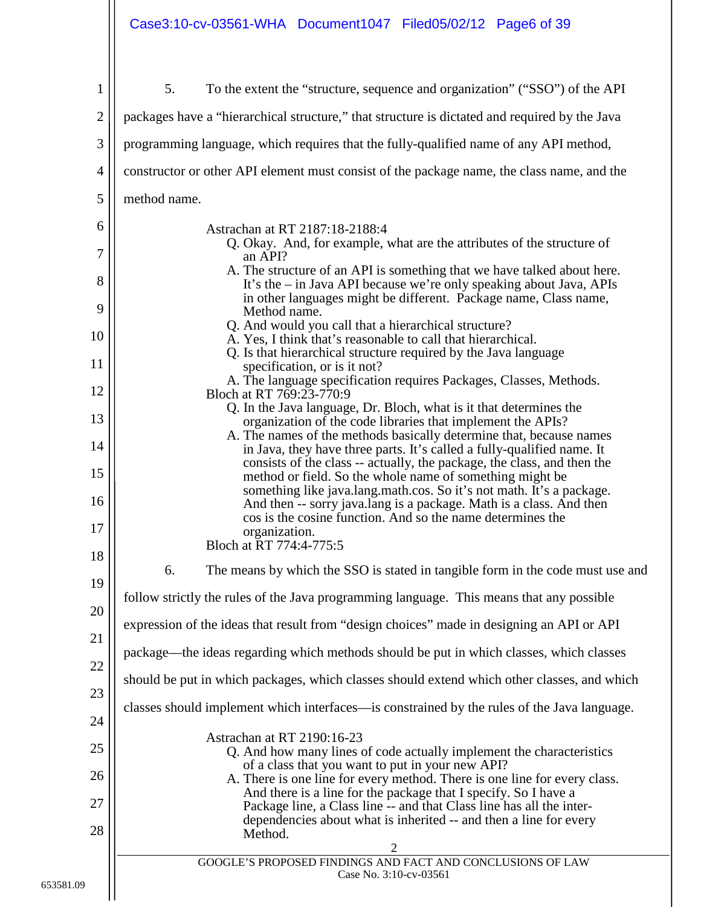## Case3:10-cv-03561-WHA Document1047 Filed05/02/12 Page6 of 39

| 1              | To the extent the "structure, sequence and organization" ("SSO") of the API<br>5.                                                                                                                         |
|----------------|-----------------------------------------------------------------------------------------------------------------------------------------------------------------------------------------------------------|
| $\mathbf{2}$   | packages have a "hierarchical structure," that structure is dictated and required by the Java                                                                                                             |
| 3              | programming language, which requires that the fully-qualified name of any API method,                                                                                                                     |
| $\overline{4}$ |                                                                                                                                                                                                           |
|                | constructor or other API element must consist of the package name, the class name, and the                                                                                                                |
| 5              | method name.                                                                                                                                                                                              |
| 6<br>7         | Astrachan at RT 2187:18-2188:4<br>Q. Okay. And, for example, what are the attributes of the structure of<br>an API?                                                                                       |
| 8              | A. The structure of an API is something that we have talked about here.<br>It's the – in Java API because we're only speaking about Java, APIs                                                            |
| 9              | in other languages might be different. Package name, Class name,<br>Method name.                                                                                                                          |
| 10             | Q. And would you call that a hierarchical structure?<br>A. Yes, I think that's reasonable to call that hierarchical.                                                                                      |
| 11             | Q. Is that hierarchical structure required by the Java language<br>specification, or is it not?                                                                                                           |
| 12             | A. The language specification requires Packages, Classes, Methods.<br>Bloch at RT 769:23-770:9                                                                                                            |
| 13             | Q. In the Java language, Dr. Bloch, what is it that determines the<br>organization of the code libraries that implement the APIs?                                                                         |
| 14             | A. The names of the methods basically determine that, because names<br>in Java, they have three parts. It's called a fully-qualified name. It                                                             |
| 15             | consists of the class -- actually, the package, the class, and then the<br>method or field. So the whole name of something might be                                                                       |
| 16             | something like java.lang.math.cos. So it's not math. It's a package.<br>And then -- sorry java.lang is a package. Math is a class. And then<br>cos is the cosine function. And so the name determines the |
| 17             | organization.<br>Bloch at RT 774:4-775:5                                                                                                                                                                  |
| 18             | 6.<br>The means by which the SSO is stated in tangible form in the code must use and                                                                                                                      |
| 19             | follow strictly the rules of the Java programming language. This means that any possible                                                                                                                  |
| 20             | expression of the ideas that result from "design choices" made in designing an API or API                                                                                                                 |
| 21             | package—the ideas regarding which methods should be put in which classes, which classes                                                                                                                   |
| 22             | should be put in which packages, which classes should extend which other classes, and which                                                                                                               |
| 23             | classes should implement which interfaces—is constrained by the rules of the Java language.                                                                                                               |
| 24             | Astrachan at RT 2190:16-23                                                                                                                                                                                |
| 25             | Q. And how many lines of code actually implement the characteristics<br>of a class that you want to put in your new API?                                                                                  |
| 26             | A. There is one line for every method. There is one line for every class.<br>And there is a line for the package that I specify. So I have a                                                              |
| 27             | Package line, a Class line -- and that Class line has all the inter-<br>dependencies about what is inherited -- and then a line for every                                                                 |
| 28             | Method.<br>$\overline{2}$                                                                                                                                                                                 |
|                | GOOGLE'S PROPOSED FINDINGS AND FACT AND CONCLUSIONS OF LAW<br>Case No. 3:10-cv-03561                                                                                                                      |
|                |                                                                                                                                                                                                           |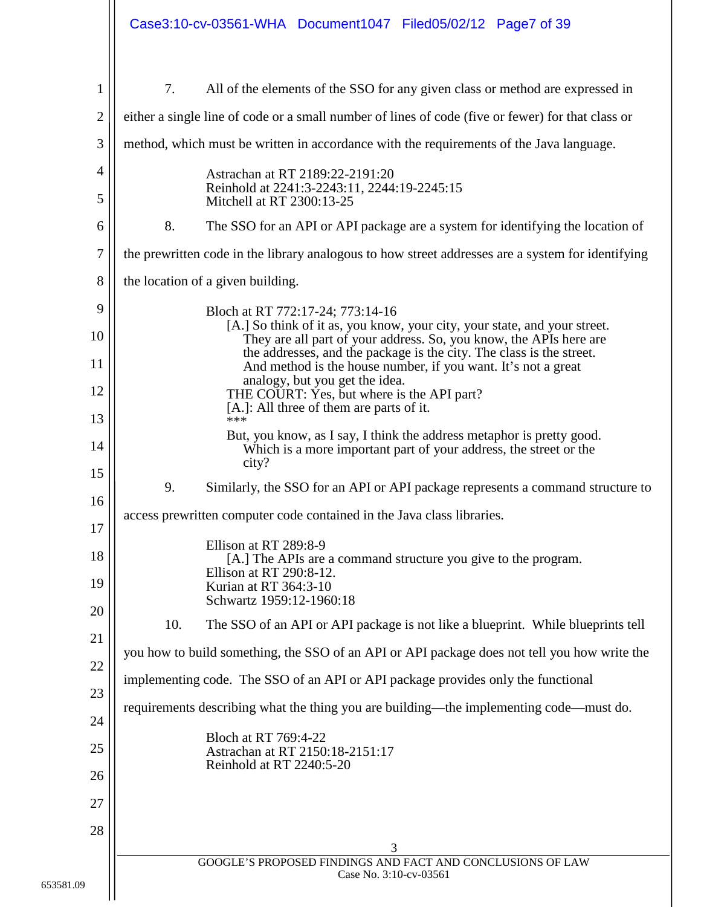|                                                              | Case3:10-cv-03561-WHA Document1047 Filed05/02/12 Page7 of 39                                                                                                                                                                                                                                                                                                                                                                                                                                                                                                                                                                                                                                                                                                                                                                |
|--------------------------------------------------------------|-----------------------------------------------------------------------------------------------------------------------------------------------------------------------------------------------------------------------------------------------------------------------------------------------------------------------------------------------------------------------------------------------------------------------------------------------------------------------------------------------------------------------------------------------------------------------------------------------------------------------------------------------------------------------------------------------------------------------------------------------------------------------------------------------------------------------------|
| 1<br>$\overline{2}$<br>3<br>4<br>5<br>6<br>7<br>8<br>9<br>10 | 7.<br>All of the elements of the SSO for any given class or method are expressed in<br>either a single line of code or a small number of lines of code (five or fewer) for that class or<br>method, which must be written in accordance with the requirements of the Java language.<br>Astrachan at RT 2189:22-2191:20<br>Reinhold at 2241:3-2243:11, 2244:19-2245:15<br>Mitchell at RT 2300:13-25<br>8.<br>The SSO for an API or API package are a system for identifying the location of<br>the prewritten code in the library analogous to how street addresses are a system for identifying<br>the location of a given building.<br>Bloch at RT 772:17-24; 773:14-16<br>[A.] So think of it as, you know, your city, your state, and your street.<br>They are all part of your address. So, you know, the APIs here are |
| 11<br>12<br>13<br>14<br>15<br>16<br>17<br>18<br>19           | the addresses, and the package is the city. The class is the street.<br>And method is the house number, if you want. It's not a great<br>analogy, but you get the idea.<br>THE COURT: Yes, but where is the API part?<br>[A.]: All three of them are parts of it.<br>***<br>But, you know, as I say, I think the address metaphor is pretty good.<br>Which is a more important part of your address, the street or the<br>city?<br>9.<br>Similarly, the SSO for an API or API package represents a command structure to<br>access prewritten computer code contained in the Java class libraries.<br>Ellison at RT 289:8-9<br>[A.] The APIs are a command structure you give to the program.<br>Ellison at RT 290:8-12.<br>Kurian at RT 364:3-10<br>Schwartz 1959:12-1960:18                                                |
| 20<br>21<br>22<br>23<br>24<br>25<br>26<br>27<br>28           | 10.<br>The SSO of an API or API package is not like a blueprint. While blueprints tell<br>you how to build something, the SSO of an API or API package does not tell you how write the<br>implementing code. The SSO of an API or API package provides only the functional<br>requirements describing what the thing you are building—the implementing code—must do.<br>Bloch at RT 769:4-22<br>Astrachan at RT 2150:18-2151:17<br>Reinhold at RT 2240:5-20<br>3                                                                                                                                                                                                                                                                                                                                                            |
|                                                              | GOOGLE'S PROPOSED FINDINGS AND FACT AND CONCLUSIONS OF LAW<br>Case No. 3:10-cv-03561                                                                                                                                                                                                                                                                                                                                                                                                                                                                                                                                                                                                                                                                                                                                        |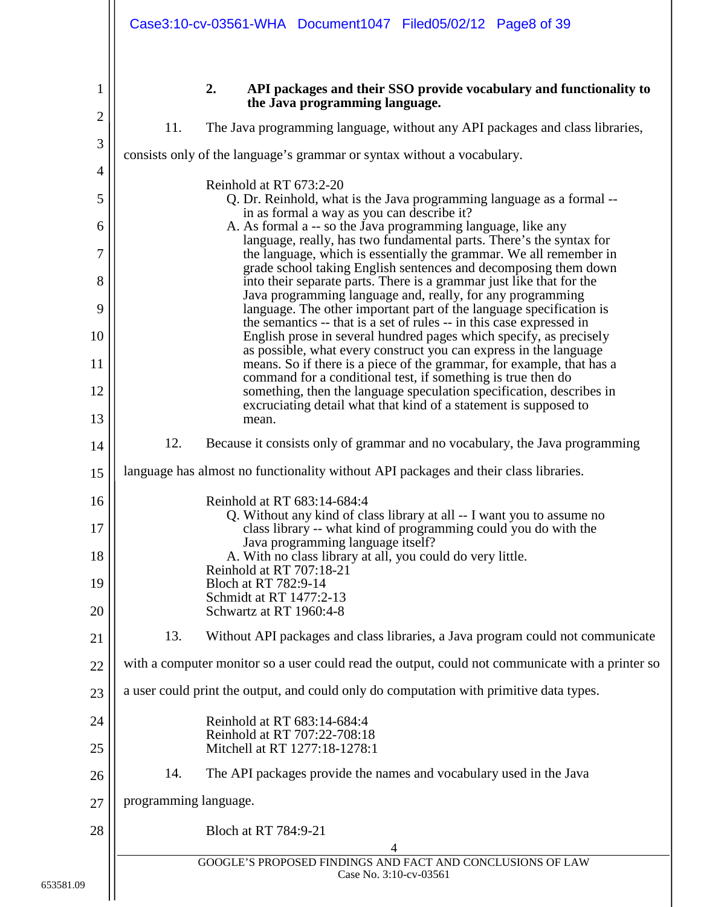<span id="page-7-0"></span>

|                | Case3:10-cv-03561-WHA Document1047 Filed05/02/12 Page8 of 39                                                                                                                                             |
|----------------|----------------------------------------------------------------------------------------------------------------------------------------------------------------------------------------------------------|
| 1              | 2.<br>API packages and their SSO provide vocabulary and functionality to<br>the Java programming language.                                                                                               |
| $\overline{c}$ | 11.<br>The Java programming language, without any API packages and class libraries,                                                                                                                      |
| 3              | consists only of the language's grammar or syntax without a vocabulary.                                                                                                                                  |
| 4              | Reinhold at RT 673:2-20                                                                                                                                                                                  |
| 5              | Q. Dr. Reinhold, what is the Java programming language as a formal --<br>in as formal a way as you can describe it?                                                                                      |
| 6              | A. As formal a -- so the Java programming language, like any                                                                                                                                             |
| 7              | language, really, has two fundamental parts. There's the syntax for<br>the language, which is essentially the grammar. We all remember in                                                                |
| 8              | grade school taking English sentences and decomposing them down<br>into their separate parts. There is a grammar just like that for the                                                                  |
| 9              | Java programming language and, really, for any programming<br>language. The other important part of the language specification is                                                                        |
| 10             | the semantics -- that is a set of rules -- in this case expressed in<br>English prose in several hundred pages which specify, as precisely                                                               |
| 11             | as possible, what every construct you can express in the language<br>means. So if there is a piece of the grammar, for example, that has a                                                               |
| 12             | command for a conditional test, if something is true then do<br>something, then the language speculation specification, describes in<br>excruciating detail what that kind of a statement is supposed to |
| 13             | mean.                                                                                                                                                                                                    |
| 14             | 12.<br>Because it consists only of grammar and no vocabulary, the Java programming                                                                                                                       |
| 15             | language has almost no functionality without API packages and their class libraries.                                                                                                                     |
| 16             | Reinhold at RT 683:14-684:4                                                                                                                                                                              |
| 17             | Q. Without any kind of class library at all -- I want you to assume no<br>class library -- what kind of programming could you do with the                                                                |
| 18             | Java programming language itself?<br>A. With no class library at all, you could do very little.                                                                                                          |
| 19             | Reinhold at RT 707:18-21<br>Bloch at RT 782:9-14                                                                                                                                                         |
| 20             | Schmidt at RT 1477:2-13<br>Schwartz at RT 1960:4-8                                                                                                                                                       |
| 21             | 13.<br>Without API packages and class libraries, a Java program could not communicate                                                                                                                    |
| 22             | with a computer monitor so a user could read the output, could not communicate with a printer so                                                                                                         |
| 23             | a user could print the output, and could only do computation with primitive data types.                                                                                                                  |
| 24             | Reinhold at RT 683:14-684:4                                                                                                                                                                              |
| 25             | Reinhold at RT 707:22-708:18<br>Mitchell at RT 1277:18-1278:1                                                                                                                                            |
| 26             | The API packages provide the names and vocabulary used in the Java<br>14.                                                                                                                                |
| 27             | programming language.                                                                                                                                                                                    |
| 28             | Bloch at RT 784:9-21                                                                                                                                                                                     |
|                | 4<br>GOOGLE'S PROPOSED FINDINGS AND FACT AND CONCLUSIONS OF LAW                                                                                                                                          |
| 9              | Case No. 3:10-cv-03561                                                                                                                                                                                   |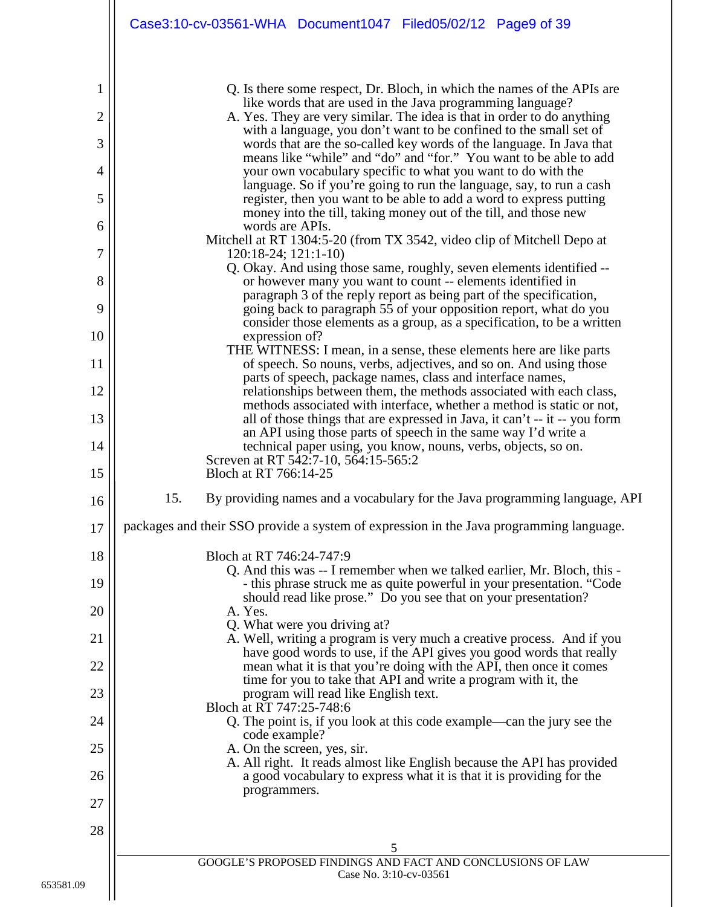|        |     | Case3:10-cv-03561-WHA Document1047 Filed05/02/12 Page9 of 39                                                                                                                                                |
|--------|-----|-------------------------------------------------------------------------------------------------------------------------------------------------------------------------------------------------------------|
|        |     |                                                                                                                                                                                                             |
| 1      |     | Q. Is there some respect, Dr. Bloch, in which the names of the APIs are<br>like words that are used in the Java programming language?                                                                       |
| 2<br>3 |     | A. Yes. They are very similar. The idea is that in order to do anything<br>with a language, you don't want to be confined to the small set of                                                               |
|        |     | words that are the so-called key words of the language. In Java that<br>means like "while" and "do" and "for." You want to be able to add                                                                   |
| 4<br>5 |     | your own vocabulary specific to what you want to do with the<br>language. So if you're going to run the language, say, to run a cash<br>register, then you want to be able to add a word to express putting |
| 6      |     | money into the till, taking money out of the till, and those new<br>words are APIs.                                                                                                                         |
| 7      |     | Mitchell at RT 1304:5-20 (from TX 3542, video clip of Mitchell Depo at<br>120:18-24; 121:1-10)                                                                                                              |
| 8      |     | Q. Okay. And using those same, roughly, seven elements identified --<br>or however many you want to count -- elements identified in                                                                         |
| 9      |     | paragraph 3 of the reply report as being part of the specification,<br>going back to paragraph 55 of your opposition report, what do you                                                                    |
| 10     |     | consider those elements as a group, as a specification, to be a written<br>expression of?                                                                                                                   |
| 11     |     | THE WITNESS: I mean, in a sense, these elements here are like parts<br>of speech. So nouns, verbs, adjectives, and so on. And using those                                                                   |
| 12     |     | parts of speech, package names, class and interface names,<br>relationships between them, the methods associated with each class,                                                                           |
| 13     |     | methods associated with interface, whether a method is static or not,<br>all of those things that are expressed in Java, it can't -- it -- you form                                                         |
| 14     |     | an API using those parts of speech in the same way I'd write a<br>technical paper using, you know, nouns, verbs, objects, so on.                                                                            |
| 15     |     | Screven at RT 542:7-10, 564:15-565:2<br>Bloch at RT 766:14-25                                                                                                                                               |
| 16     | 15. | By providing names and a vocabulary for the Java programming language, API                                                                                                                                  |
| 17     |     | packages and their SSO provide a system of expression in the Java programming language.                                                                                                                     |
| 18     |     | Bloch at RT 746:24-747:9                                                                                                                                                                                    |
| 19     |     | Q. And this was -- I remember when we talked earlier, Mr. Bloch, this -<br>- this phrase struck me as quite powerful in your presentation. "Code                                                            |
| 20     |     | should read like prose." Do you see that on your presentation?<br>A. Yes.                                                                                                                                   |
| 21     |     | Q. What were you driving at?<br>A. Well, writing a program is very much a creative process. And if you                                                                                                      |
| 22     |     | have good words to use, if the API gives you good words that really<br>mean what it is that you're doing with the API, then once it comes                                                                   |
| 23     |     | time for you to take that API and write a program with it, the<br>program will read like English text.<br>Bloch at RT 747:25-748:6                                                                          |
| 24     |     | Q. The point is, if you look at this code example—can the jury see the                                                                                                                                      |
| 25     |     | code example?<br>A. On the screen, yes, sir.                                                                                                                                                                |
| 26     |     | A. All right. It reads almost like English because the API has provided<br>a good vocabulary to express what it is that it is providing for the                                                             |
| 27     |     | programmers.                                                                                                                                                                                                |
| 28     |     |                                                                                                                                                                                                             |
|        |     | 5<br>GOOGLE'S PROPOSED FINDINGS AND FACT AND CONCLUSIONS OF LAW<br>Case No. 3:10-cv-03561                                                                                                                   |
|        |     |                                                                                                                                                                                                             |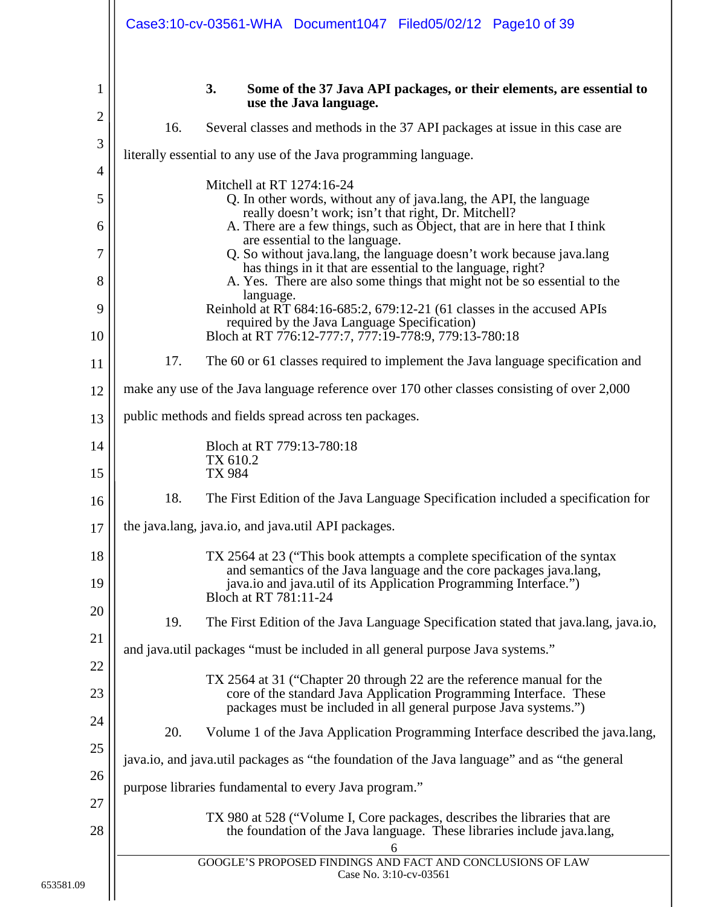<span id="page-9-0"></span>

|                             | Case3:10-cv-03561-WHA Document1047 Filed05/02/12 Page10 of 39                                                                                                                                                                                                                                                                                                                                                                                                                                                                                                                                                                                                                            |
|-----------------------------|------------------------------------------------------------------------------------------------------------------------------------------------------------------------------------------------------------------------------------------------------------------------------------------------------------------------------------------------------------------------------------------------------------------------------------------------------------------------------------------------------------------------------------------------------------------------------------------------------------------------------------------------------------------------------------------|
| 1<br>2<br>3<br>4            | 3.<br>Some of the 37 Java API packages, or their elements, are essential to<br>use the Java language.<br>16.<br>Several classes and methods in the 37 API packages at issue in this case are<br>literally essential to any use of the Java programming language.                                                                                                                                                                                                                                                                                                                                                                                                                         |
| 5<br>6<br>7<br>8<br>9<br>10 | Mitchell at RT 1274:16-24<br>Q. In other words, without any of java.lang, the API, the language<br>really doesn't work; isn't that right, Dr. Mitchell?<br>A. There are a few things, such as Object, that are in here that I think<br>are essential to the language.<br>Q. So without java.lang, the language doesn't work because java.lang<br>has things in it that are essential to the language, right?<br>A. Yes. There are also some things that might not be so essential to the<br>language.<br>Reinhold at RT 684:16-685:2, 679:12-21 (61 classes in the accused APIs<br>required by the Java Language Specification)<br>Bloch at RT 776:12-777:7, 777:19-778:9, 779:13-780:18 |
| 11<br>12                    | 17.<br>The 60 or 61 classes required to implement the Java language specification and<br>make any use of the Java language reference over 170 other classes consisting of over 2,000                                                                                                                                                                                                                                                                                                                                                                                                                                                                                                     |
| 13                          | public methods and fields spread across ten packages.                                                                                                                                                                                                                                                                                                                                                                                                                                                                                                                                                                                                                                    |
| 14<br>15                    | Bloch at RT 779:13-780:18<br>TX 610.2<br><b>TX 984</b>                                                                                                                                                                                                                                                                                                                                                                                                                                                                                                                                                                                                                                   |
| 16                          | 18.<br>The First Edition of the Java Language Specification included a specification for                                                                                                                                                                                                                                                                                                                                                                                                                                                                                                                                                                                                 |
| 17                          | the java.lang, java.io, and java.util API packages.                                                                                                                                                                                                                                                                                                                                                                                                                                                                                                                                                                                                                                      |
| 18<br>19<br>20              | TX 2564 at 23 ("This book attempts a complete specification of the syntax<br>and semantics of the Java language and the core packages java.lang,<br>java.io and java.util of its Application Programming Interface.")<br>Bloch at RT 781:11-24                                                                                                                                                                                                                                                                                                                                                                                                                                           |
| 21                          | 19.<br>The First Edition of the Java Language Specification stated that java.lang, java.io,                                                                                                                                                                                                                                                                                                                                                                                                                                                                                                                                                                                              |
| 22                          | and java.util packages "must be included in all general purpose Java systems."                                                                                                                                                                                                                                                                                                                                                                                                                                                                                                                                                                                                           |
| 23                          | TX 2564 at 31 ("Chapter 20 through 22 are the reference manual for the<br>core of the standard Java Application Programming Interface. These<br>packages must be included in all general purpose Java systems.")                                                                                                                                                                                                                                                                                                                                                                                                                                                                         |
| 24                          | 20.<br>Volume 1 of the Java Application Programming Interface described the java.lang,                                                                                                                                                                                                                                                                                                                                                                                                                                                                                                                                                                                                   |
| 25<br>26                    | java.io, and java.util packages as "the foundation of the Java language" and as "the general                                                                                                                                                                                                                                                                                                                                                                                                                                                                                                                                                                                             |
| 27                          | purpose libraries fundamental to every Java program."                                                                                                                                                                                                                                                                                                                                                                                                                                                                                                                                                                                                                                    |
| 28                          | TX 980 at 528 ("Volume I, Core packages, describes the libraries that are<br>the foundation of the Java language. These libraries include java.lang,<br>6                                                                                                                                                                                                                                                                                                                                                                                                                                                                                                                                |
|                             | GOOGLE'S PROPOSED FINDINGS AND FACT AND CONCLUSIONS OF LAW<br>Case No. 3:10-cv-03561                                                                                                                                                                                                                                                                                                                                                                                                                                                                                                                                                                                                     |

653581.09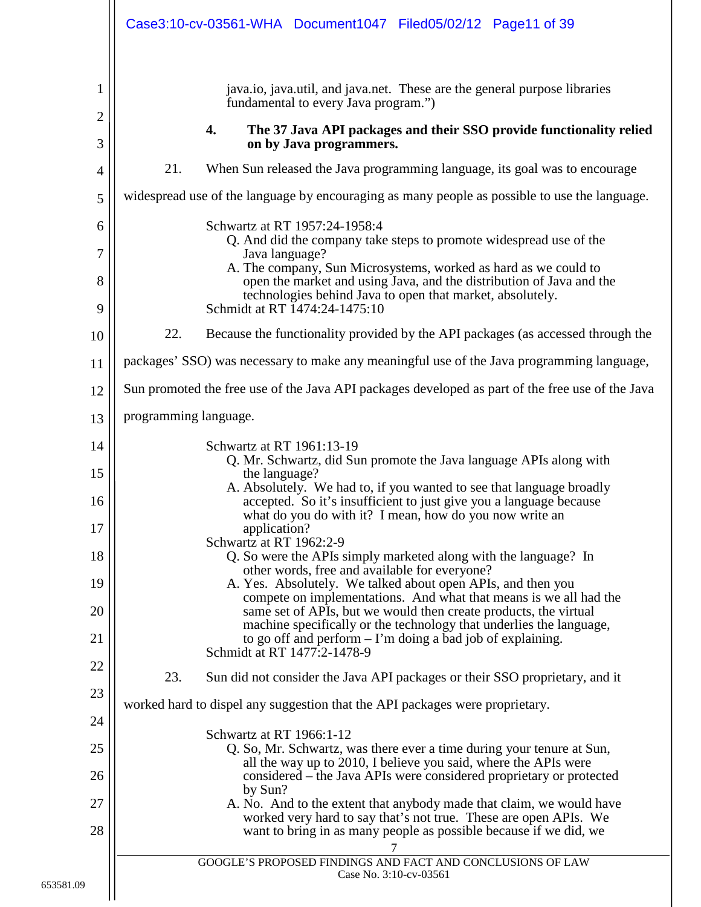<span id="page-10-0"></span>

|                          | Case3:10-cv-03561-WHA Document1047 Filed05/02/12 Page11 of 39                                                                                                                                                                                                                                                                                                                                                                                                                                                             |
|--------------------------|---------------------------------------------------------------------------------------------------------------------------------------------------------------------------------------------------------------------------------------------------------------------------------------------------------------------------------------------------------------------------------------------------------------------------------------------------------------------------------------------------------------------------|
| 1<br>$\overline{2}$<br>3 | java.io, java.util, and java.net. These are the general purpose libraries<br>fundamental to every Java program.")<br>4.<br>The 37 Java API packages and their SSO provide functionality relied<br>on by Java programmers.                                                                                                                                                                                                                                                                                                 |
| 4                        | 21.<br>When Sun released the Java programming language, its goal was to encourage                                                                                                                                                                                                                                                                                                                                                                                                                                         |
| 5                        | widespread use of the language by encouraging as many people as possible to use the language.                                                                                                                                                                                                                                                                                                                                                                                                                             |
| 6<br>7<br>8              | Schwartz at RT 1957:24-1958:4<br>Q. And did the company take steps to promote widespread use of the<br>Java language?<br>A. The company, Sun Microsystems, worked as hard as we could to<br>open the market and using Java, and the distribution of Java and the<br>technologies behind Java to open that market, absolutely.                                                                                                                                                                                             |
| 9                        | Schmidt at RT 1474:24-1475:10                                                                                                                                                                                                                                                                                                                                                                                                                                                                                             |
| 10                       | 22.<br>Because the functionality provided by the API packages (as accessed through the                                                                                                                                                                                                                                                                                                                                                                                                                                    |
| 11                       | packages' SSO) was necessary to make any meaningful use of the Java programming language,                                                                                                                                                                                                                                                                                                                                                                                                                                 |
| 12                       | Sun promoted the free use of the Java API packages developed as part of the free use of the Java                                                                                                                                                                                                                                                                                                                                                                                                                          |
| 13                       | programming language.                                                                                                                                                                                                                                                                                                                                                                                                                                                                                                     |
| 14<br>15<br>16<br>17     | Schwartz at RT 1961:13-19<br>Q. Mr. Schwartz, did Sun promote the Java language APIs along with<br>the language?<br>A. Absolutely. We had to, if you wanted to see that language broadly<br>accepted. So it's insufficient to just give you a language because<br>what do you do with it? I mean, how do you now write an<br>application?                                                                                                                                                                                 |
| 18<br>19<br>20<br>21     | Schwartz at RT 1962:2-9<br>Q. So were the APIs simply marketed along with the language? In<br>other words, free and available for everyone?<br>A. Yes. Absolutely. We talked about open APIs, and then you<br>compete on implementations. And what that means is we all had the<br>same set of APIs, but we would then create products, the virtual<br>machine specifically or the technology that underlies the language,<br>to go off and perform $-1$ 'm doing a bad job of explaining.<br>Schmidt at RT 1477:2-1478-9 |
| 22                       | 23.<br>Sun did not consider the Java API packages or their SSO proprietary, and it                                                                                                                                                                                                                                                                                                                                                                                                                                        |
| 23                       | worked hard to dispel any suggestion that the API packages were proprietary.                                                                                                                                                                                                                                                                                                                                                                                                                                              |
| 24                       | Schwartz at RT 1966:1-12                                                                                                                                                                                                                                                                                                                                                                                                                                                                                                  |
| 25                       | Q. So, Mr. Schwartz, was there ever a time during your tenure at Sun,<br>all the way up to 2010, I believe you said, where the APIs were                                                                                                                                                                                                                                                                                                                                                                                  |
| 26                       | considered – the Java APIs were considered proprietary or protected<br>by Sun?                                                                                                                                                                                                                                                                                                                                                                                                                                            |
| 27<br>28                 | A. No. And to the extent that anybody made that claim, we would have<br>worked very hard to say that's not true. These are open APIs. We<br>want to bring in as many people as possible because if we did, we                                                                                                                                                                                                                                                                                                             |
|                          | GOOGLE'S PROPOSED FINDINGS AND FACT AND CONCLUSIONS OF LAW<br>Case No. 3:10-cv-03561                                                                                                                                                                                                                                                                                                                                                                                                                                      |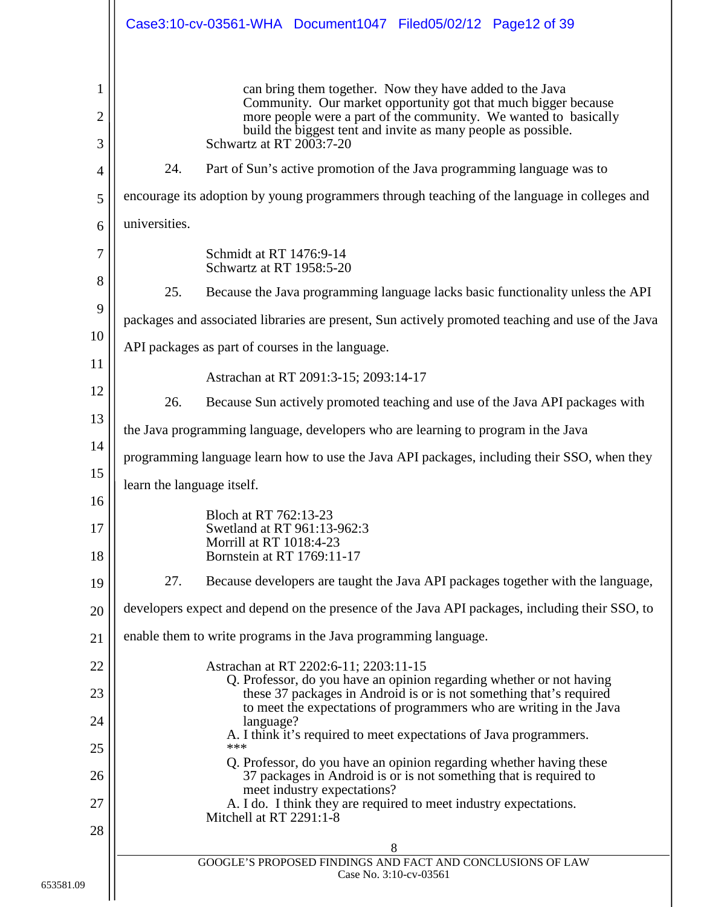|             |                            | Case3:10-cv-03561-WHA Document1047 Filed05/02/12 Page12 of 39                                                                                                                                                                                                                               |
|-------------|----------------------------|---------------------------------------------------------------------------------------------------------------------------------------------------------------------------------------------------------------------------------------------------------------------------------------------|
| 1<br>2<br>3 |                            | can bring them together. Now they have added to the Java<br>Community. Our market opportunity got that much bigger because<br>more people were a part of the community. We wanted to basically<br>build the biggest tent and invite as many people as possible.<br>Schwartz at RT 2003:7-20 |
| 4           | 24.                        | Part of Sun's active promotion of the Java programming language was to                                                                                                                                                                                                                      |
| 5           |                            | encourage its adoption by young programmers through teaching of the language in colleges and                                                                                                                                                                                                |
| 6           | universities.              |                                                                                                                                                                                                                                                                                             |
| 7           |                            | Schmidt at RT 1476:9-14<br>Schwartz at RT 1958:5-20                                                                                                                                                                                                                                         |
| 8           | 25.                        | Because the Java programming language lacks basic functionality unless the API                                                                                                                                                                                                              |
| 9           |                            | packages and associated libraries are present, Sun actively promoted teaching and use of the Java                                                                                                                                                                                           |
| 10<br>11    |                            | API packages as part of courses in the language.                                                                                                                                                                                                                                            |
| 12          |                            | Astrachan at RT 2091:3-15; 2093:14-17                                                                                                                                                                                                                                                       |
| 13          | 26.                        | Because Sun actively promoted teaching and use of the Java API packages with                                                                                                                                                                                                                |
| 14          |                            | the Java programming language, developers who are learning to program in the Java                                                                                                                                                                                                           |
| 15          |                            | programming language learn how to use the Java API packages, including their SSO, when they                                                                                                                                                                                                 |
| 16          | learn the language itself. |                                                                                                                                                                                                                                                                                             |
| 17<br>18    |                            | Bloch at RT 762:13-23<br>Swetland at RT 961:13-962:3<br>Morrill at RT 1018:4-23<br>Bornstein at RT 1769:11-17                                                                                                                                                                               |
| 19          | 27.                        | Because developers are taught the Java API packages together with the language,                                                                                                                                                                                                             |
| 20          |                            | developers expect and depend on the presence of the Java API packages, including their SSO, to                                                                                                                                                                                              |
| 21          |                            | enable them to write programs in the Java programming language.                                                                                                                                                                                                                             |
| 22          |                            | Astrachan at RT 2202:6-11; 2203:11-15                                                                                                                                                                                                                                                       |
| 23          |                            | Q. Professor, do you have an opinion regarding whether or not having<br>these 37 packages in Android is or is not something that's required<br>to meet the expectations of programmers who are writing in the Java                                                                          |
| 24          |                            | language?<br>A. I think it's required to meet expectations of Java programmers.                                                                                                                                                                                                             |
| 25          |                            | ***<br>Q. Professor, do you have an opinion regarding whether having these                                                                                                                                                                                                                  |
| 26          |                            | 37 packages in Android is or is not something that is required to<br>meet industry expectations?                                                                                                                                                                                            |
| 27          |                            | A. I do. I think they are required to meet industry expectations.<br>Mitchell at RT 2291:1-8                                                                                                                                                                                                |
| 28          |                            | 8                                                                                                                                                                                                                                                                                           |
|             |                            | GOOGLE'S PROPOSED FINDINGS AND FACT AND CONCLUSIONS OF LAW<br>Case No. 3:10-cv-03561                                                                                                                                                                                                        |
|             |                            |                                                                                                                                                                                                                                                                                             |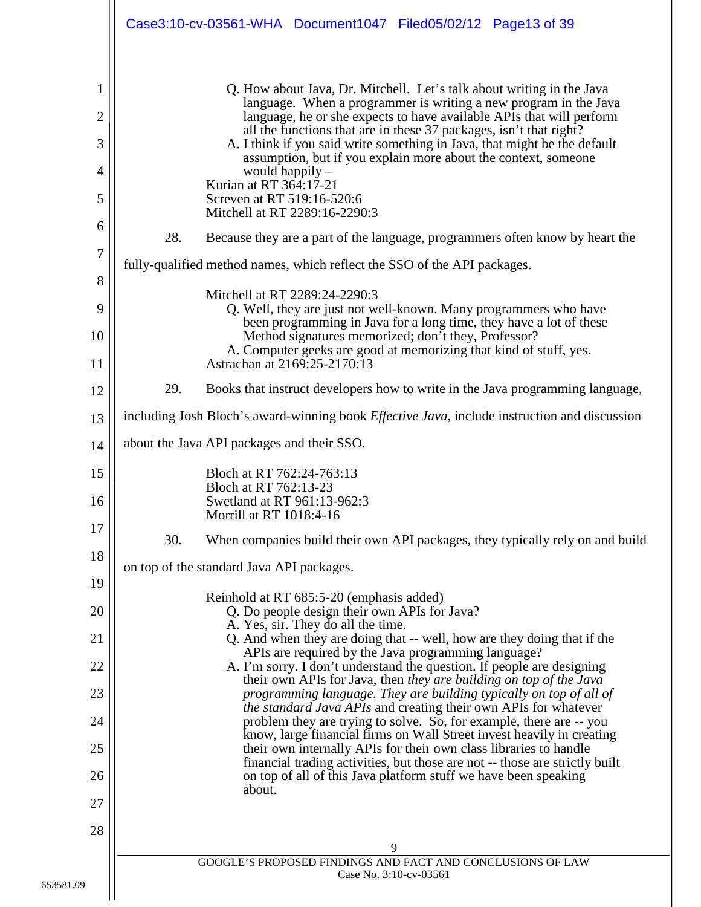|                     | Case3:10-cv-03561-WHA Document1047 Filed05/02/12 Page13 of 39                                                                                                                                                           |
|---------------------|-------------------------------------------------------------------------------------------------------------------------------------------------------------------------------------------------------------------------|
|                     |                                                                                                                                                                                                                         |
| 1                   | Q. How about Java, Dr. Mitchell. Let's talk about writing in the Java<br>language. When a programmer is writing a new program in the Java                                                                               |
| $\overline{2}$<br>3 | language, he or she expects to have available APIs that will perform<br>all the functions that are in these 37 packages, isn't that right?<br>A. I think if you said write something in Java, that might be the default |
| 4                   | assumption, but if you explain more about the context, someone<br>would happily $-$                                                                                                                                     |
| 5                   | Kurian at RT 364:17-21<br>Screven at RT 519:16-520:6                                                                                                                                                                    |
| 6                   | Mitchell at RT 2289:16-2290:3                                                                                                                                                                                           |
| 7                   | 28.<br>Because they are a part of the language, programmers often know by heart the                                                                                                                                     |
| 8                   | fully-qualified method names, which reflect the SSO of the API packages.                                                                                                                                                |
| 9                   | Mitchell at RT 2289:24-2290:3<br>Q. Well, they are just not well-known. Many programmers who have                                                                                                                       |
| 10                  | been programming in Java for a long time, they have a lot of these<br>Method signatures memorized; don't they, Professor?                                                                                               |
| 11                  | A. Computer geeks are good at memorizing that kind of stuff, yes.<br>Astrachan at 2169:25-2170:13                                                                                                                       |
| 12                  | 29.<br>Books that instruct developers how to write in the Java programming language,                                                                                                                                    |
| 13                  | including Josh Bloch's award-winning book <i>Effective Java</i> , include instruction and discussion                                                                                                                    |
| 14                  | about the Java API packages and their SSO.                                                                                                                                                                              |
| 15                  | Bloch at RT 762:24-763:13                                                                                                                                                                                               |
| 16                  | Bloch at RT 762:13-23<br>Swetland at RT 961:13-962:3<br>Morrill at RT 1018:4-16                                                                                                                                         |
| 17                  | 30.<br>When companies build their own API packages, they typically rely on and build                                                                                                                                    |
| 18                  | on top of the standard Java API packages.                                                                                                                                                                               |
| 19                  | Reinhold at RT 685:5-20 (emphasis added)                                                                                                                                                                                |
| 20                  | Q. Do people design their own APIs for Java?<br>A. Yes, sir. They do all the time.                                                                                                                                      |
| 21                  | Q. And when they are doing that -- well, how are they doing that if the<br>APIs are required by the Java programming language?                                                                                          |
| 22                  | A. I'm sorry. I don't understand the question. If people are designing<br>their own APIs for Java, then they are building on top of the Java                                                                            |
| 23                  | programming language. They are building typically on top of all of<br><i>the standard Java APIs</i> and creating their own APIs for whatever                                                                            |
| 24                  | problem they are trying to solve. So, for example, there are -- you<br>know, large financial firms on Wall Street invest heavily in creating                                                                            |
| 25                  | their own internally APIs for their own class libraries to handle<br>financial trading activities, but those are not -- those are strictly built                                                                        |
| 26                  | on top of all of this Java platform stuff we have been speaking<br>about.                                                                                                                                               |
| 27                  |                                                                                                                                                                                                                         |
| 28                  | 9                                                                                                                                                                                                                       |
|                     | GOOGLE'S PROPOSED FINDINGS AND FACT AND CONCLUSIONS OF LAW<br>Case No. 3:10-cv-03561                                                                                                                                    |
|                     |                                                                                                                                                                                                                         |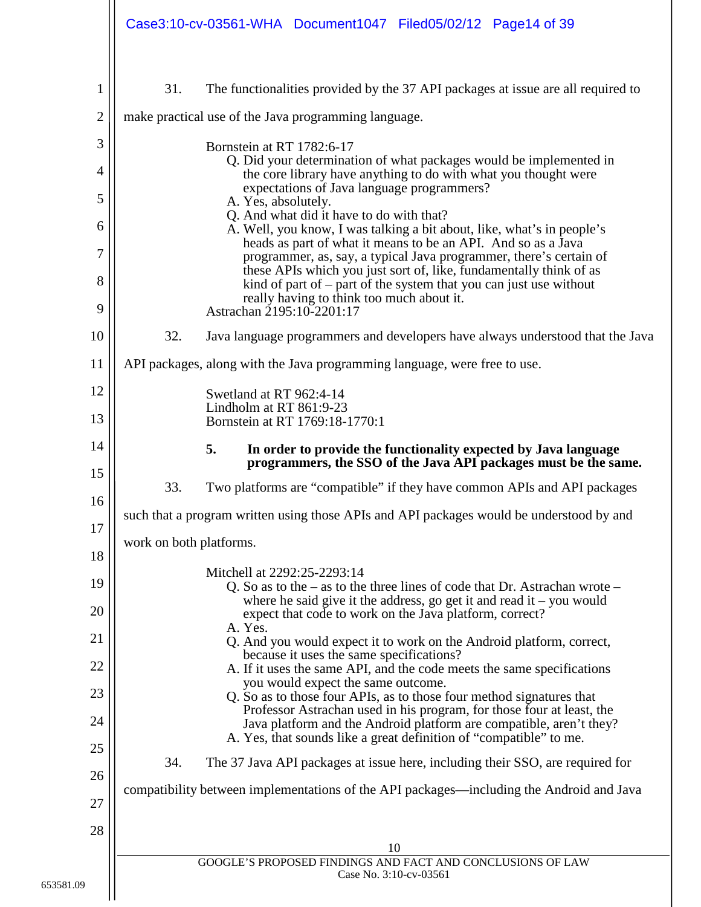<span id="page-13-0"></span>

|                | Case3:10-cv-03561-WHA Document1047 Filed05/02/12 Page14 of 39                                                                                                                                                      |
|----------------|--------------------------------------------------------------------------------------------------------------------------------------------------------------------------------------------------------------------|
| 1              | 31.<br>The functionalities provided by the 37 API packages at issue are all required to                                                                                                                            |
| $\overline{c}$ | make practical use of the Java programming language.                                                                                                                                                               |
| 3              | Bornstein at RT 1782:6-17                                                                                                                                                                                          |
| $\overline{4}$ | Q. Did your determination of what packages would be implemented in<br>the core library have anything to do with what you thought were                                                                              |
| 5              | expectations of Java language programmers?<br>A. Yes, absolutely.                                                                                                                                                  |
| 6              | Q. And what did it have to do with that?<br>A. Well, you know, I was talking a bit about, like, what's in people's<br>heads as part of what it means to be an API. And so as a Java                                |
| $\overline{7}$ | programmer, as, say, a typical Java programmer, there's certain of<br>these APIs which you just sort of, like, fundamentally think of as                                                                           |
| 8<br>9         | kind of part of $-$ part of the system that you can just use without<br>really having to think too much about it.<br>Astrachan 2195:10-2201:17                                                                     |
| 10             | 32.<br>Java language programmers and developers have always understood that the Java                                                                                                                               |
| 11             | API packages, along with the Java programming language, were free to use.                                                                                                                                          |
| 12             | Swetland at RT 962:4-14<br>Lindholm at RT 861:9-23                                                                                                                                                                 |
| 13             | Bornstein at RT 1769:18-1770:1                                                                                                                                                                                     |
| 14<br>15       | 5.<br>In order to provide the functionality expected by Java language<br>programmers, the SSO of the Java API packages must be the same.                                                                           |
| 16             | 33.<br>Two platforms are "compatible" if they have common APIs and API packages                                                                                                                                    |
| 17             | such that a program written using those APIs and API packages would be understood by and                                                                                                                           |
| 18             | work on both platforms.                                                                                                                                                                                            |
| 19             | Mitchell at 2292:25-2293:14<br>Q. So as to the $-$ as to the three lines of code that Dr. Astrachan wrote $-$                                                                                                      |
| 20             | where he said give it the address, go get it and read it $-$ you would<br>expect that code to work on the Java platform, correct?                                                                                  |
| 21             | A. Yes.<br>Q. And you would expect it to work on the Android platform, correct,                                                                                                                                    |
| 22             | because it uses the same specifications?<br>A. If it uses the same API, and the code meets the same specifications                                                                                                 |
| 23             | you would expect the same outcome.<br>Q. So as to those four APIs, as to those four method signatures that                                                                                                         |
| 24             | Professor Astrachan used in his program, for those four at least, the<br>Java platform and the Android platform are compatible, aren't they?<br>A. Yes, that sounds like a great definition of "compatible" to me. |
| 25             | 34.<br>The 37 Java API packages at issue here, including their SSO, are required for                                                                                                                               |
| 26             | compatibility between implementations of the API packages—including the Android and Java                                                                                                                           |
| 27             |                                                                                                                                                                                                                    |
| 28             | 10                                                                                                                                                                                                                 |
|                | GOOGLE'S PROPOSED FINDINGS AND FACT AND CONCLUSIONS OF LAW<br>Case No. 3:10-cv-03561                                                                                                                               |
|                |                                                                                                                                                                                                                    |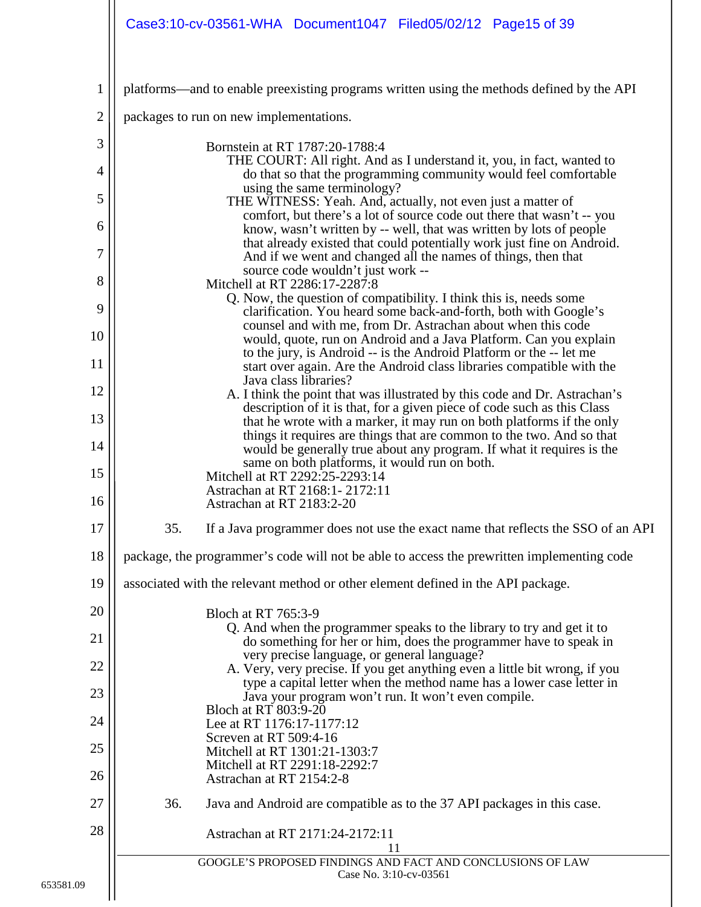|                | Case3:10-cv-03561-WHA Document1047 Filed05/02/12 Page15 of 39                                                                                                                |
|----------------|------------------------------------------------------------------------------------------------------------------------------------------------------------------------------|
| 1              | platforms—and to enable preexisting programs written using the methods defined by the API                                                                                    |
| $\overline{2}$ | packages to run on new implementations.                                                                                                                                      |
| 3              | Bornstein at RT 1787:20-1788:4                                                                                                                                               |
| 4              | THE COURT: All right. And as I understand it, you, in fact, wanted to<br>do that so that the programming community would feel comfortable                                    |
| 5              | using the same terminology?<br>THE WITNESS: Yeah. And, actually, not even just a matter of<br>comfort, but there's a lot of source code out there that wasn't -- you         |
| 6              | know, wasn't written by -- well, that was written by lots of people<br>that already existed that could potentially work just fine on Android.                                |
| 7              | And if we went and changed all the names of things, then that<br>source code wouldn't just work --                                                                           |
| 8              | Mitchell at RT 2286:17-2287:8<br>Q. Now, the question of compatibility. I think this is, needs some                                                                          |
| 9<br>10        | clarification. You heard some back-and-forth, both with Google's<br>counsel and with me, from Dr. Astrachan about when this code                                             |
| 11             | would, quote, run on Android and a Java Platform. Can you explain<br>to the jury, is Android -- is the Android Platform or the -- let me                                     |
| 12             | start over again. Are the Android class libraries compatible with the<br>Java class libraries?<br>A. I think the point that was illustrated by this code and Dr. Astrachan's |
| 13             | description of it is that, for a given piece of code such as this Class<br>that he wrote with a marker, it may run on both platforms if the only                             |
| 14             | things it requires are things that are common to the two. And so that<br>would be generally true about any program. If what it requires is the                               |
| 15             | same on both platforms, it would run on both.<br>Mitchell at RT 2292:25-2293:14                                                                                              |
| 16             | Astrachan at RT 2168:1-2172:11<br>Astrachan at RT 2183:2-20                                                                                                                  |
| 17             | 35.<br>If a Java programmer does not use the exact name that reflects the SSO of an API                                                                                      |
| 18             | package, the programmer's code will not be able to access the prewritten implementing code                                                                                   |
| 19             | associated with the relevant method or other element defined in the API package.                                                                                             |
| 20             | Bloch at RT 765:3-9<br>Q. And when the programmer speaks to the library to try and get it to                                                                                 |
| 21             | do something for her or him, does the programmer have to speak in<br>very precise language, or general language?                                                             |
| 22<br>23       | A. Very, very precise. If you get anything even a little bit wrong, if you<br>type a capital letter when the method name has a lower case letter in                          |
| 24             | Java your program won't run. It won't even compile.<br>Bloch at RT 803:9-20                                                                                                  |
| 25             | Lee at RT 1176:17-1177:12<br>Screven at RT 509:4-16<br>Mitchell at RT 1301:21-1303:7                                                                                         |
| 26             | Mitchell at RT 2291:18-2292:7<br>Astrachan at RT 2154:2-8                                                                                                                    |
| 27             | 36.<br>Java and Android are compatible as to the 37 API packages in this case.                                                                                               |
| 28             | Astrachan at RT 2171:24-2172:11                                                                                                                                              |
|                | 11<br>GOOGLE'S PROPOSED FINDINGS AND FACT AND CONCLUSIONS OF LAW<br>Case No. 3:10-cv-03561                                                                                   |
|                |                                                                                                                                                                              |

653581.09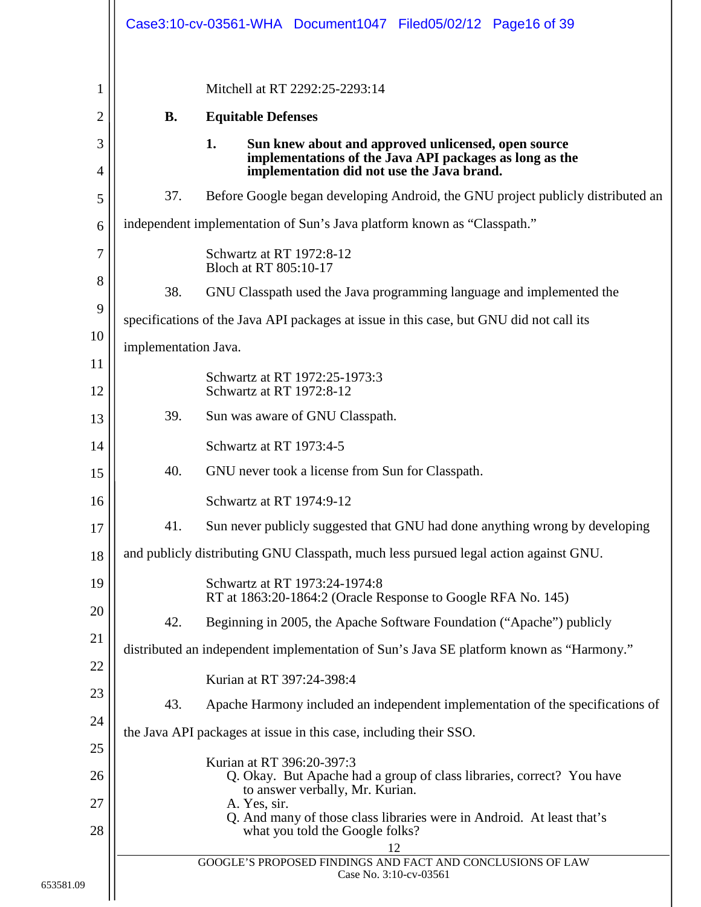<span id="page-15-1"></span><span id="page-15-0"></span>

|           | Mitchell at RT 2292:25-2293:14                                                                                                                                                                                                                                    |
|-----------|-------------------------------------------------------------------------------------------------------------------------------------------------------------------------------------------------------------------------------------------------------------------|
| <b>B.</b> | <b>Equitable Defenses</b>                                                                                                                                                                                                                                         |
|           | 1.<br>Sun knew about and approved unlicensed, open source<br>implementations of the Java API packages as long as the<br>implementation did not use the Java brand.                                                                                                |
| 37.       | Before Google began developing Android, the GNU project publicly distributed an                                                                                                                                                                                   |
|           | independent implementation of Sun's Java platform known as "Classpath."                                                                                                                                                                                           |
|           | Schwartz at RT 1972:8-12<br>Bloch at RT 805:10-17                                                                                                                                                                                                                 |
| 38.       | GNU Classpath used the Java programming language and implemented the                                                                                                                                                                                              |
|           | specifications of the Java API packages at issue in this case, but GNU did not call its                                                                                                                                                                           |
|           | implementation Java.                                                                                                                                                                                                                                              |
|           | Schwartz at RT 1972:25-1973:3<br>Schwartz at RT 1972:8-12                                                                                                                                                                                                         |
| 39.       | Sun was aware of GNU Classpath.                                                                                                                                                                                                                                   |
|           | Schwartz at RT 1973:4-5                                                                                                                                                                                                                                           |
| 40.       | GNU never took a license from Sun for Classpath.                                                                                                                                                                                                                  |
|           | Schwartz at RT 1974:9-12                                                                                                                                                                                                                                          |
| 41.       | Sun never publicly suggested that GNU had done anything wrong by developing                                                                                                                                                                                       |
|           | and publicly distributing GNU Classpath, much less pursued legal action against GNU.                                                                                                                                                                              |
|           | Schwartz at RT 1973:24-1974:8<br>RT at 1863:20-1864:2 (Oracle Response to Google RFA No. 145)                                                                                                                                                                     |
| 42.       | Beginning in 2005, the Apache Software Foundation ("Apache") publicly                                                                                                                                                                                             |
|           | distributed an independent implementation of Sun's Java SE platform known as "Harmony."                                                                                                                                                                           |
|           | Kurian at RT 397:24-398:4                                                                                                                                                                                                                                         |
| 43.       | Apache Harmony included an independent implementation of the specifications of                                                                                                                                                                                    |
|           | the Java API packages at issue in this case, including their SSO.                                                                                                                                                                                                 |
|           | Kurian at RT 396:20-397:3<br>Q. Okay. But Apache had a group of class libraries, correct? You have<br>to answer verbally, Mr. Kurian.<br>A. Yes, sir.<br>Q. And many of those class libraries were in Android. At least that's<br>what you told the Google folks? |
|           | 12<br>GOOGLE'S PROPOSED FINDINGS AND FACT AND CONCLUSIONS OF LAW                                                                                                                                                                                                  |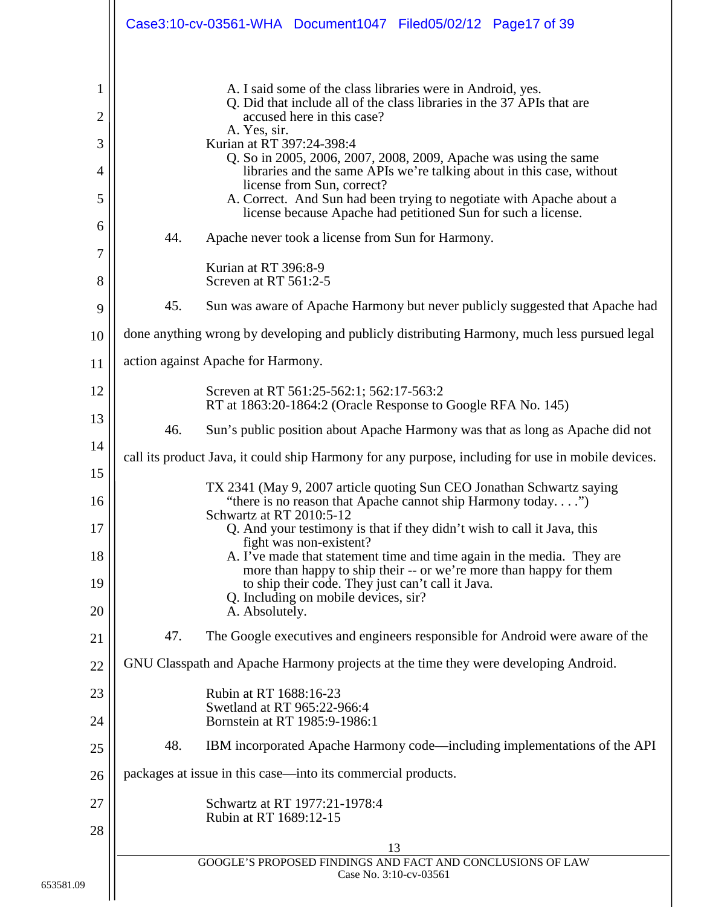|                                                        | Case3:10-cv-03561-WHA Document1047 Filed05/02/12 Page17 of 39                                                                                                                                                                                                                                                                                                                                                                                                                                                                                                                                                                                                                                                                                                                                                                                   |
|--------------------------------------------------------|-------------------------------------------------------------------------------------------------------------------------------------------------------------------------------------------------------------------------------------------------------------------------------------------------------------------------------------------------------------------------------------------------------------------------------------------------------------------------------------------------------------------------------------------------------------------------------------------------------------------------------------------------------------------------------------------------------------------------------------------------------------------------------------------------------------------------------------------------|
| 1<br>$\overline{2}$<br>3<br>4<br>5<br>6<br>7<br>8<br>9 | A. I said some of the class libraries were in Android, yes.<br>Q. Did that include all of the class libraries in the 37 APIs that are<br>accused here in this case?<br>A. Yes, sir.<br>Kurian at RT 397:24-398:4<br>Q. So in 2005, 2006, 2007, 2008, 2009, Apache was using the same<br>libraries and the same APIs we're talking about in this case, without<br>license from Sun, correct?<br>A. Correct. And Sun had been trying to negotiate with Apache about a<br>license because Apache had petitioned Sun for such a license.<br>44.<br>Apache never took a license from Sun for Harmony.<br>Kurian at RT 396:8-9<br>Screven at RT 561:2-5<br>45.<br>Sun was aware of Apache Harmony but never publicly suggested that Apache had<br>done anything wrong by developing and publicly distributing Harmony, much less pursued legal        |
| 10<br>11                                               | action against Apache for Harmony.                                                                                                                                                                                                                                                                                                                                                                                                                                                                                                                                                                                                                                                                                                                                                                                                              |
| 12<br>13<br>14<br>15<br>16<br>17<br>18<br>19<br>20     | Screven at RT 561:25-562:1; 562:17-563:2<br>RT at 1863:20-1864:2 (Oracle Response to Google RFA No. 145)<br>46.<br>Sun's public position about Apache Harmony was that as long as Apache did not<br>call its product Java, it could ship Harmony for any purpose, including for use in mobile devices.<br>TX 2341 (May 9, 2007 article quoting Sun CEO Jonathan Schwartz saying<br>"there is no reason that Apache cannot ship Harmony today")<br>Schwartz at RT 2010:5-12<br>Q. And your testimony is that if they didn't wish to call it Java, this<br>fight was non-existent?<br>A. I've made that statement time and time again in the media. They are<br>more than happy to ship their -- or we're more than happy for them<br>to ship their code. They just can't call it Java.<br>Q. Including on mobile devices, sir?<br>A. Absolutely. |
| 21                                                     | 47.<br>The Google executives and engineers responsible for Android were aware of the                                                                                                                                                                                                                                                                                                                                                                                                                                                                                                                                                                                                                                                                                                                                                            |
| 22                                                     | GNU Classpath and Apache Harmony projects at the time they were developing Android.                                                                                                                                                                                                                                                                                                                                                                                                                                                                                                                                                                                                                                                                                                                                                             |
| 23<br>24                                               | Rubin at RT 1688:16-23<br>Swetland at RT 965:22-966:4<br>Bornstein at RT 1985:9-1986:1                                                                                                                                                                                                                                                                                                                                                                                                                                                                                                                                                                                                                                                                                                                                                          |
| 25                                                     | 48.<br>IBM incorporated Apache Harmony code—including implementations of the API                                                                                                                                                                                                                                                                                                                                                                                                                                                                                                                                                                                                                                                                                                                                                                |
| 26                                                     | packages at issue in this case—into its commercial products.                                                                                                                                                                                                                                                                                                                                                                                                                                                                                                                                                                                                                                                                                                                                                                                    |
| 27                                                     | Schwartz at RT 1977:21-1978:4<br>Rubin at RT 1689:12-15                                                                                                                                                                                                                                                                                                                                                                                                                                                                                                                                                                                                                                                                                                                                                                                         |
| 28                                                     | 13                                                                                                                                                                                                                                                                                                                                                                                                                                                                                                                                                                                                                                                                                                                                                                                                                                              |
|                                                        | GOOGLE'S PROPOSED FINDINGS AND FACT AND CONCLUSIONS OF LAW<br>Case No. 3:10-cv-03561                                                                                                                                                                                                                                                                                                                                                                                                                                                                                                                                                                                                                                                                                                                                                            |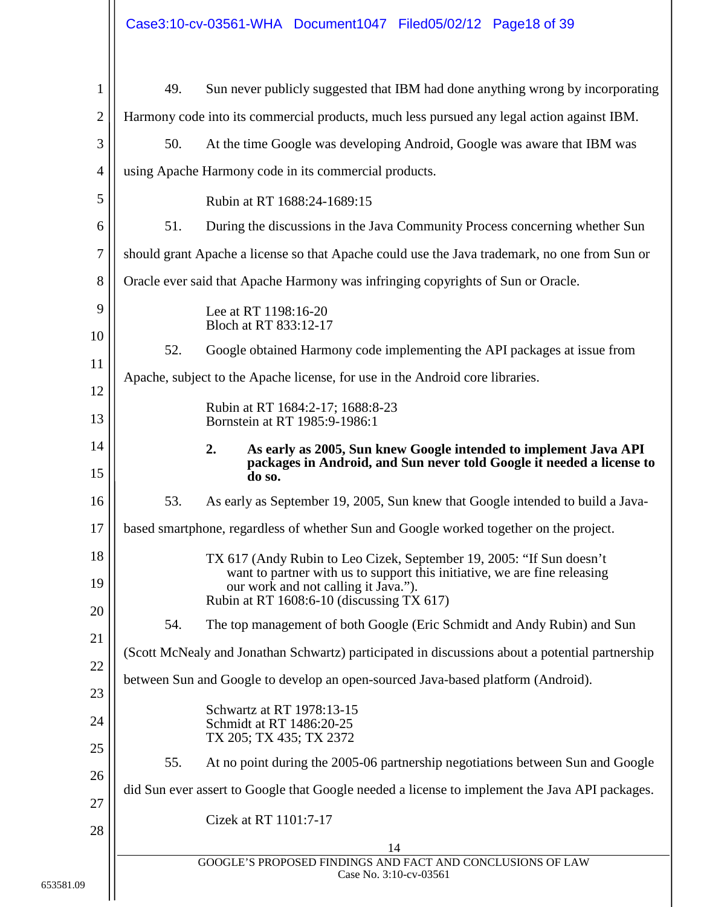|                | Case3:10-cv-03561-WHA Document1047 Filed05/02/12 Page18 of 39                                                                                                  |
|----------------|----------------------------------------------------------------------------------------------------------------------------------------------------------------|
| 1              | 49.<br>Sun never publicly suggested that IBM had done anything wrong by incorporating                                                                          |
| $\overline{c}$ | Harmony code into its commercial products, much less pursued any legal action against IBM.                                                                     |
| 3              | 50.<br>At the time Google was developing Android, Google was aware that IBM was                                                                                |
| $\overline{4}$ | using Apache Harmony code in its commercial products.                                                                                                          |
| 5              | Rubin at RT 1688:24-1689:15                                                                                                                                    |
| 6              | 51.<br>During the discussions in the Java Community Process concerning whether Sun                                                                             |
| 7              | should grant Apache a license so that Apache could use the Java trademark, no one from Sun or                                                                  |
| 8              | Oracle ever said that Apache Harmony was infringing copyrights of Sun or Oracle.                                                                               |
| 9              | Lee at RT 1198:16-20                                                                                                                                           |
| 10             | Bloch at RT 833:12-17                                                                                                                                          |
| 11             | 52.<br>Google obtained Harmony code implementing the API packages at issue from                                                                                |
| 12             | Apache, subject to the Apache license, for use in the Android core libraries.                                                                                  |
| 13             | Rubin at RT 1684:2-17; 1688:8-23<br>Bornstein at RT 1985:9-1986:1                                                                                              |
| 14<br>15       | 2.<br>As early as 2005, Sun knew Google intended to implement Java API<br>packages in Android, and Sun never told Google it needed a license to<br>do so.      |
| 16             | 53.<br>As early as September 19, 2005, Sun knew that Google intended to build a Java-                                                                          |
| 17             | based smartphone, regardless of whether Sun and Google worked together on the project.                                                                         |
| 18             | TX 617 (Andy Rubin to Leo Cizek, September 19, 2005: "If Sun doesn't                                                                                           |
| 19             | want to partner with us to support this initiative, we are fine releasing<br>our work and not calling it Java.").<br>Rubin at RT 1608:6-10 (discussing TX 617) |
| 20             | The top management of both Google (Eric Schmidt and Andy Rubin) and Sun<br>54.                                                                                 |
| 21             | (Scott McNealy and Jonathan Schwartz) participated in discussions about a potential partnership                                                                |
| 22             | between Sun and Google to develop an open-sourced Java-based platform (Android).                                                                               |
| 23             | Schwartz at RT 1978:13-15                                                                                                                                      |
| 24             | Schmidt at RT 1486:20-25<br>TX 205; TX 435; TX 2372                                                                                                            |
| 25             | At no point during the 2005-06 partnership negotiations between Sun and Google<br>55.                                                                          |
| 26             | did Sun ever assert to Google that Google needed a license to implement the Java API packages.                                                                 |
| 27             | Cizek at RT 1101:7-17                                                                                                                                          |
| 28             | 14                                                                                                                                                             |

<span id="page-17-0"></span>

| GOOGLE'S PROPOSED FINDINGS AND FACT AND CONCLUSIONS OF LAW |  |
|------------------------------------------------------------|--|
| Case No. 3:10-cv-03561                                     |  |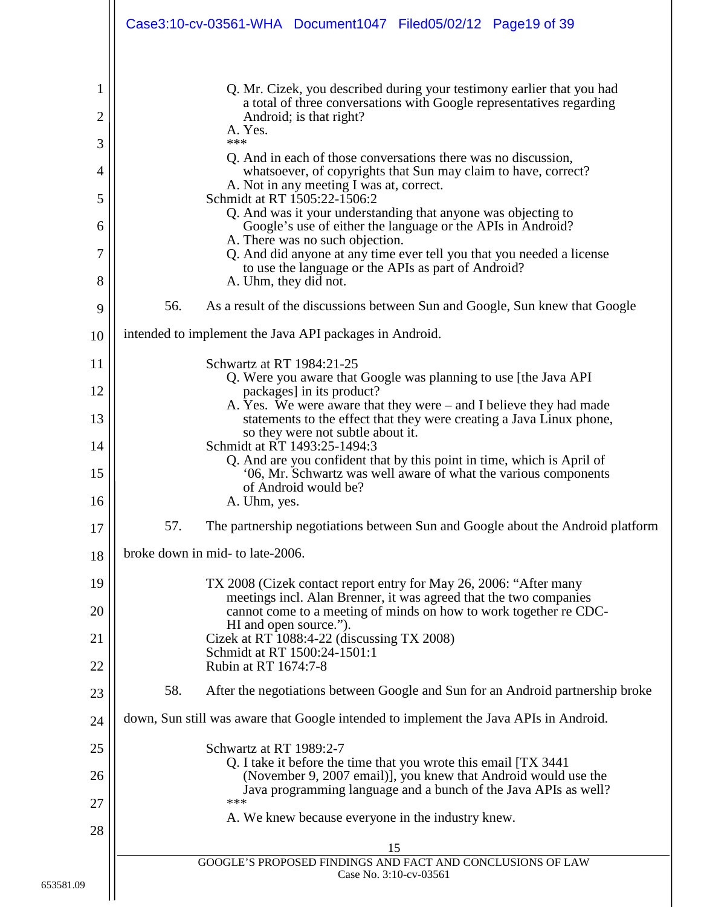|          | Case3:10-cv-03561-WHA Document1047 Filed05/02/12 Page19 of 39                                                                            |
|----------|------------------------------------------------------------------------------------------------------------------------------------------|
| 1        | Q. Mr. Cizek, you described during your testimony earlier that you had                                                                   |
| 2        | a total of three conversations with Google representatives regarding<br>Android; is that right?                                          |
| 3        | A. Yes.<br>***                                                                                                                           |
| 4        | Q. And in each of those conversations there was no discussion,<br>whatsoever, of copyrights that Sun may claim to have, correct?         |
| 5        | A. Not in any meeting I was at, correct.<br>Schmidt at RT 1505:22-1506:2                                                                 |
| 6        | Q. And was it your understanding that anyone was objecting to<br>Google's use of either the language or the APIs in Android?             |
| 7        | A. There was no such objection.<br>Q. And did anyone at any time ever tell you that you needed a license                                 |
| 8        | to use the language or the APIs as part of Android?<br>A. Uhm, they did not.                                                             |
| 9        | 56.<br>As a result of the discussions between Sun and Google, Sun knew that Google                                                       |
| 10       | intended to implement the Java API packages in Android.                                                                                  |
| 11       | Schwartz at RT 1984:21-25<br>Q. Were you aware that Google was planning to use [the Java API]                                            |
| 12       | packages] in its product?<br>A. Yes. We were aware that they were – and I believe they had made                                          |
| 13       | statements to the effect that they were creating a Java Linux phone,<br>so they were not subtle about it.                                |
| 14       | Schmidt at RT 1493:25-1494:3<br>Q. And are you confident that by this point in time, which is April of                                   |
| 15       | '06, Mr. Schwartz was well aware of what the various components<br>of Android would be?                                                  |
| 16       | A. Uhm, yes.                                                                                                                             |
| 17       | 57.<br>The partnership negotiations between Sun and Google about the Android platform                                                    |
| 18       | broke down in mid- to late-2006.                                                                                                         |
| 19       | TX 2008 (Cizek contact report entry for May 26, 2006: "After many<br>meetings incl. Alan Brenner, it was agreed that the two companies   |
| 20       | cannot come to a meeting of minds on how to work together re CDC-<br>HI and open source.").                                              |
| 21       | Cizek at RT 1088:4-22 (discussing TX 2008)<br>Schmidt at RT 1500:24-1501:1                                                               |
| 22       | Rubin at RT 1674:7-8<br>58.<br>After the negotiations between Google and Sun for an Android partnership broke                            |
| 23       | down, Sun still was aware that Google intended to implement the Java APIs in Android.                                                    |
| 24       |                                                                                                                                          |
| 25       | Schwartz at RT 1989:2-7<br>Q. I take it before the time that you wrote this email [TX 3441]                                              |
| 26<br>27 | (November 9, 2007 email)], you knew that Android would use the<br>Java programming language and a bunch of the Java APIs as well?<br>*** |
| 28       | A. We knew because everyone in the industry knew.                                                                                        |
|          | 15                                                                                                                                       |
|          | GOOGLE'S PROPOSED FINDINGS AND FACT AND CONCLUSIONS OF LAW<br>Case No. 3:10-cv-03561                                                     |
|          |                                                                                                                                          |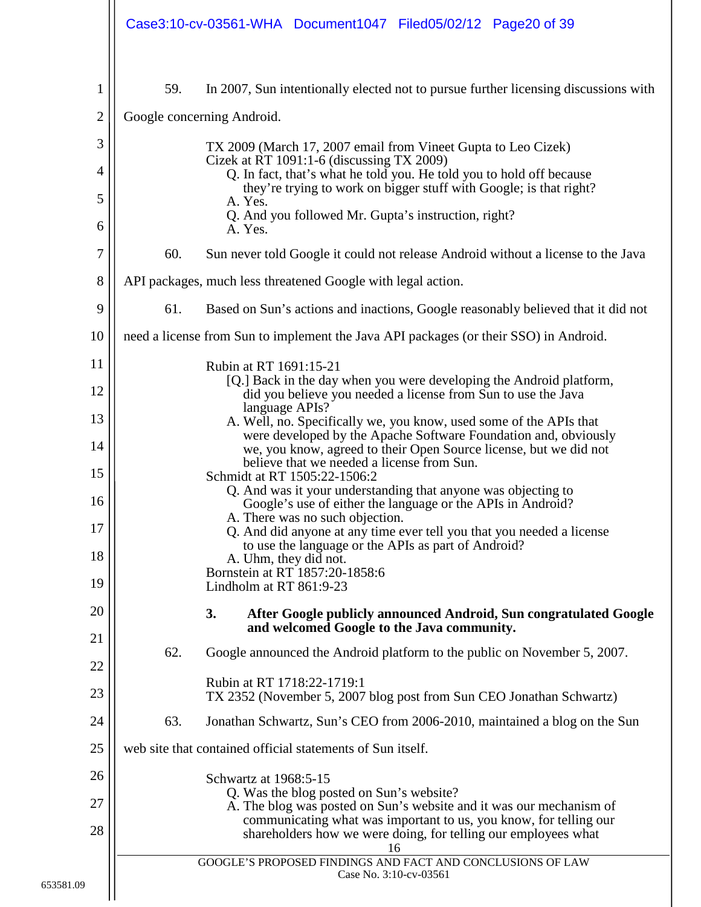<span id="page-19-0"></span>

|                |                            |                                                  | Case3:10-cv-03561-WHA Document1047 Filed05/02/12 Page20 of 39                                  |                        |                                                                                                                                          |
|----------------|----------------------------|--------------------------------------------------|------------------------------------------------------------------------------------------------|------------------------|------------------------------------------------------------------------------------------------------------------------------------------|
| 1              | 59.                        |                                                  |                                                                                                |                        | In 2007, Sun intentionally elected not to pursue further licensing discussions with                                                      |
| $\overline{2}$ | Google concerning Android. |                                                  |                                                                                                |                        |                                                                                                                                          |
| 3              |                            |                                                  | TX 2009 (March 17, 2007 email from Vineet Gupta to Leo Cizek)                                  |                        |                                                                                                                                          |
| 4              |                            |                                                  | Cizek at RT 1091:1-6 (discussing TX 2009)                                                      |                        | Q. In fact, that's what he told you. He told you to hold off because                                                                     |
| 5              |                            | A. Yes.                                          |                                                                                                |                        | they're trying to work on bigger stuff with Google; is that right?                                                                       |
| 6              |                            | A. Yes.                                          | Q. And you followed Mr. Gupta's instruction, right?                                            |                        |                                                                                                                                          |
| 7              | 60.                        |                                                  |                                                                                                |                        | Sun never told Google it could not release Android without a license to the Java                                                         |
| 8              |                            |                                                  | API packages, much less threatened Google with legal action.                                   |                        |                                                                                                                                          |
| 9              | 61.                        |                                                  |                                                                                                |                        | Based on Sun's actions and inactions, Google reasonably believed that it did not                                                         |
| 10             |                            |                                                  |                                                                                                |                        | need a license from Sun to implement the Java API packages (or their SSO) in Android.                                                    |
| 11             |                            | Rubin at RT 1691:15-21                           |                                                                                                |                        | [Q.] Back in the day when you were developing the Android platform,                                                                      |
| 12             |                            | language APIs?                                   | did you believe you needed a license from Sun to use the Java                                  |                        |                                                                                                                                          |
| 13             |                            |                                                  |                                                                                                |                        | A. Well, no. Specifically we, you know, used some of the APIs that<br>were developed by the Apache Software Foundation and, obviously    |
| 14             |                            |                                                  | believe that we needed a license from Sun.                                                     |                        | we, you know, agreed to their Open Source license, but we did not                                                                        |
| 15             |                            |                                                  | Schmidt at RT 1505:22-1506:2<br>Q. And was it your understanding that anyone was objecting to  |                        |                                                                                                                                          |
| 16<br>17       |                            |                                                  | Google's use of either the language or the APIs in Android?<br>A. There was no such objection. |                        |                                                                                                                                          |
| 18             |                            |                                                  | to use the language or the APIs as part of Android?                                            |                        | Q. And did anyone at any time ever tell you that you needed a license                                                                    |
| 19             |                            | A. Uhm, they did not.<br>Lindholm at RT 861:9-23 | Bornstein at RT 1857:20-1858:6                                                                 |                        |                                                                                                                                          |
| 20             | 3.                         |                                                  |                                                                                                |                        | After Google publicly announced Android, Sun congratulated Google                                                                        |
| 21             |                            |                                                  | and welcomed Google to the Java community.                                                     |                        |                                                                                                                                          |
| 22             | 62.                        |                                                  |                                                                                                |                        | Google announced the Android platform to the public on November 5, 2007.                                                                 |
| 23             |                            |                                                  | Rubin at RT 1718:22-1719:1                                                                     |                        | TX 2352 (November 5, 2007 blog post from Sun CEO Jonathan Schwartz)                                                                      |
| 24             | 63.                        |                                                  |                                                                                                |                        | Jonathan Schwartz, Sun's CEO from 2006-2010, maintained a blog on the Sun                                                                |
| 25             |                            |                                                  | web site that contained official statements of Sun itself.                                     |                        |                                                                                                                                          |
| 26             |                            | Schwartz at 1968:5-15                            |                                                                                                |                        |                                                                                                                                          |
| 27             |                            |                                                  | Q. Was the blog posted on Sun's website?                                                       |                        | A. The blog was posted on Sun's website and it was our mechanism of<br>communicating what was important to us, you know, for telling our |
| 28             |                            |                                                  |                                                                                                | 16                     | shareholders how we were doing, for telling our employees what                                                                           |
|                |                            |                                                  | GOOGLE'S PROPOSED FINDINGS AND FACT AND CONCLUSIONS OF LAW                                     | Case No. 3:10-cv-03561 |                                                                                                                                          |
|                |                            |                                                  |                                                                                                |                        |                                                                                                                                          |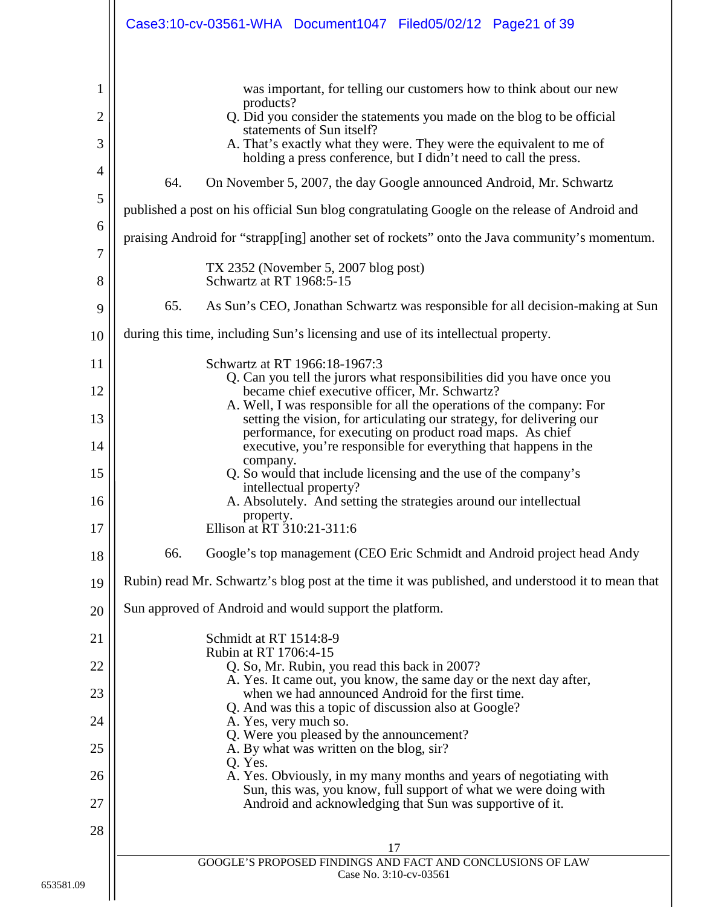|                                                 | Case3:10-cv-03561-WHA Document1047 Filed05/02/12 Page21 of 39                                                                                                                                                                                                                                                                                                                                                    |
|-------------------------------------------------|------------------------------------------------------------------------------------------------------------------------------------------------------------------------------------------------------------------------------------------------------------------------------------------------------------------------------------------------------------------------------------------------------------------|
| 1<br>$\overline{2}$<br>3<br>$\overline{4}$<br>5 | was important, for telling our customers how to think about our new<br>products?<br>Q. Did you consider the statements you made on the blog to be official<br>statements of Sun itself?<br>A. That's exactly what they were. They were the equivalent to me of<br>holding a press conference, but I didn't need to call the press.<br>64.<br>On November 5, 2007, the day Google announced Android, Mr. Schwartz |
| 6                                               | published a post on his official Sun blog congratulating Google on the release of Android and                                                                                                                                                                                                                                                                                                                    |
| 7                                               | praising Android for "strapp[ing] another set of rockets" onto the Java community's momentum.                                                                                                                                                                                                                                                                                                                    |
| 8                                               | TX 2352 (November 5, 2007 blog post)<br>Schwartz at RT 1968:5-15                                                                                                                                                                                                                                                                                                                                                 |
| 9                                               | 65.<br>As Sun's CEO, Jonathan Schwartz was responsible for all decision-making at Sun                                                                                                                                                                                                                                                                                                                            |
| 10                                              | during this time, including Sun's licensing and use of its intellectual property.                                                                                                                                                                                                                                                                                                                                |
| 11                                              | Schwartz at RT 1966:18-1967:3<br>Q. Can you tell the jurors what responsibilities did you have once you                                                                                                                                                                                                                                                                                                          |
| 12                                              | became chief executive officer, Mr. Schwartz?<br>A. Well, I was responsible for all the operations of the company: For                                                                                                                                                                                                                                                                                           |
| 13                                              | setting the vision, for articulating our strategy, for delivering our<br>performance, for executing on product road maps. As chief                                                                                                                                                                                                                                                                               |
| 14                                              | executive, you're responsible for everything that happens in the<br>company.                                                                                                                                                                                                                                                                                                                                     |
| 15                                              | Q. So would that include licensing and the use of the company's<br>intellectual property?                                                                                                                                                                                                                                                                                                                        |
| 16                                              | A. Absolutely. And setting the strategies around our intellectual<br>property.                                                                                                                                                                                                                                                                                                                                   |
| 17                                              | Ellison at RT 310:21-311:6                                                                                                                                                                                                                                                                                                                                                                                       |
| 18                                              | 66.<br>Google's top management (CEO Eric Schmidt and Android project head Andy                                                                                                                                                                                                                                                                                                                                   |
| 19                                              | Rubin) read Mr. Schwartz's blog post at the time it was published, and understood it to mean that                                                                                                                                                                                                                                                                                                                |
| 20                                              | Sun approved of Android and would support the platform.                                                                                                                                                                                                                                                                                                                                                          |
| 21                                              | Schmidt at RT 1514:8-9<br>Rubin at RT 1706:4-15                                                                                                                                                                                                                                                                                                                                                                  |
| 22                                              | Q. So, Mr. Rubin, you read this back in 2007?<br>A. Yes. It came out, you know, the same day or the next day after,                                                                                                                                                                                                                                                                                              |
| 23                                              | when we had announced Android for the first time.<br>Q. And was this a topic of discussion also at Google?                                                                                                                                                                                                                                                                                                       |
| 24<br>25                                        | A. Yes, very much so.<br>Q. Were you pleased by the announcement?                                                                                                                                                                                                                                                                                                                                                |
|                                                 | A. By what was written on the blog, sir?<br>Q. Yes.                                                                                                                                                                                                                                                                                                                                                              |
| 26<br>27                                        | A. Yes. Obviously, in my many months and years of negotiating with<br>Sun, this was, you know, full support of what we were doing with<br>Android and acknowledging that Sun was supportive of it.                                                                                                                                                                                                               |
| 28                                              |                                                                                                                                                                                                                                                                                                                                                                                                                  |
|                                                 | 17                                                                                                                                                                                                                                                                                                                                                                                                               |
|                                                 | GOOGLE'S PROPOSED FINDINGS AND FACT AND CONCLUSIONS OF LAW<br>Case No. 3:10-cv-03561                                                                                                                                                                                                                                                                                                                             |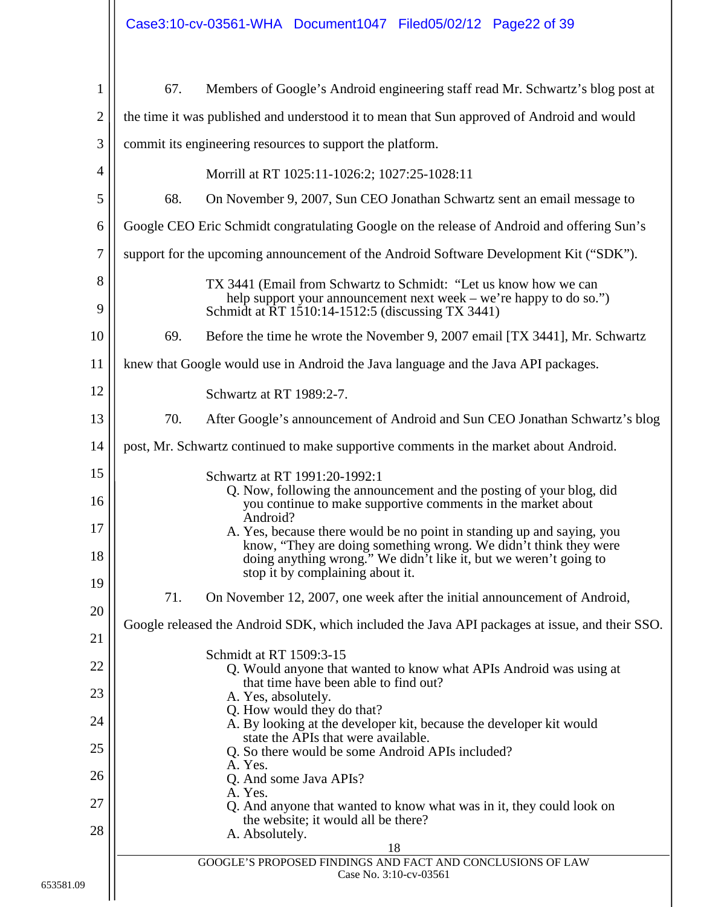| $\mathbf{1}$   | 67. | Members of Google's Android engineering staff read Mr. Schwartz's blog post at                                                                                                              |
|----------------|-----|---------------------------------------------------------------------------------------------------------------------------------------------------------------------------------------------|
| $\overline{2}$ |     | the time it was published and understood it to mean that Sun approved of Android and would                                                                                                  |
| 3              |     | commit its engineering resources to support the platform.                                                                                                                                   |
| $\overline{4}$ |     | Morrill at RT 1025:11-1026:2; 1027:25-1028:11                                                                                                                                               |
| 5              | 68. | On November 9, 2007, Sun CEO Jonathan Schwartz sent an email message to                                                                                                                     |
| 6              |     | Google CEO Eric Schmidt congratulating Google on the release of Android and offering Sun's                                                                                                  |
| $\overline{7}$ |     | support for the upcoming announcement of the Android Software Development Kit ("SDK").                                                                                                      |
| 8<br>9         |     | TX 3441 (Email from Schwartz to Schmidt: "Let us know how we can<br>help support your announcement next week – we're happy to do so.")<br>Schmidt at RT 1510:14-1512:5 (discussing TX 3441) |
| 10             | 69. | Before the time he wrote the November 9, 2007 email [TX 3441], Mr. Schwartz                                                                                                                 |
| 11             |     | knew that Google would use in Android the Java language and the Java API packages.                                                                                                          |
| 12             |     | Schwartz at RT 1989:2-7.                                                                                                                                                                    |
| 13             | 70. | After Google's announcement of Android and Sun CEO Jonathan Schwartz's blog                                                                                                                 |
| 14             |     | post, Mr. Schwartz continued to make supportive comments in the market about Android.                                                                                                       |
| 15             |     | Schwartz at RT 1991:20-1992:1<br>Q. Now, following the announcement and the posting of your blog, did                                                                                       |
| 16             |     | you continue to make supportive comments in the market about<br>Android?                                                                                                                    |
| 17             |     | A. Yes, because there would be no point in standing up and saying, you<br>know, "They are doing something wrong. We didn't think they were                                                  |
| 18             |     | doing anything wrong." We didn <sup>7</sup> t like it, but we weren't going to<br>stop it by complaining about it.                                                                          |
| 19             | 71. | On November 12, 2007, one week after the initial announcement of Android,                                                                                                                   |
| 20             |     | Google released the Android SDK, which included the Java API packages at issue, and their SSO.                                                                                              |
| 21             |     | Schmidt at RT 1509:3-15                                                                                                                                                                     |
| 22             |     | Q. Would anyone that wanted to know what APIs Android was using at<br>that time have been able to find out?                                                                                 |
| 23             |     | A. Yes, absolutely.<br>Q. How would they do that?                                                                                                                                           |
| 24             |     | A. By looking at the developer kit, because the developer kit would<br>state the APIs that were available.                                                                                  |
| 25<br>26       |     | Q. So there would be some Android APIs included?<br>A. Yes.                                                                                                                                 |
| 27             |     | Q. And some Java APIs?<br>A. Yes.                                                                                                                                                           |
| 28             |     | Q. And anyone that wanted to know what was in it, they could look on<br>the website; it would all be there?<br>A. Absolutely.                                                               |
|                |     | 18                                                                                                                                                                                          |
|                |     | GOOGLE'S PROPOSED FINDINGS AND FACT AND CONCLUSIONS OF LAW<br>Case No. 3:10-cv-03561                                                                                                        |
|                |     |                                                                                                                                                                                             |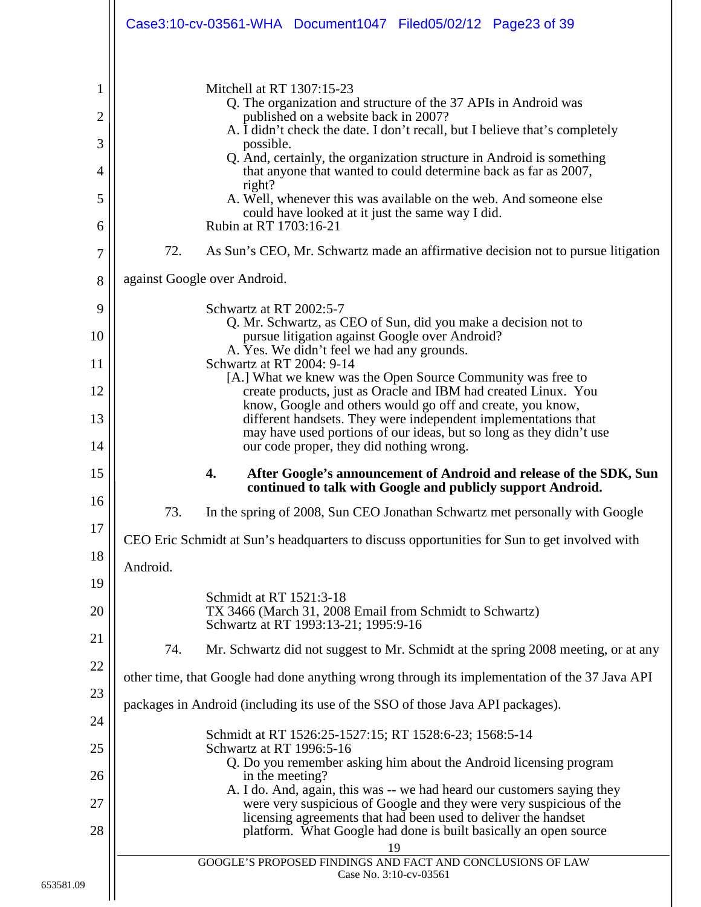<span id="page-22-0"></span>

|                                                                                                               | Case3:10-cv-03561-WHA Document1047 Filed05/02/12 Page23 of 39                                                                                                                                                                                                                                                                                                                                                                                                                                                                                                                                                                                                                                                                                                                                                                                                                                                                                                                                                                                                                                                                                                                                                                                                                                                                                                                                                                                                                                                       |  |
|---------------------------------------------------------------------------------------------------------------|---------------------------------------------------------------------------------------------------------------------------------------------------------------------------------------------------------------------------------------------------------------------------------------------------------------------------------------------------------------------------------------------------------------------------------------------------------------------------------------------------------------------------------------------------------------------------------------------------------------------------------------------------------------------------------------------------------------------------------------------------------------------------------------------------------------------------------------------------------------------------------------------------------------------------------------------------------------------------------------------------------------------------------------------------------------------------------------------------------------------------------------------------------------------------------------------------------------------------------------------------------------------------------------------------------------------------------------------------------------------------------------------------------------------------------------------------------------------------------------------------------------------|--|
| 1<br>$\overline{2}$<br>3<br>$\overline{4}$<br>5<br>6<br>7<br>8<br>9<br>10<br>11<br>12<br>13<br>14<br>15<br>16 | Mitchell at RT 1307:15-23<br>Q. The organization and structure of the 37 APIs in Android was<br>published on a website back in 2007?<br>A. I didn't check the date. I don't recall, but I believe that's completely<br>possible.<br>Q. And, certainly, the organization structure in Android is something<br>that anyone that wanted to could determine back as far as 2007,<br>right?<br>A. Well, whenever this was available on the web. And someone else<br>could have looked at it just the same way I did.<br>Rubin at RT 1703:16-21<br>72.<br>As Sun's CEO, Mr. Schwartz made an affirmative decision not to pursue litigation<br>against Google over Android.<br>Schwartz at RT 2002:5-7<br>Q. Mr. Schwartz, as CEO of Sun, did you make a decision not to<br>pursue litigation against Google over Android?<br>A. Yes. We didn't feel we had any grounds.<br>Schwartz at RT 2004: 9-14<br>[A.] What we knew was the Open Source Community was free to<br>create products, just as Oracle and IBM had created Linux. You<br>know, Google and others would go off and create, you know,<br>different handsets. They were independent implementations that<br>may have used portions of our ideas, but so long as they didn't use<br>our code proper, they did nothing wrong.<br>4.<br>After Google's announcement of Android and release of the SDK, Sun<br>continued to talk with Google and publicly support Android.<br>In the spring of 2008, Sun CEO Jonathan Schwartz met personally with Google<br>73. |  |
| 17<br>18                                                                                                      | CEO Eric Schmidt at Sun's headquarters to discuss opportunities for Sun to get involved with                                                                                                                                                                                                                                                                                                                                                                                                                                                                                                                                                                                                                                                                                                                                                                                                                                                                                                                                                                                                                                                                                                                                                                                                                                                                                                                                                                                                                        |  |
| 19<br>20                                                                                                      | Android.<br>Schmidt at RT 1521:3-18<br>TX 3466 (March 31, 2008 Email from Schmidt to Schwartz)<br>Schwartz at RT 1993:13-21; 1995:9-16                                                                                                                                                                                                                                                                                                                                                                                                                                                                                                                                                                                                                                                                                                                                                                                                                                                                                                                                                                                                                                                                                                                                                                                                                                                                                                                                                                              |  |
| 21                                                                                                            | 74.<br>Mr. Schwartz did not suggest to Mr. Schmidt at the spring 2008 meeting, or at any                                                                                                                                                                                                                                                                                                                                                                                                                                                                                                                                                                                                                                                                                                                                                                                                                                                                                                                                                                                                                                                                                                                                                                                                                                                                                                                                                                                                                            |  |
| 22<br>23                                                                                                      | other time, that Google had done anything wrong through its implementation of the 37 Java API                                                                                                                                                                                                                                                                                                                                                                                                                                                                                                                                                                                                                                                                                                                                                                                                                                                                                                                                                                                                                                                                                                                                                                                                                                                                                                                                                                                                                       |  |
| 24                                                                                                            | packages in Android (including its use of the SSO of those Java API packages).                                                                                                                                                                                                                                                                                                                                                                                                                                                                                                                                                                                                                                                                                                                                                                                                                                                                                                                                                                                                                                                                                                                                                                                                                                                                                                                                                                                                                                      |  |
| 25                                                                                                            | Schmidt at RT 1526:25-1527:15; RT 1528:6-23; 1568:5-14<br>Schwartz at RT 1996:5-16<br>Q. Do you remember asking him about the Android licensing program                                                                                                                                                                                                                                                                                                                                                                                                                                                                                                                                                                                                                                                                                                                                                                                                                                                                                                                                                                                                                                                                                                                                                                                                                                                                                                                                                             |  |
| 26                                                                                                            | in the meeting?<br>A. I do. And, again, this was -- we had heard our customers saying they                                                                                                                                                                                                                                                                                                                                                                                                                                                                                                                                                                                                                                                                                                                                                                                                                                                                                                                                                                                                                                                                                                                                                                                                                                                                                                                                                                                                                          |  |
| 27<br>28                                                                                                      | were very suspicious of Google and they were very suspicious of the<br>licensing agreements that had been used to deliver the handset<br>platform. What Google had done is built basically an open source<br>19                                                                                                                                                                                                                                                                                                                                                                                                                                                                                                                                                                                                                                                                                                                                                                                                                                                                                                                                                                                                                                                                                                                                                                                                                                                                                                     |  |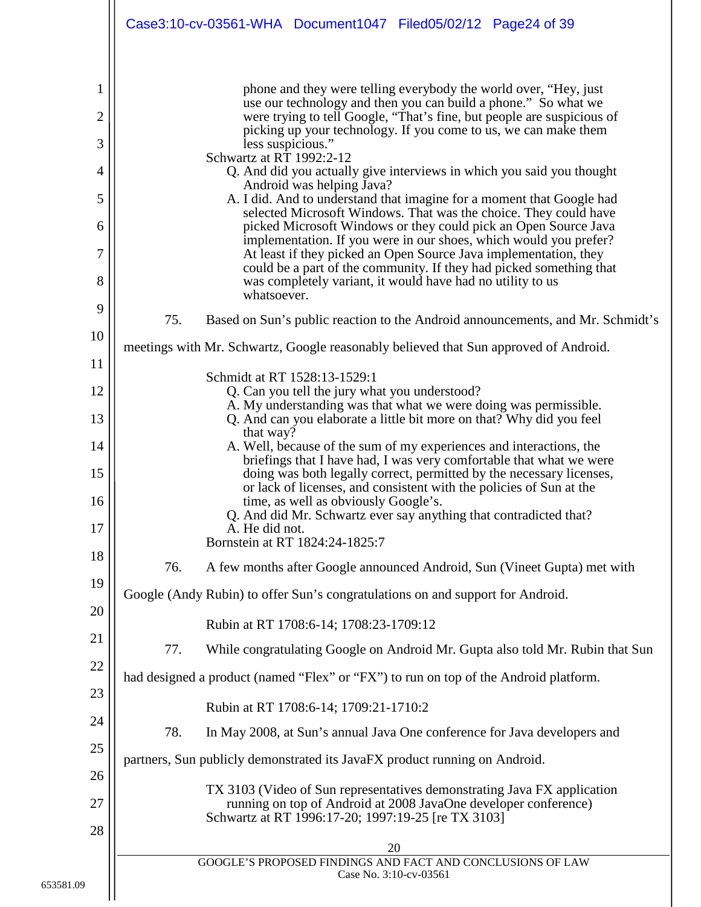|                                                                     | Case3:10-cv-03561-WHA Document1047 Filed05/02/12 Page24 of 39                                                                                                                                                                                                                                                                                                                                                                                                                                                                                                                                                                                                                                                                                                                                                                                                                                                                                                                                                                                |
|---------------------------------------------------------------------|----------------------------------------------------------------------------------------------------------------------------------------------------------------------------------------------------------------------------------------------------------------------------------------------------------------------------------------------------------------------------------------------------------------------------------------------------------------------------------------------------------------------------------------------------------------------------------------------------------------------------------------------------------------------------------------------------------------------------------------------------------------------------------------------------------------------------------------------------------------------------------------------------------------------------------------------------------------------------------------------------------------------------------------------|
| 1<br>$\overline{2}$<br>3<br>4<br>5<br>6<br>$\overline{7}$<br>8<br>9 | phone and they were telling everybody the world over, "Hey, just<br>use our technology and then you can build a phone." So what we<br>were trying to tell Google, "That's fine, but people are suspicious of<br>picking up your technology. If you come to us, we can make them<br>less suspicious."<br>Schwartz at RT 1992:2-12<br>Q. And did you actually give interviews in which you said you thought<br>Android was helping Java?<br>A. I did. And to understand that imagine for a moment that Google had<br>selected Microsoft Windows. That was the choice. They could have<br>picked Microsoft Windows or they could pick an Open Source Java<br>implementation. If you were in our shoes, which would you prefer?<br>At least if they picked an Open Source Java implementation, they<br>could be a part of the community. If they had picked something that<br>was completely variant, it would have had no utility to us<br>whatsoever.<br>75.<br>Based on Sun's public reaction to the Android announcements, and Mr. Schmidt's |
| 10                                                                  | meetings with Mr. Schwartz, Google reasonably believed that Sun approved of Android.                                                                                                                                                                                                                                                                                                                                                                                                                                                                                                                                                                                                                                                                                                                                                                                                                                                                                                                                                         |
| 11<br>12                                                            | Schmidt at RT 1528:13-1529:1<br>Q. Can you tell the jury what you understood?                                                                                                                                                                                                                                                                                                                                                                                                                                                                                                                                                                                                                                                                                                                                                                                                                                                                                                                                                                |
| 13                                                                  | A. My understanding was that what we were doing was permissible.<br>Q. And can you elaborate a little bit more on that? Why did you feel                                                                                                                                                                                                                                                                                                                                                                                                                                                                                                                                                                                                                                                                                                                                                                                                                                                                                                     |
| 14                                                                  | that way?<br>A. Well, because of the sum of my experiences and interactions, the                                                                                                                                                                                                                                                                                                                                                                                                                                                                                                                                                                                                                                                                                                                                                                                                                                                                                                                                                             |
| 15<br>16<br>17                                                      | briefings that I have had, I was very comfortable that what we were<br>doing was both legally correct, permitted by the necessary licenses,<br>or lack of licenses, and consistent with the policies of Sun at the<br>time, as well as obviously Google's.<br>Q. And did Mr. Schwartz ever say anything that contradicted that?<br>A. He did not.<br>Bornstein at RT 1824:24-1825:7                                                                                                                                                                                                                                                                                                                                                                                                                                                                                                                                                                                                                                                          |
| 18                                                                  | 76.<br>A few months after Google announced Android, Sun (Vineet Gupta) met with                                                                                                                                                                                                                                                                                                                                                                                                                                                                                                                                                                                                                                                                                                                                                                                                                                                                                                                                                              |
| 19                                                                  | Google (Andy Rubin) to offer Sun's congratulations on and support for Android.                                                                                                                                                                                                                                                                                                                                                                                                                                                                                                                                                                                                                                                                                                                                                                                                                                                                                                                                                               |
| 20                                                                  | Rubin at RT 1708:6-14; 1708:23-1709:12                                                                                                                                                                                                                                                                                                                                                                                                                                                                                                                                                                                                                                                                                                                                                                                                                                                                                                                                                                                                       |
| 21<br>22                                                            | 77.<br>While congratulating Google on Android Mr. Gupta also told Mr. Rubin that Sun                                                                                                                                                                                                                                                                                                                                                                                                                                                                                                                                                                                                                                                                                                                                                                                                                                                                                                                                                         |
| 23                                                                  | had designed a product (named "Flex" or "FX") to run on top of the Android platform.                                                                                                                                                                                                                                                                                                                                                                                                                                                                                                                                                                                                                                                                                                                                                                                                                                                                                                                                                         |
| 24                                                                  | Rubin at RT 1708:6-14; 1709:21-1710:2                                                                                                                                                                                                                                                                                                                                                                                                                                                                                                                                                                                                                                                                                                                                                                                                                                                                                                                                                                                                        |
| 25                                                                  | 78.<br>In May 2008, at Sun's annual Java One conference for Java developers and                                                                                                                                                                                                                                                                                                                                                                                                                                                                                                                                                                                                                                                                                                                                                                                                                                                                                                                                                              |
| 26                                                                  | partners, Sun publicly demonstrated its JavaFX product running on Android.                                                                                                                                                                                                                                                                                                                                                                                                                                                                                                                                                                                                                                                                                                                                                                                                                                                                                                                                                                   |
| 27<br>28                                                            | TX 3103 (Video of Sun representatives demonstrating Java FX application<br>running on top of Android at 2008 JavaOne developer conference)<br>Schwartz at RT 1996:17-20; 1997:19-25 [re TX 3103]                                                                                                                                                                                                                                                                                                                                                                                                                                                                                                                                                                                                                                                                                                                                                                                                                                             |
|                                                                     | 20<br>GOOGLE'S PROPOSED FINDINGS AND FACT AND CONCLUSIONS OF LAW                                                                                                                                                                                                                                                                                                                                                                                                                                                                                                                                                                                                                                                                                                                                                                                                                                                                                                                                                                             |
|                                                                     | Case No. 3:10-cv-03561                                                                                                                                                                                                                                                                                                                                                                                                                                                                                                                                                                                                                                                                                                                                                                                                                                                                                                                                                                                                                       |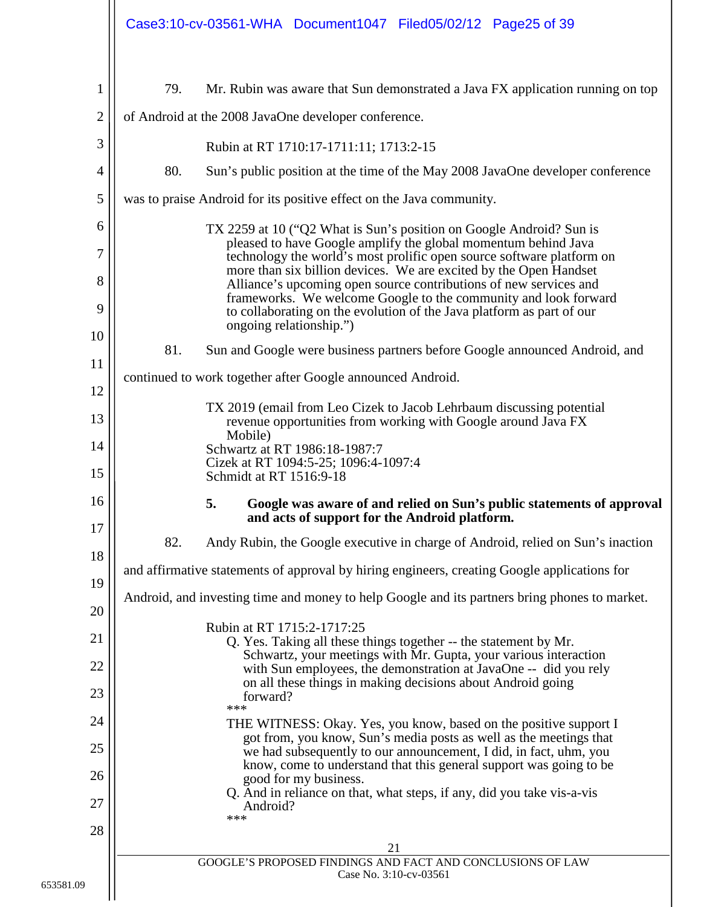<span id="page-24-0"></span>

|                |     | Case3:10-cv-03561-WHA Document1047 Filed05/02/12 Page25 of 39                                                                                                                                                                            |
|----------------|-----|------------------------------------------------------------------------------------------------------------------------------------------------------------------------------------------------------------------------------------------|
| $\mathbf{1}$   | 79. | Mr. Rubin was aware that Sun demonstrated a Java FX application running on top                                                                                                                                                           |
| $\overline{2}$ |     | of Android at the 2008 JavaOne developer conference.                                                                                                                                                                                     |
| 3              |     | Rubin at RT 1710:17-1711:11; 1713:2-15                                                                                                                                                                                                   |
| $\overline{4}$ | 80. | Sun's public position at the time of the May 2008 JavaOne developer conference                                                                                                                                                           |
| 5              |     | was to praise Android for its positive effect on the Java community.                                                                                                                                                                     |
| 6              |     | TX 2259 at 10 ("Q2 What is Sun's position on Google Android? Sun is                                                                                                                                                                      |
| $\overline{7}$ |     | pleased to have Google amplify the global momentum behind Java<br>technology the world's most prolific open source software platform on<br>more than six billion devices. We are excited by the Open Handset                             |
| 8<br>9         |     | Alliance's upcoming open source contributions of new services and<br>frameworks. We welcome Google to the community and look forward<br>to collaborating on the evolution of the Java platform as part of our<br>ongoing relationship.") |
| 10             | 81. | Sun and Google were business partners before Google announced Android, and                                                                                                                                                               |
| 11             |     | continued to work together after Google announced Android.                                                                                                                                                                               |
| 12             |     | TX 2019 (email from Leo Cizek to Jacob Lehrbaum discussing potential                                                                                                                                                                     |
| 13             |     | revenue opportunities from working with Google around Java FX<br>Mobile)                                                                                                                                                                 |
| 14<br>15       |     | Schwartz at RT 1986:18-1987:7<br>Cizek at RT 1094:5-25; 1096:4-1097:4<br>Schmidt at RT 1516:9-18                                                                                                                                         |
| 16             |     | 5.<br>Google was aware of and relied on Sun's public statements of approval<br>and acts of support for the Android platform.                                                                                                             |
| 17             | 82. | Andy Rubin, the Google executive in charge of Android, relied on Sun's inaction                                                                                                                                                          |
| 18<br>19       |     | and affirmative statements of approval by hiring engineers, creating Google applications for                                                                                                                                             |
| 20             |     | Android, and investing time and money to help Google and its partners bring phones to market.                                                                                                                                            |
| 21             |     | Rubin at RT 1715:2-1717:25<br>Q. Yes. Taking all these things together -- the statement by Mr.                                                                                                                                           |
| 22             |     | Schwartz, your meetings with Mr. Gupta, your various interaction<br>with Sun employees, the demonstration at JavaOne -- did you rely                                                                                                     |
| 23             |     | on all these things in making decisions about Android going<br>forward?                                                                                                                                                                  |
| 24             |     | ***<br>THE WITNESS: Okay. Yes, you know, based on the positive support I                                                                                                                                                                 |
| 25             |     | got from, you know, Sun's media posts as well as the meetings that<br>we had subsequently to our announcement, I did, in fact, uhm, you                                                                                                  |
| 26             |     | know, come to understand that this general support was going to be<br>good for my business.                                                                                                                                              |
| 27             |     | Q. And in reliance on that, what steps, if any, did you take vis-a-vis<br>Android?<br>***                                                                                                                                                |
| 28             |     |                                                                                                                                                                                                                                          |
|                |     | 21<br>GOOGLE'S PROPOSED FINDINGS AND FACT AND CONCLUSIONS OF LAW<br>Case No. 3:10-cv-03561                                                                                                                                               |
|                |     |                                                                                                                                                                                                                                          |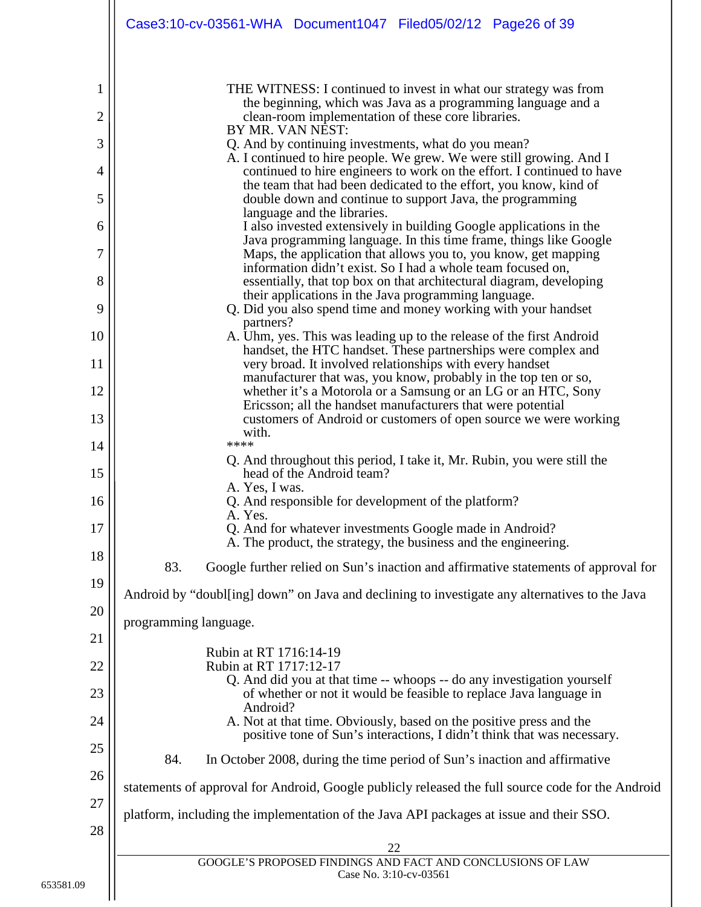| THE WITNESS: I continued to invest in what our strategy was from<br>1<br>the beginning, which was Java as a programming language and a<br>$\overline{2}$<br>clean-room implementation of these core libraries. |  |
|----------------------------------------------------------------------------------------------------------------------------------------------------------------------------------------------------------------|--|
|                                                                                                                                                                                                                |  |
|                                                                                                                                                                                                                |  |
| BY MR. VAN NEST:<br>3<br>Q. And by continuing investments, what do you mean?                                                                                                                                   |  |
| A. I continued to hire people. We grew. We were still growing. And I<br>continued to hire engineers to work on the effort. I continued to have<br>4                                                            |  |
| the team that had been dedicated to the effort, you know, kind of<br>5<br>double down and continue to support Java, the programming                                                                            |  |
| language and the libraries.<br>I also invested extensively in building Google applications in the<br>6                                                                                                         |  |
| Java programming language. In this time frame, things like Google<br>7<br>Maps, the application that allows you to, you know, get mapping                                                                      |  |
| information didn't exist. So I had a whole team focused on,<br>8<br>essentially, that top box on that architectural diagram, developing                                                                        |  |
| their applications in the Java programming language.<br>9<br>Q. Did you also spend time and money working with your handset                                                                                    |  |
| partners?<br>10<br>A. Uhm, yes. This was leading up to the release of the first Android                                                                                                                        |  |
| handset, the HTC handset. These partnerships were complex and<br>11<br>very broad. It involved relationships with every handset                                                                                |  |
| manufacturer that was, you know, probably in the top ten or so,<br>12<br>whether it's a Motorola or a Samsung or an LG or an HTC, Sony<br>Ericsson; all the handset manufacturers that were potential          |  |
| 13<br>customers of Android or customers of open source we were working<br>with.                                                                                                                                |  |
| ****<br>14<br>Q. And throughout this period, I take it, Mr. Rubin, you were still the                                                                                                                          |  |
| 15<br>head of the Android team?<br>A. Yes, I was.                                                                                                                                                              |  |
| 16<br>Q. And responsible for development of the platform?<br>A. Yes.                                                                                                                                           |  |
| 17<br>Q. And for whatever investments Google made in Android?<br>A. The product, the strategy, the business and the engineering.                                                                               |  |
| 18<br>83.<br>Google further relied on Sun's inaction and affirmative statements of approval for                                                                                                                |  |
| 19<br>Android by "doubl[ing] down" on Java and declining to investigate any alternatives to the Java                                                                                                           |  |
| 20<br>programming language.                                                                                                                                                                                    |  |
| 21<br>Rubin at RT 1716:14-19                                                                                                                                                                                   |  |
| Rubin at RT 1717:12-17<br>22<br>Q. And did you at that time -- whoops -- do any investigation yourself                                                                                                         |  |
| 23<br>of whether or not it would be feasible to replace Java language in<br>Android?<br>A. Not at that time. Obviously, based on the positive press and the<br>24                                              |  |
| positive tone of Sun's interactions, I didn't think that was necessary.<br>25                                                                                                                                  |  |
| 84.<br>In October 2008, during the time period of Sun's inaction and affirmative<br>26                                                                                                                         |  |
| statements of approval for Android, Google publicly released the full source code for the Android<br>27                                                                                                        |  |
| platform, including the implementation of the Java API packages at issue and their SSO.<br>28                                                                                                                  |  |
| 22<br>GOOGLE'S PROPOSED FINDINGS AND FACT AND CONCLUSIONS OF LAW                                                                                                                                               |  |
| Case No. 3:10-cv-03561                                                                                                                                                                                         |  |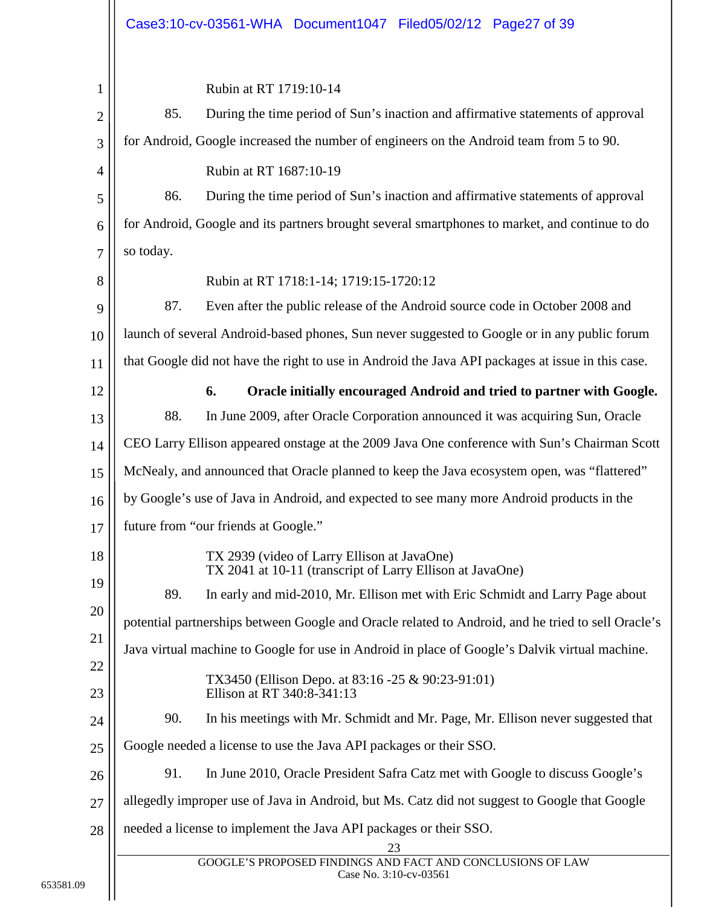<span id="page-26-0"></span>

|                                                                                                    | Case3:10-cv-03561-WHA Document1047 Filed05/02/12 Page27 of 39                                                                                                                                                                                                                                                                                                                                                                                                                                                                                                                                                                                                                                                                                                                                                                                                                                                                                                                                                                                                                                                                                                                                                                                                                                                                                                                                                                              |
|----------------------------------------------------------------------------------------------------|--------------------------------------------------------------------------------------------------------------------------------------------------------------------------------------------------------------------------------------------------------------------------------------------------------------------------------------------------------------------------------------------------------------------------------------------------------------------------------------------------------------------------------------------------------------------------------------------------------------------------------------------------------------------------------------------------------------------------------------------------------------------------------------------------------------------------------------------------------------------------------------------------------------------------------------------------------------------------------------------------------------------------------------------------------------------------------------------------------------------------------------------------------------------------------------------------------------------------------------------------------------------------------------------------------------------------------------------------------------------------------------------------------------------------------------------|
| $\mathbf{1}$<br>$\overline{2}$<br>3                                                                | Rubin at RT 1719:10-14<br>85.<br>During the time period of Sun's inaction and affirmative statements of approval<br>for Android, Google increased the number of engineers on the Android team from 5 to 90.                                                                                                                                                                                                                                                                                                                                                                                                                                                                                                                                                                                                                                                                                                                                                                                                                                                                                                                                                                                                                                                                                                                                                                                                                                |
| 4<br>5<br>6<br>7                                                                                   | Rubin at RT 1687:10-19<br>During the time period of Sun's inaction and affirmative statements of approval<br>86.<br>for Android, Google and its partners brought several smartphones to market, and continue to do<br>so today.                                                                                                                                                                                                                                                                                                                                                                                                                                                                                                                                                                                                                                                                                                                                                                                                                                                                                                                                                                                                                                                                                                                                                                                                            |
| 8<br>9<br>10<br>11                                                                                 | Rubin at RT 1718:1-14; 1719:15-1720:12<br>87.<br>Even after the public release of the Android source code in October 2008 and<br>launch of several Android-based phones, Sun never suggested to Google or in any public forum<br>that Google did not have the right to use in Android the Java API packages at issue in this case.                                                                                                                                                                                                                                                                                                                                                                                                                                                                                                                                                                                                                                                                                                                                                                                                                                                                                                                                                                                                                                                                                                         |
| 12<br>13<br>14<br>15<br>16<br>17<br>18<br>19<br>20<br>21<br>22<br>23<br>24<br>25<br>26<br>27<br>28 | 6.<br>Oracle initially encouraged Android and tried to partner with Google.<br>88.<br>In June 2009, after Oracle Corporation announced it was acquiring Sun, Oracle<br>CEO Larry Ellison appeared onstage at the 2009 Java One conference with Sun's Chairman Scott<br>McNealy, and announced that Oracle planned to keep the Java ecosystem open, was "flattered"<br>by Google's use of Java in Android, and expected to see many more Android products in the<br>future from "our friends at Google."<br>TX 2939 (video of Larry Ellison at JavaOne)<br>TX 2041 at 10-11 (transcript of Larry Ellison at JavaOne)<br>89.<br>In early and mid-2010, Mr. Ellison met with Eric Schmidt and Larry Page about<br>potential partnerships between Google and Oracle related to Android, and he tried to sell Oracle's<br>Java virtual machine to Google for use in Android in place of Google's Dalvik virtual machine.<br>TX3450 (Ellison Depo. at 83:16 -25 & 90:23-91:01)<br>Ellison at RT 340:8-341:13<br>90.<br>In his meetings with Mr. Schmidt and Mr. Page, Mr. Ellison never suggested that<br>Google needed a license to use the Java API packages or their SSO.<br>91.<br>In June 2010, Oracle President Safra Catz met with Google to discuss Google's<br>allegedly improper use of Java in Android, but Ms. Catz did not suggest to Google that Google<br>needed a license to implement the Java API packages or their SSO.<br>23 |
|                                                                                                    | GOOGLE'S PROPOSED FINDINGS AND FACT AND CONCLUSIONS OF LAW<br>Case No. 3:10-cv-03561                                                                                                                                                                                                                                                                                                                                                                                                                                                                                                                                                                                                                                                                                                                                                                                                                                                                                                                                                                                                                                                                                                                                                                                                                                                                                                                                                       |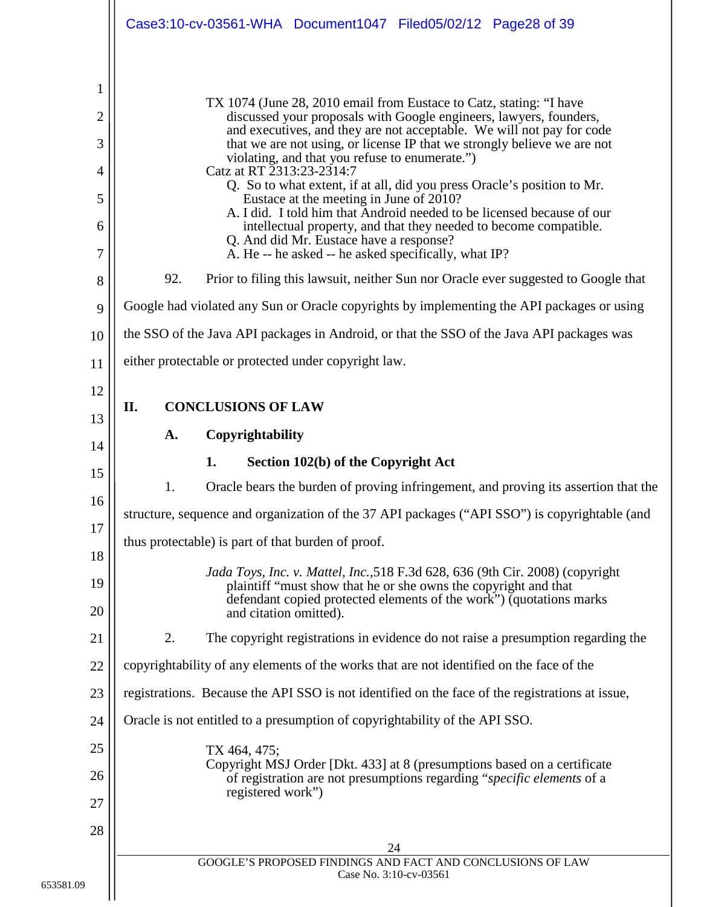<span id="page-27-2"></span><span id="page-27-1"></span><span id="page-27-0"></span>

|                                                              | Case3:10-cv-03561-WHA Document1047 Filed05/02/12 Page28 of 39                                                                                                                                                                                                                                                                                                                                                                                                                                                                                                                                                                                                                                                                                                                                                                                                                                                                                                                                                                                 |
|--------------------------------------------------------------|-----------------------------------------------------------------------------------------------------------------------------------------------------------------------------------------------------------------------------------------------------------------------------------------------------------------------------------------------------------------------------------------------------------------------------------------------------------------------------------------------------------------------------------------------------------------------------------------------------------------------------------------------------------------------------------------------------------------------------------------------------------------------------------------------------------------------------------------------------------------------------------------------------------------------------------------------------------------------------------------------------------------------------------------------|
| 1<br>$\overline{2}$<br>3<br>4<br>5<br>6<br>7<br>8<br>9<br>10 | TX 1074 (June 28, 2010 email from Eustace to Catz, stating: "I have<br>discussed your proposals with Google engineers, lawyers, founders,<br>and executives, and they are not acceptable. We will not pay for code<br>that we are not using, or license IP that we strongly believe we are not<br>violating, and that you refuse to enumerate.")<br>Catz at RT 2313:23-2314:7<br>Q. So to what extent, if at all, did you press Oracle's position to Mr.<br>Eustace at the meeting in June of 2010?<br>A. I did. I told him that Android needed to be licensed because of our<br>intellectual property, and that they needed to become compatible.<br>Q. And did Mr. Eustace have a response?<br>A. He -- he asked -- he asked specifically, what IP?<br>92.<br>Prior to filing this lawsuit, neither Sun nor Oracle ever suggested to Google that<br>Google had violated any Sun or Oracle copyrights by implementing the API packages or using<br>the SSO of the Java API packages in Android, or that the SSO of the Java API packages was |
| 11<br>12<br>13                                               | either protectable or protected under copyright law.<br><b>CONCLUSIONS OF LAW</b><br>П.                                                                                                                                                                                                                                                                                                                                                                                                                                                                                                                                                                                                                                                                                                                                                                                                                                                                                                                                                       |
| 14                                                           | Copyrightability<br>A.                                                                                                                                                                                                                                                                                                                                                                                                                                                                                                                                                                                                                                                                                                                                                                                                                                                                                                                                                                                                                        |
|                                                              |                                                                                                                                                                                                                                                                                                                                                                                                                                                                                                                                                                                                                                                                                                                                                                                                                                                                                                                                                                                                                                               |
|                                                              | Section 102(b) of the Copyright Act<br>1.                                                                                                                                                                                                                                                                                                                                                                                                                                                                                                                                                                                                                                                                                                                                                                                                                                                                                                                                                                                                     |
| 15                                                           | 1.<br>Oracle bears the burden of proving infringement, and proving its assertion that the                                                                                                                                                                                                                                                                                                                                                                                                                                                                                                                                                                                                                                                                                                                                                                                                                                                                                                                                                     |
| 16                                                           | structure, sequence and organization of the 37 API packages ("API SSO") is copyrightable (and                                                                                                                                                                                                                                                                                                                                                                                                                                                                                                                                                                                                                                                                                                                                                                                                                                                                                                                                                 |
| 17                                                           | thus protectable) is part of that burden of proof.                                                                                                                                                                                                                                                                                                                                                                                                                                                                                                                                                                                                                                                                                                                                                                                                                                                                                                                                                                                            |
| 18<br>19                                                     | Jada Toys, Inc. v. Mattel, Inc., 518 F.3d 628, 636 (9th Cir. 2008) (copyright<br>plaintiff "must show that he or she owns the copyright and that<br>defendant copied protected elements of the work") (quotations marks                                                                                                                                                                                                                                                                                                                                                                                                                                                                                                                                                                                                                                                                                                                                                                                                                       |
| 20                                                           | and citation omitted).                                                                                                                                                                                                                                                                                                                                                                                                                                                                                                                                                                                                                                                                                                                                                                                                                                                                                                                                                                                                                        |
| 21                                                           | 2.<br>The copyright registrations in evidence do not raise a presumption regarding the                                                                                                                                                                                                                                                                                                                                                                                                                                                                                                                                                                                                                                                                                                                                                                                                                                                                                                                                                        |
| 22<br>23                                                     | copyrightability of any elements of the works that are not identified on the face of the<br>registrations. Because the API SSO is not identified on the face of the registrations at issue,                                                                                                                                                                                                                                                                                                                                                                                                                                                                                                                                                                                                                                                                                                                                                                                                                                                   |
| 24                                                           | Oracle is not entitled to a presumption of copyrightability of the API SSO.                                                                                                                                                                                                                                                                                                                                                                                                                                                                                                                                                                                                                                                                                                                                                                                                                                                                                                                                                                   |
| 25                                                           |                                                                                                                                                                                                                                                                                                                                                                                                                                                                                                                                                                                                                                                                                                                                                                                                                                                                                                                                                                                                                                               |
| 26                                                           | TX 464, 475;<br>Copyright MSJ Order [Dkt. 433] at 8 (presumptions based on a certificate                                                                                                                                                                                                                                                                                                                                                                                                                                                                                                                                                                                                                                                                                                                                                                                                                                                                                                                                                      |
|                                                              | of registration are not presumptions regarding "specific elements of a<br>registered work")                                                                                                                                                                                                                                                                                                                                                                                                                                                                                                                                                                                                                                                                                                                                                                                                                                                                                                                                                   |
| 27<br>28                                                     |                                                                                                                                                                                                                                                                                                                                                                                                                                                                                                                                                                                                                                                                                                                                                                                                                                                                                                                                                                                                                                               |
|                                                              | 24<br>GOOGLE'S PROPOSED FINDINGS AND FACT AND CONCLUSIONS OF LAW                                                                                                                                                                                                                                                                                                                                                                                                                                                                                                                                                                                                                                                                                                                                                                                                                                                                                                                                                                              |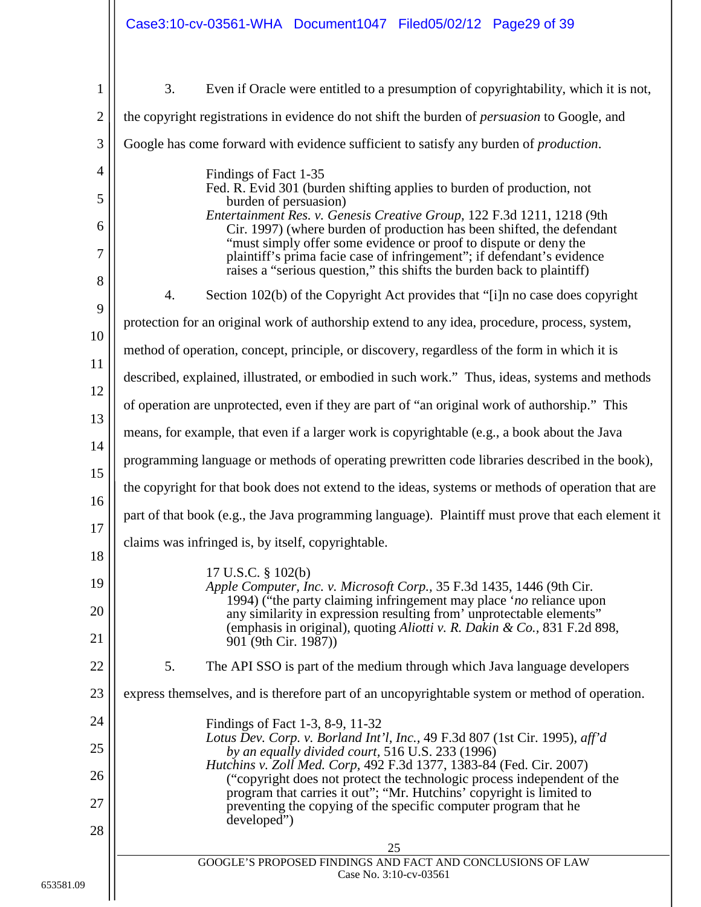<span id="page-28-2"></span><span id="page-28-1"></span><span id="page-28-0"></span>

|                | Case3:10-cv-03561-WHA Document1047 Filed05/02/12 Page29 of 39                                                                                                                                                        |
|----------------|----------------------------------------------------------------------------------------------------------------------------------------------------------------------------------------------------------------------|
| $\mathbf{1}$   | 3.<br>Even if Oracle were entitled to a presumption of copyrightability, which it is not,                                                                                                                            |
| $\overline{2}$ | the copyright registrations in evidence do not shift the burden of <i>persuasion</i> to Google, and                                                                                                                  |
| 3              | Google has come forward with evidence sufficient to satisfy any burden of <i>production</i> .                                                                                                                        |
| $\overline{4}$ | Findings of Fact 1-35                                                                                                                                                                                                |
| 5              | Fed. R. Evid 301 (burden shifting applies to burden of production, not<br>burden of persuasion)                                                                                                                      |
| 6              | Entertainment Res. v. Genesis Creative Group, 122 F.3d 1211, 1218 (9th<br>Cir. 1997) (where burden of production has been shifted, the defendant                                                                     |
| 7              | "must simply offer some evidence or proof to dispute or deny the<br>plaintiff's prima facie case of infringement"; if defendant's evidence<br>raises a "serious question," this shifts the burden back to plaintiff) |
| 8              | Section 102(b) of the Copyright Act provides that "[i]n no case does copyright<br>4.                                                                                                                                 |
| 9              | protection for an original work of authorship extend to any idea, procedure, process, system,                                                                                                                        |
| 10             | method of operation, concept, principle, or discovery, regardless of the form in which it is                                                                                                                         |
| 11             | described, explained, illustrated, or embodied in such work." Thus, ideas, systems and methods                                                                                                                       |
| 12             | of operation are unprotected, even if they are part of "an original work of authorship." This                                                                                                                        |
| 13             | means, for example, that even if a larger work is copyrightable (e.g., a book about the Java                                                                                                                         |
| 14             | programming language or methods of operating prewritten code libraries described in the book),                                                                                                                       |
| 15             | the copyright for that book does not extend to the ideas, systems or methods of operation that are                                                                                                                   |
| 16             | part of that book (e.g., the Java programming language). Plaintiff must prove that each element it                                                                                                                   |
| 17             | claims was infringed is, by itself, copyrightable.                                                                                                                                                                   |
| 18             | 17 U.S.C. § 102(b)                                                                                                                                                                                                   |
| 19             | Apple Computer, Inc. v. Microsoft Corp., 35 F.3d 1435, 1446 (9th Cir.<br>1994) ("the party claiming infringement may place 'no reliance upon                                                                         |
| 20             | any similarity in expression resulting from' unprotectable elements"<br>(emphasis in original), quoting Aliotti v. R. Dakin & Co., 831 F.2d 898,                                                                     |
| 21             | 901 (9th Cir. 1987))                                                                                                                                                                                                 |
| 22             | 5.<br>The API SSO is part of the medium through which Java language developers                                                                                                                                       |
| 23             | express themselves, and is therefore part of an uncopyrightable system or method of operation.                                                                                                                       |
| 24             | Findings of Fact 1-3, 8-9, 11-32<br>Lotus Dev. Corp. v. Borland Int'l, Inc., 49 F.3d 807 (1st Cir. 1995), aff'd                                                                                                      |
| 25             | by an equally divided court, 516 U.S. 233 (1996)<br>Hutchins v. Zoll Med. Corp, 492 F.3d 1377, 1383-84 (Fed. Cir. 2007)                                                                                              |
| 26             | ("copyright does not protect the technologic process independent of the<br>program that carries it out"; "Mr. Hutchins' copyright is limited to                                                                      |
| 27             | preventing the copying of the specific computer program that he<br>developed")                                                                                                                                       |
| 28             | 25                                                                                                                                                                                                                   |
|                | GOOGLE'S PROPOSED FINDINGS AND FACT AND CONCLUSIONS OF LAW<br>Case No. 3:10-cv-03561                                                                                                                                 |
|                |                                                                                                                                                                                                                      |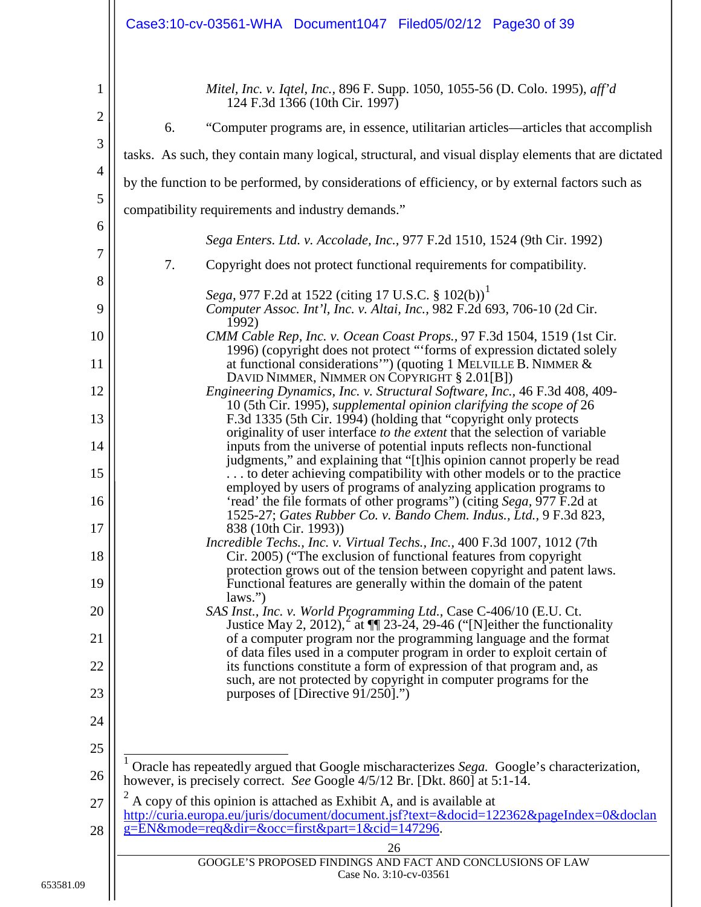<span id="page-29-4"></span><span id="page-29-3"></span><span id="page-29-2"></span><span id="page-29-1"></span><span id="page-29-0"></span>

|                                                       | Case3:10-cv-03561-WHA Document1047 Filed05/02/12 Page30 of 39                                                                                                                                                                                                                                                      |
|-------------------------------------------------------|--------------------------------------------------------------------------------------------------------------------------------------------------------------------------------------------------------------------------------------------------------------------------------------------------------------------|
| $\mathbf{1}$<br>$\overline{2}$<br>3<br>$\overline{4}$ | Mitel, Inc. v. Iqtel, Inc., 896 F. Supp. 1050, 1055-56 (D. Colo. 1995), aff'd<br>124 F.3d 1366 (10th Cir. 1997)<br>6.<br>"Computer programs are, in essence, utilitarian articles—articles that accomplish<br>tasks. As such, they contain many logical, structural, and visual display elements that are dictated |
| 5                                                     | by the function to be performed, by considerations of efficiency, or by external factors such as                                                                                                                                                                                                                   |
| 6                                                     | compatibility requirements and industry demands."                                                                                                                                                                                                                                                                  |
| 7                                                     | Sega Enters. Ltd. v. Accolade, Inc., 977 F.2d 1510, 1524 (9th Cir. 1992)                                                                                                                                                                                                                                           |
| 8                                                     | 7.<br>Copyright does not protect functional requirements for compatibility.                                                                                                                                                                                                                                        |
| 9                                                     | Sega, 977 F.2d at 1522 (citing 17 U.S.C. § 102(b)) <sup>1</sup><br>Computer Assoc. Int'l, Inc. v. Altai, Inc., 982 F.2d 693, 706-10 (2d Cir.<br>1992)                                                                                                                                                              |
| 10                                                    | CMM Cable Rep, Inc. v. Ocean Coast Props., 97 F.3d 1504, 1519 (1st Cir.<br>1996) (copyright does not protect "'forms of expression dictated solely                                                                                                                                                                 |
| 11                                                    | at functional considerations"") (quoting 1 MELVILLE B. NIMMER &<br>DAVID NIMMER, NIMMER ON COPYRIGHT § 2.01[B])                                                                                                                                                                                                    |
| 12                                                    | Engineering Dynamics, Inc. v. Structural Software, Inc., 46 F.3d 408, 409-<br>10 (5th Cir. 1995), supplemental opinion clarifying the scope of 26                                                                                                                                                                  |
| 13                                                    | F.3d 1335 (5th Cir. 1994) (holding that "copyright only protects<br>originality of user interface to the extent that the selection of variable                                                                                                                                                                     |
| 14                                                    | inputs from the universe of potential inputs reflects non-functional<br>judgments," and explaining that "[t] his opinion cannot properly be read                                                                                                                                                                   |
| 15                                                    | to deter achieving compatibility with other models or to the practice<br>employed by users of programs of analyzing application programs to                                                                                                                                                                        |
| 16<br>17                                              | 'read' the file formats of other programs") (citing Sega, 977 F.2d at<br>1525-27; Gates Rubber Co. v. Bando Chem. Indus., Ltd., 9 F.3d 823,<br>838 (10th Cir. 1993))                                                                                                                                               |
| 18                                                    | <i>Incredible Techs., Inc. v. Virtual Techs., Inc., 400 F.3d 1007, 1012 (7th</i><br>Cir. 2005) ("The exclusion of functional features from copyright                                                                                                                                                               |
| 19                                                    | protection grows out of the tension between copyright and patent laws.<br>Functional features are generally within the domain of the patent<br>laws.'')                                                                                                                                                            |
| 20                                                    | SAS Inst., Inc. v. World Programming Ltd., Case C-406/10 (E.U. Ct.                                                                                                                                                                                                                                                 |
| 21                                                    | Justice May 2, 2012), $\alpha$ at $\P$ 23-24, 29-46 ("[N] either the functionality<br>of a computer program nor the programming language and the format                                                                                                                                                            |
| 22                                                    | of data files used in a computer program in order to exploit certain of<br>its functions constitute a form of expression of that program and, as                                                                                                                                                                   |
| 23                                                    | such, are not protected by copyright in computer programs for the<br>purposes of [Directive 91/250].")                                                                                                                                                                                                             |
| 24                                                    |                                                                                                                                                                                                                                                                                                                    |
| 25                                                    |                                                                                                                                                                                                                                                                                                                    |
| 26                                                    | Oracle has repeatedly argued that Google mischaracterizes Sega. Google's characterization,<br>however, is precisely correct. See Google 4/5/12 Br. [Dkt. 860] at 5:1-14.                                                                                                                                           |
| 27                                                    | A copy of this opinion is attached as Exhibit A, and is available at<br>http://curia.europa.eu/juris/document/document.jsf?text=&docid=122362&pageIndex=0&doclan                                                                                                                                                   |
| 28                                                    | g=EN&mode=req&dir=&occ=first∂=1&cid=147296.<br>26                                                                                                                                                                                                                                                                  |
|                                                       | GOOGLE'S PROPOSED FINDINGS AND FACT AND CONCLUSIONS OF LAW<br>Case No. 3:10-cv-03561                                                                                                                                                                                                                               |
|                                                       |                                                                                                                                                                                                                                                                                                                    |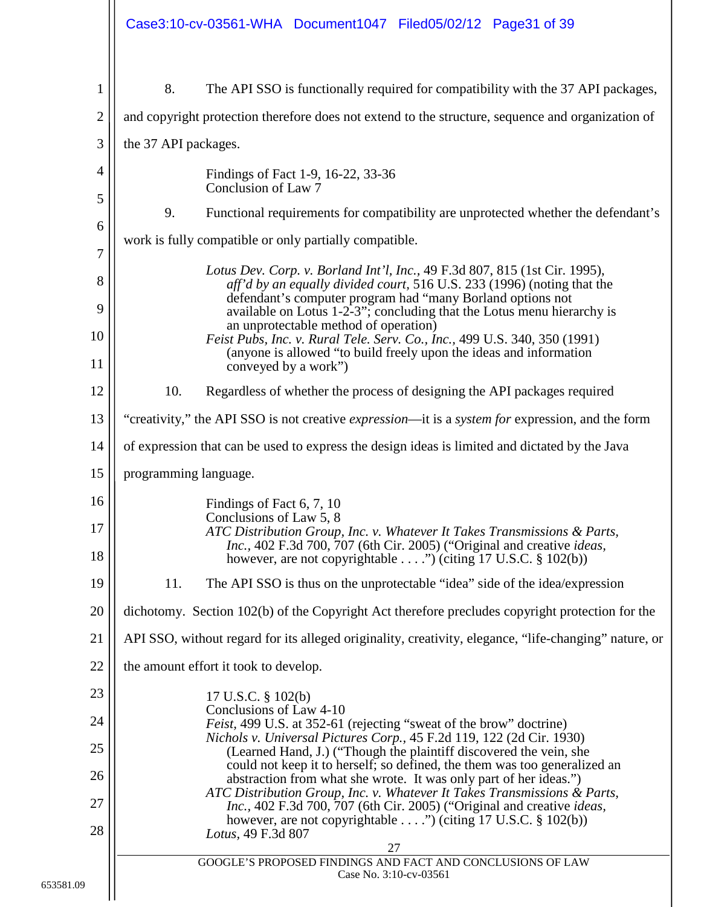<span id="page-30-1"></span><span id="page-30-0"></span>

|                | Case3:10-cv-03561-WHA Document1047 Filed05/02/12 Page31 of 39                                                                                                                                                                                     |
|----------------|---------------------------------------------------------------------------------------------------------------------------------------------------------------------------------------------------------------------------------------------------|
| 1              | 8.<br>The API SSO is functionally required for compatibility with the 37 API packages,                                                                                                                                                            |
| $\overline{2}$ | and copyright protection therefore does not extend to the structure, sequence and organization of                                                                                                                                                 |
| 3              | the 37 API packages.                                                                                                                                                                                                                              |
| 4<br>5         | Findings of Fact 1-9, 16-22, 33-36<br>Conclusion of Law 7                                                                                                                                                                                         |
| 6              | 9.<br>Functional requirements for compatibility are unprotected whether the defendant's                                                                                                                                                           |
| 7              | work is fully compatible or only partially compatible.                                                                                                                                                                                            |
| 8              | Lotus Dev. Corp. v. Borland Int'l, Inc., 49 F.3d 807, 815 (1st Cir. 1995),<br>aff'd by an equally divided court, 516 U.S. 233 (1996) (noting that the<br>defendant's computer program had "many Borland options not                               |
| 9              | available on Lotus 1-2-3"; concluding that the Lotus menu hierarchy is<br>an unprotectable method of operation)                                                                                                                                   |
| 10<br>11       | Feist Pubs, Inc. v. Rural Tele. Serv. Co., Inc., 499 U.S. 340, 350 (1991)<br>(anyone is allowed "to build freely upon the ideas and information                                                                                                   |
| 12             | conveyed by a work")<br>10.<br>Regardless of whether the process of designing the API packages required                                                                                                                                           |
| 13             | "creativity," the API SSO is not creative <i>expression</i> —it is a <i>system for</i> expression, and the form                                                                                                                                   |
| 14             | of expression that can be used to express the design ideas is limited and dictated by the Java                                                                                                                                                    |
| 15             | programming language.                                                                                                                                                                                                                             |
| 16             | Findings of Fact 6, 7, 10                                                                                                                                                                                                                         |
| 17<br>18       | Conclusions of Law 5, 8<br>ATC Distribution Group, Inc. v. Whatever It Takes Transmissions & Parts,<br>Inc., 402 F.3d 700, 707 (6th Cir. 2005) ("Original and creative ideas,<br>however, are not copyrightable ") (citing 17 U.S.C. $\S$ 102(b)) |
| 19             | 11.<br>The API SSO is thus on the unprotectable "idea" side of the idea/expression                                                                                                                                                                |
| 20             | dichotomy. Section 102(b) of the Copyright Act therefore precludes copyright protection for the                                                                                                                                                   |
| 21             | API SSO, without regard for its alleged originality, creativity, elegance, "life-changing" nature, or                                                                                                                                             |
| 22             | the amount effort it took to develop.                                                                                                                                                                                                             |
| 23             | 17 U.S.C. § 102(b)                                                                                                                                                                                                                                |
| 24             | Conclusions of Law 4-10<br><i>Feist</i> , 499 U.S. at 352-61 (rejecting "sweat of the brow" doctrine)                                                                                                                                             |
| 25             | Nichols v. Universal Pictures Corp., 45 F.2d 119, 122 (2d Cir. 1930)<br>(Learned Hand, J.) ("Though the plaintiff discovered the vein, she                                                                                                        |
| 26             | could not keep it to herself; so defined, the them was too generalized an<br>abstraction from what she wrote. It was only part of her ideas.")<br>ATC Distribution Group, Inc. v. Whatever It Takes Transmissions & Parts,                        |
| 27<br>28       | Inc., 402 F.3d 700, 707 (6th Cir. 2005) ("Original and creative ideas,<br>however, are not copyrightable") (citing 17 U.S.C. $\S$ 102(b))<br>Lotus, 49 F.3d 807                                                                                   |
|                | 27<br>GOOGLE'S PROPOSED FINDINGS AND FACT AND CONCLUSIONS OF LAW                                                                                                                                                                                  |
|                | Case No. 3:10-cv-03561                                                                                                                                                                                                                            |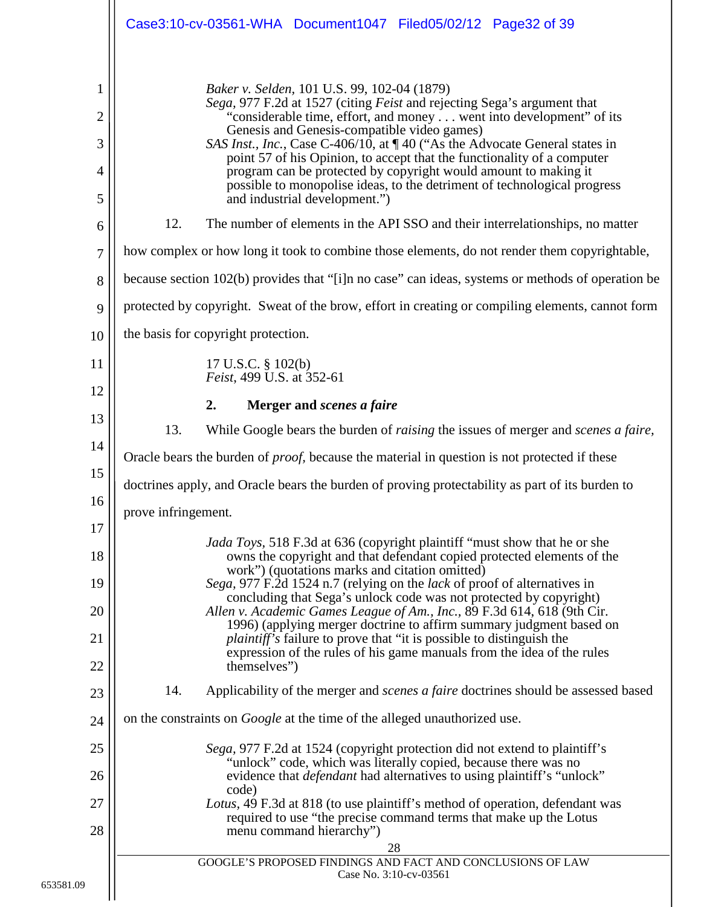<span id="page-31-3"></span><span id="page-31-2"></span><span id="page-31-1"></span><span id="page-31-0"></span>

|                                                                 | Case3:10-cv-03561-WHA Document1047 Filed05/02/12 Page32 of 39                                                                                                                                                                                                                                                                                                                                                                                                                                                                                                                                                                                                                  |
|-----------------------------------------------------------------|--------------------------------------------------------------------------------------------------------------------------------------------------------------------------------------------------------------------------------------------------------------------------------------------------------------------------------------------------------------------------------------------------------------------------------------------------------------------------------------------------------------------------------------------------------------------------------------------------------------------------------------------------------------------------------|
| $\mathbf{1}$<br>$\overline{2}$<br>3<br>$\overline{4}$<br>5<br>6 | Baker v. Selden, 101 U.S. 99, 102-04 (1879)<br>Sega, 977 F.2d at 1527 (citing Feist and rejecting Sega's argument that<br>"considerable time, effort, and money went into development" of its<br>Genesis and Genesis-compatible video games)<br>SAS Inst., Inc., Case C-406/10, at ¶ 40 ("As the Advocate General states in<br>point 57 of his Opinion, to accept that the functionality of a computer<br>program can be protected by copyright would amount to making it<br>possible to monopolise ideas, to the detriment of technological progress<br>and industrial development.")<br>12.<br>The number of elements in the API SSO and their interrelationships, no matter |
| $\overline{7}$                                                  | how complex or how long it took to combine those elements, do not render them copyrightable,                                                                                                                                                                                                                                                                                                                                                                                                                                                                                                                                                                                   |
| 8                                                               | because section 102(b) provides that "[i]n no case" can ideas, systems or methods of operation be                                                                                                                                                                                                                                                                                                                                                                                                                                                                                                                                                                              |
| 9                                                               | protected by copyright. Sweat of the brow, effort in creating or compiling elements, cannot form                                                                                                                                                                                                                                                                                                                                                                                                                                                                                                                                                                               |
| 10                                                              | the basis for copyright protection.                                                                                                                                                                                                                                                                                                                                                                                                                                                                                                                                                                                                                                            |
| 11<br>12                                                        | 17 U.S.C. § 102(b)<br>Feist, 499 U.S. at 352-61                                                                                                                                                                                                                                                                                                                                                                                                                                                                                                                                                                                                                                |
| 13                                                              | 2.<br>Merger and scenes a faire                                                                                                                                                                                                                                                                                                                                                                                                                                                                                                                                                                                                                                                |
| 14                                                              | 13.<br>While Google bears the burden of <i>raising</i> the issues of merger and <i>scenes a faire</i> ,                                                                                                                                                                                                                                                                                                                                                                                                                                                                                                                                                                        |
| 15                                                              | Oracle bears the burden of <i>proof</i> , because the material in question is not protected if these                                                                                                                                                                                                                                                                                                                                                                                                                                                                                                                                                                           |
| 16                                                              | doctrines apply, and Oracle bears the burden of proving protectability as part of its burden to                                                                                                                                                                                                                                                                                                                                                                                                                                                                                                                                                                                |
| 17                                                              | prove infringement.                                                                                                                                                                                                                                                                                                                                                                                                                                                                                                                                                                                                                                                            |
| 18                                                              | <i>Jada Toys</i> , 518 F.3d at 636 (copyright plaintiff "must show that he or she<br>owns the copyright and that defendant copied protected elements of the                                                                                                                                                                                                                                                                                                                                                                                                                                                                                                                    |
| 19                                                              | work") (quotations marks and citation omitted)<br>Sega, 977 F.2d 1524 n.7 (relying on the lack of proof of alternatives in                                                                                                                                                                                                                                                                                                                                                                                                                                                                                                                                                     |
| 20                                                              | concluding that Sega's unlock code was not protected by copyright)<br>Allen v. Academic Games League of Am., Inc., 89 F.3d 614, 618 (9th Cir.                                                                                                                                                                                                                                                                                                                                                                                                                                                                                                                                  |
| 21                                                              | 1996) (applying merger doctrine to affirm summary judgment based on<br><i>plaintiff's</i> failure to prove that "it is possible to distinguish the                                                                                                                                                                                                                                                                                                                                                                                                                                                                                                                             |
| 22                                                              | expression of the rules of his game manuals from the idea of the rules<br>themselves")                                                                                                                                                                                                                                                                                                                                                                                                                                                                                                                                                                                         |
| 23                                                              | 14.<br>Applicability of the merger and <i>scenes a faire</i> doctrines should be assessed based                                                                                                                                                                                                                                                                                                                                                                                                                                                                                                                                                                                |
| 24                                                              | on the constraints on <i>Google</i> at the time of the alleged unauthorized use.                                                                                                                                                                                                                                                                                                                                                                                                                                                                                                                                                                                               |
| 25                                                              | Sega, 977 F.2d at 1524 (copyright protection did not extend to plaintiff's                                                                                                                                                                                                                                                                                                                                                                                                                                                                                                                                                                                                     |
| 26                                                              | "unlock" code, which was literally copied, because there was no<br>evidence that <i>defendant</i> had alternatives to using plaintiff's "unlock"                                                                                                                                                                                                                                                                                                                                                                                                                                                                                                                               |
| 27                                                              | code)<br>Lotus, 49 F.3d at 818 (to use plaintiff's method of operation, defendant was                                                                                                                                                                                                                                                                                                                                                                                                                                                                                                                                                                                          |
| 28                                                              | required to use "the precise command terms that make up the Lotus<br>menu command hierarchy")                                                                                                                                                                                                                                                                                                                                                                                                                                                                                                                                                                                  |
|                                                                 | 28<br>GOOGLE'S PROPOSED FINDINGS AND FACT AND CONCLUSIONS OF LAW                                                                                                                                                                                                                                                                                                                                                                                                                                                                                                                                                                                                               |
|                                                                 | Case No. 3:10-cv-03561                                                                                                                                                                                                                                                                                                                                                                                                                                                                                                                                                                                                                                                         |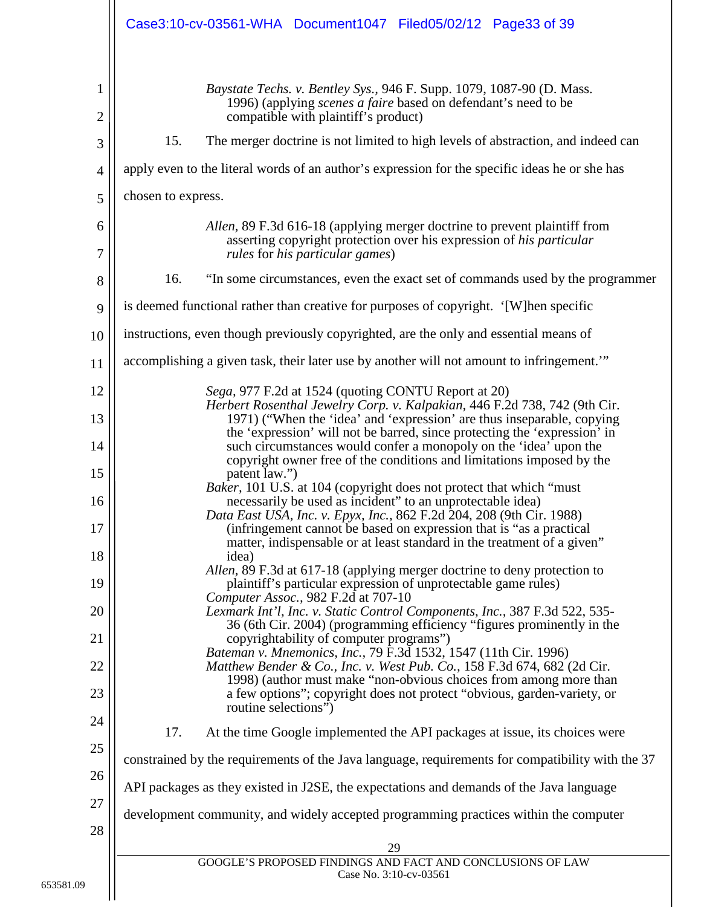<span id="page-32-1"></span><span id="page-32-0"></span>

|                                | Case3:10-cv-03561-WHA Document1047 Filed05/02/12 Page33 of 39                                                                                                                                                                                                                                                      |
|--------------------------------|--------------------------------------------------------------------------------------------------------------------------------------------------------------------------------------------------------------------------------------------------------------------------------------------------------------------|
| $\mathbf{1}$<br>$\overline{2}$ | Baystate Techs. v. Bentley Sys., 946 F. Supp. 1079, 1087-90 (D. Mass.<br>1996) (applying <i>scenes a faire</i> based on defendant's need to be<br>compatible with plaintiff's product)                                                                                                                             |
| 3                              | 15.<br>The merger doctrine is not limited to high levels of abstraction, and indeed can                                                                                                                                                                                                                            |
| $\overline{4}$                 | apply even to the literal words of an author's expression for the specific ideas he or she has                                                                                                                                                                                                                     |
| 5                              | chosen to express.                                                                                                                                                                                                                                                                                                 |
| 6<br>7                         | Allen, 89 F.3d 616-18 (applying merger doctrine to prevent plaintiff from<br>asserting copyright protection over his expression of his particular<br>rules for his particular games)                                                                                                                               |
| 8                              | 16.<br>"In some circumstances, even the exact set of commands used by the programmer                                                                                                                                                                                                                               |
| 9                              | is deemed functional rather than creative for purposes of copyright. '[W]hen specific                                                                                                                                                                                                                              |
| 10                             | instructions, even though previously copyrighted, are the only and essential means of                                                                                                                                                                                                                              |
| 11                             | accomplishing a given task, their later use by another will not amount to infringement."                                                                                                                                                                                                                           |
| 12                             | Sega, 977 F.2d at 1524 (quoting CONTU Report at 20)                                                                                                                                                                                                                                                                |
| 13                             | Herbert Rosenthal Jewelry Corp. v. Kalpakian, 446 F.2d 738, 742 (9th Cir.<br>1971) ("When the 'idea' and 'expression' are thus inseparable, copying                                                                                                                                                                |
| 14                             | the 'expression' will not be barred, since protecting the 'expression' in<br>such circumstances would confer a monopoly on the 'idea' upon the                                                                                                                                                                     |
| 15                             | copyright owner free of the conditions and limitations imposed by the<br>patent law.")<br>Baker, 101 U.S. at 104 (copyright does not protect that which "must"                                                                                                                                                     |
| 16                             | necessarily be used as incident" to an unprotectable idea)<br>Data East USA, Inc. v. Epyx, Inc., 862 F.2d 204, 208 (9th Cir. 1988)                                                                                                                                                                                 |
| 17                             | (infringement cannot be based on expression that is "as a practical<br>matter, indispensable or at least standard in the treatment of a given"                                                                                                                                                                     |
| 18                             | idea)<br>Allen, 89 F.3d at 617-18 (applying merger doctrine to deny protection to                                                                                                                                                                                                                                  |
| 19                             | plaintiff's particular expression of unprotectable game rules)<br>Computer Assoc., 982 F.2d at 707-10                                                                                                                                                                                                              |
| 20<br>21                       | Lexmark Int'l, Inc. v. Static Control Components, Inc., 387 F.3d 522, 535-<br>36 (6th Cir. 2004) (programming efficiency "figures prominently in the<br>copyrightability of computer programs")                                                                                                                    |
| 22<br>23                       | Bateman v. Mnemonics, Inc., 79 F.3d 1532, 1547 (11th Cir. 1996)<br>Matthew Bender & Co., Inc. v. West Pub. Co., 158 F.3d 674, 682 (2d Cir.<br>1998) (author must make "non-obvious choices from among more than<br>a few options"; copyright does not protect "obvious, garden-variety, or<br>routine selections") |
| 24                             | 17.<br>At the time Google implemented the API packages at issue, its choices were                                                                                                                                                                                                                                  |
| 25                             | constrained by the requirements of the Java language, requirements for compatibility with the 37                                                                                                                                                                                                                   |
| 26                             | API packages as they existed in J2SE, the expectations and demands of the Java language                                                                                                                                                                                                                            |
| 27<br>28                       | development community, and widely accepted programming practices within the computer                                                                                                                                                                                                                               |
|                                | 29                                                                                                                                                                                                                                                                                                                 |
|                                | GOOGLE'S PROPOSED FINDINGS AND FACT AND CONCLUSIONS OF LAW<br>Case No. 3:10-cv-03561                                                                                                                                                                                                                               |
|                                |                                                                                                                                                                                                                                                                                                                    |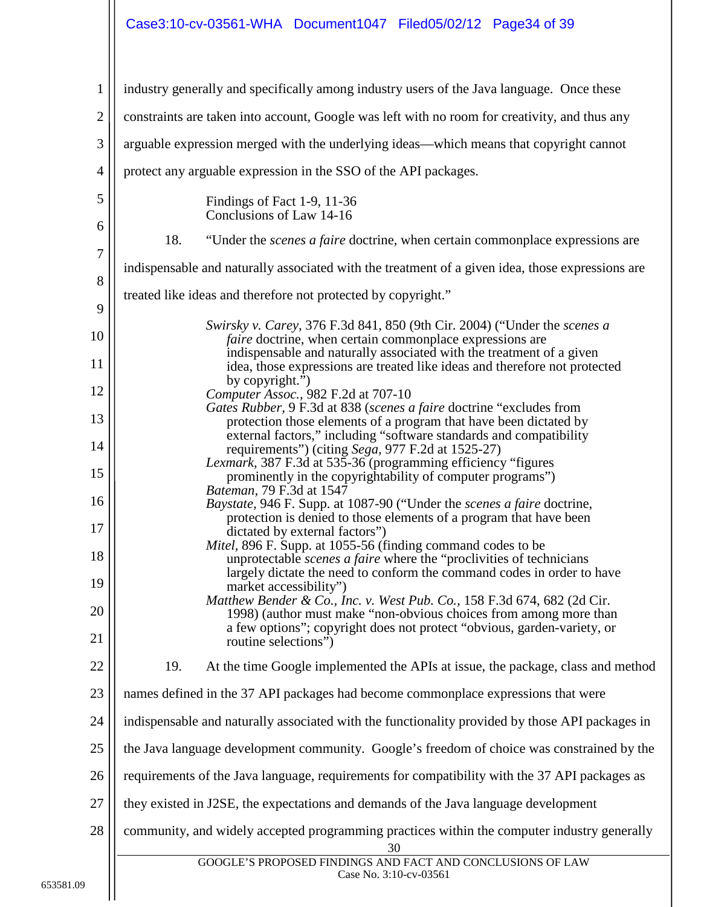## Case3:10-cv-03561-WHA Document1047 Filed05/02/12 Page34 of 39

<span id="page-33-1"></span>

| $\mathbf{1}$     | industry generally and specifically among industry users of the Java language. Once these                                                          |  |
|------------------|----------------------------------------------------------------------------------------------------------------------------------------------------|--|
| $\mathbf{2}$     | constraints are taken into account, Google was left with no room for creativity, and thus any                                                      |  |
| 3                | arguable expression merged with the underlying ideas—which means that copyright cannot                                                             |  |
| $\overline{4}$   | protect any arguable expression in the SSO of the API packages.                                                                                    |  |
| 5                | Findings of Fact 1-9, 11-36<br>Conclusions of Law 14-16                                                                                            |  |
| 6                | 18.<br>"Under the <i>scenes a faire</i> doctrine, when certain commonplace expressions are                                                         |  |
| $\boldsymbol{7}$ | indispensable and naturally associated with the treatment of a given idea, those expressions are                                                   |  |
| 8<br>9           | treated like ideas and therefore not protected by copyright."                                                                                      |  |
| 10               | Swirsky v. Carey, 376 F.3d 841, 850 (9th Cir. 2004) ("Under the scenes a<br><i>faire</i> doctrine, when certain commonplace expressions are        |  |
| 11               | indispensable and naturally associated with the treatment of a given<br>idea, those expressions are treated like ideas and therefore not protected |  |
| 12               | by copyright.")<br>Computer Assoc., 982 F.2d at 707-10                                                                                             |  |
| 13               | Gates Rubber, 9 F.3d at 838 (scenes a faire doctrine "excludes from<br>protection those elements of a program that have been dictated by           |  |
| 14               | external factors," including "software standards and compatibility<br>requirements") (citing Sega, 977 F.2d at 1525-27)                            |  |
| 15               | Lexmark, 387 F.3d at 535-36 (programming efficiency "figures<br>prominently in the copyrightability of computer programs")                         |  |
| 16               | Bateman, 79 F.3d at 1547<br><i>Baystate, 946 F. Supp. at 1087-90 ("Under the scenes a faire doctrine,</i>                                          |  |
| 17               | protection is denied to those elements of a program that have been<br>dictated by external factors")                                               |  |
| 18               | Mitel, 896 F. Supp. at 1055-56 (finding command codes to be<br>unprotectable <i>scenes a faire</i> where the "proclivities of technicians          |  |
| 19               | largely dictate the need to conform the command codes in order to have<br>market accessibility")                                                   |  |
| 20               | Matthew Bender & Co., Inc. v. West Pub. Co., 158 F.3d 674, 682 (2d Cir.<br>1998) (author must make "non-obvious choices from among more than       |  |
| 21               | a few options"; copyright does not protect "obvious, garden-variety, or<br>routine selections")                                                    |  |
| 22               | 19.<br>At the time Google implemented the APIs at issue, the package, class and method                                                             |  |
| 23               | names defined in the 37 API packages had become commonplace expressions that were                                                                  |  |
| 24               | indispensable and naturally associated with the functionality provided by those API packages in                                                    |  |
| 25               | the Java language development community. Google's freedom of choice was constrained by the                                                         |  |
| 26               | requirements of the Java language, requirements for compatibility with the 37 API packages as                                                      |  |
| 27               | they existed in J2SE, the expectations and demands of the Java language development                                                                |  |
| 28               | community, and widely accepted programming practices within the computer industry generally<br>30                                                  |  |
|                  | GOOGLE'S PROPOSED FINDINGS AND FACT AND CONCLUSIONS OF LAW<br>Case No. 3:10-cv-03561                                                               |  |

<span id="page-33-0"></span> $\begin{array}{c} \hline \end{array}$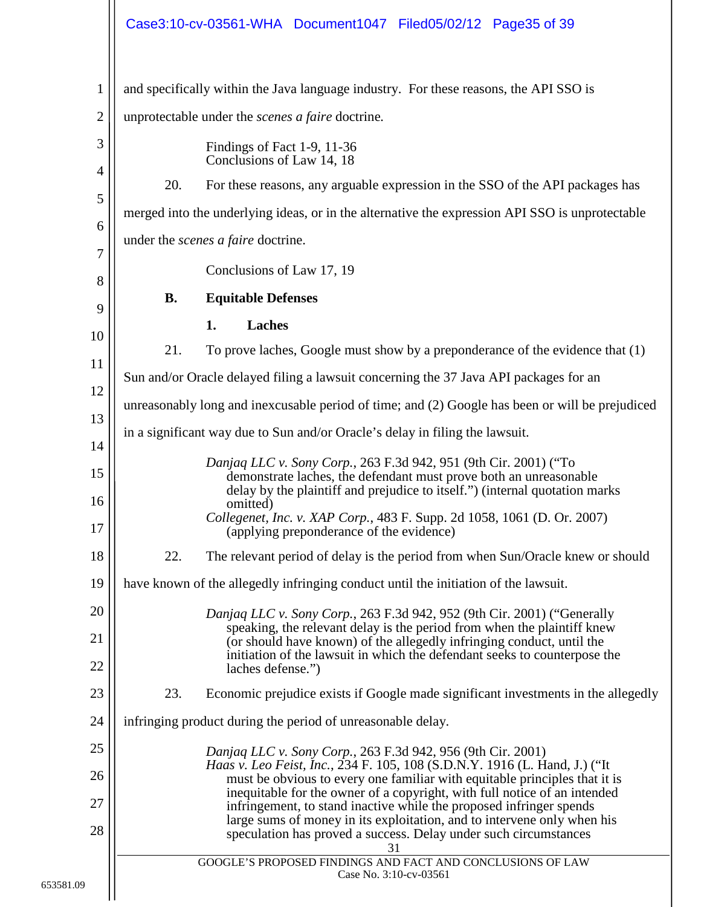<span id="page-34-2"></span><span id="page-34-1"></span><span id="page-34-0"></span>

|                |           | Case3:10-cv-03561-WHA Document1047 Filed05/02/12 Page35 of 39                                                                                                                                                        |
|----------------|-----------|----------------------------------------------------------------------------------------------------------------------------------------------------------------------------------------------------------------------|
| $\mathbf{1}$   |           | and specifically within the Java language industry. For these reasons, the API SSO is                                                                                                                                |
| $\overline{2}$ |           | unprotectable under the <i>scenes a faire</i> doctrine.                                                                                                                                                              |
| 3              |           | Findings of Fact 1-9, 11-36<br>Conclusions of Law 14, 18                                                                                                                                                             |
| 4              | 20.       | For these reasons, any arguable expression in the SSO of the API packages has                                                                                                                                        |
| 5              |           | merged into the underlying ideas, or in the alternative the expression API SSO is unprotectable                                                                                                                      |
| 6              |           | under the <i>scenes a faire</i> doctrine.                                                                                                                                                                            |
| 7              |           | Conclusions of Law 17, 19                                                                                                                                                                                            |
| 8<br>9         | <b>B.</b> | <b>Equitable Defenses</b>                                                                                                                                                                                            |
| 10             |           | <b>Laches</b><br>1.                                                                                                                                                                                                  |
| 11             | 21.       | To prove laches, Google must show by a preponderance of the evidence that $(1)$                                                                                                                                      |
| 12             |           | Sun and/or Oracle delayed filing a lawsuit concerning the 37 Java API packages for an                                                                                                                                |
| 13             |           | unreasonably long and inexcusable period of time; and (2) Google has been or will be prejudiced                                                                                                                      |
| 14             |           | in a significant way due to Sun and/or Oracle's delay in filing the lawsuit.                                                                                                                                         |
| 15             |           | Danjag LLC v. Sony Corp., 263 F.3d 942, 951 (9th Cir. 2001) ("To<br>demonstrate laches, the defendant must prove both an unreasonable<br>delay by the plaintiff and prejudice to itself.") (internal quotation marks |
| 16<br>17       |           | omitted)<br>Collegenet, Inc. v. XAP Corp., 483 F. Supp. 2d 1058, 1061 (D. Or. 2007)<br>(applying preponderance of the evidence)                                                                                      |
| 18             | 22.       | The relevant period of delay is the period from when Sun/Oracle knew or should                                                                                                                                       |
| 19             |           | have known of the allegedly infringing conduct until the initiation of the lawsuit.                                                                                                                                  |
| 20             |           | Danjaq LLC v. Sony Corp., 263 F.3d 942, 952 (9th Cir. 2001) ("Generally                                                                                                                                              |
| 21             |           | speaking, the relevant delay is the period from when the plaintiff knew<br>(or should have known) of the allegedly infringing conduct, until the                                                                     |
| 22             |           | initiation of the lawsuit in which the defendant seeks to counterpose the<br>laches defense.")                                                                                                                       |
| 23             | 23.       | Economic prejudice exists if Google made significant investments in the allegedly                                                                                                                                    |
| 24             |           | infringing product during the period of unreasonable delay.                                                                                                                                                          |
| 25             |           | Danjaq LLC v. Sony Corp., 263 F.3d 942, 956 (9th Cir. 2001)                                                                                                                                                          |
| 26             |           | Haas v. Leo Feist, Inc., 234 F. 105, 108 (S.D.N.Y. 1916 (L. Hand, J.) ("It<br>must be obvious to every one familiar with equitable principles that it is                                                             |
| 27             |           | inequitable for the owner of a copyright, with full notice of an intended<br>infringement, to stand inactive while the proposed infringer spends                                                                     |
| 28             |           | large sums of money in its exploitation, and to intervene only when his<br>speculation has proved a success. Delay under such circumstances<br>31                                                                    |
|                |           | GOOGLE'S PROPOSED FINDINGS AND FACT AND CONCLUSIONS OF LAW<br>Case No. 3:10-cv-03561                                                                                                                                 |
|                |           |                                                                                                                                                                                                                      |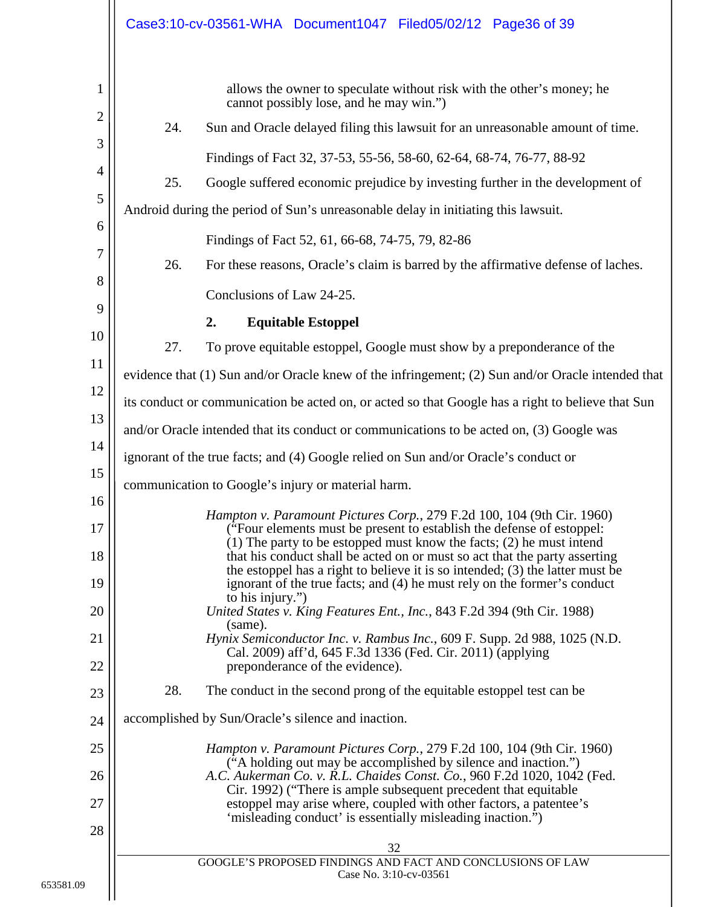<span id="page-35-0"></span>

|                                                                                                                                     |                                       | Case3:10-cv-03561-WHA Document1047 Filed05/02/12 Page36 of 39                                                                                                                                                                                                                                                                                                                                                                                                                                                                                                                                                                                                                                                                                                                                                                                                                                                                                                                                                                                                                                                                                                                                                                                                                                                                                                                                                                                                                                                                                                                                                                                                                                                                                                                                                                                                                                                                                                                                                                                                                     |
|-------------------------------------------------------------------------------------------------------------------------------------|---------------------------------------|-----------------------------------------------------------------------------------------------------------------------------------------------------------------------------------------------------------------------------------------------------------------------------------------------------------------------------------------------------------------------------------------------------------------------------------------------------------------------------------------------------------------------------------------------------------------------------------------------------------------------------------------------------------------------------------------------------------------------------------------------------------------------------------------------------------------------------------------------------------------------------------------------------------------------------------------------------------------------------------------------------------------------------------------------------------------------------------------------------------------------------------------------------------------------------------------------------------------------------------------------------------------------------------------------------------------------------------------------------------------------------------------------------------------------------------------------------------------------------------------------------------------------------------------------------------------------------------------------------------------------------------------------------------------------------------------------------------------------------------------------------------------------------------------------------------------------------------------------------------------------------------------------------------------------------------------------------------------------------------------------------------------------------------------------------------------------------------|
| 1<br>2<br>3<br>4<br>5<br>6<br>7<br>8<br>9<br>10<br>11<br>12<br>13<br>14<br>15<br>16<br>17<br>18<br>19<br>20<br>21<br>22<br>23<br>24 | 24.<br>25.<br>26.<br>2.<br>27.<br>28. | allows the owner to speculate without risk with the other's money; he<br>cannot possibly lose, and he may win.")<br>Sun and Oracle delayed filing this lawsuit for an unreasonable amount of time.<br>Findings of Fact 32, 37-53, 55-56, 58-60, 62-64, 68-74, 76-77, 88-92<br>Google suffered economic prejudice by investing further in the development of<br>Android during the period of Sun's unreasonable delay in initiating this lawsuit.<br>Findings of Fact 52, 61, 66-68, 74-75, 79, 82-86<br>For these reasons, Oracle's claim is barred by the affirmative defense of laches.<br>Conclusions of Law 24-25.<br><b>Equitable Estoppel</b><br>To prove equitable estoppel, Google must show by a preponderance of the<br>evidence that (1) Sun and/or Oracle knew of the infringement; (2) Sun and/or Oracle intended that<br>its conduct or communication be acted on, or acted so that Google has a right to believe that Sun<br>and/or Oracle intended that its conduct or communications to be acted on, (3) Google was<br>ignorant of the true facts; and (4) Google relied on Sun and/or Oracle's conduct or<br>communication to Google's injury or material harm.<br>Hampton v. Paramount Pictures Corp., 279 F.2d 100, 104 (9th Cir. 1960)<br>("Four elements must be present to establish the defense of estoppel:<br>$(1)$ The party to be estopped must know the facts; $(2)$ he must intend<br>that his conduct shall be acted on or must so act that the party asserting<br>the estoppel has a right to believe it is so intended; (3) the latter must be<br>ignorant of the true facts; and (4) he must rely on the former's conduct<br>to his injury.")<br>United States v. King Features Ent., Inc., 843 F.2d 394 (9th Cir. 1988)<br>(same).<br>Hynix Semiconductor Inc. v. Rambus Inc., 609 F. Supp. 2d 988, 1025 (N.D.<br>Cal. 2009) aff'd, 645 F.3d 1336 (Fed. Cir. 2011) (applying<br>preponderance of the evidence).<br>The conduct in the second prong of the equitable estoppel test can be<br>accomplished by Sun/Oracle's silence and inaction. |
|                                                                                                                                     |                                       |                                                                                                                                                                                                                                                                                                                                                                                                                                                                                                                                                                                                                                                                                                                                                                                                                                                                                                                                                                                                                                                                                                                                                                                                                                                                                                                                                                                                                                                                                                                                                                                                                                                                                                                                                                                                                                                                                                                                                                                                                                                                                   |
| 25<br>26<br>27<br>28                                                                                                                |                                       | Hampton v. Paramount Pictures Corp., 279 F.2d 100, 104 (9th Cir. 1960)<br>("A holding out may be accomplished by silence and inaction.")<br>A.C. Aukerman Co. v. R.L. Chaides Const. Co., 960 F.2d 1020, 1042 (Fed.<br>Cir. 1992) ("There is ample subsequent precedent that equitable<br>estoppel may arise where, coupled with other factors, a patentee's<br>'misleading conduct' is essentially misleading inaction.")<br>32<br>GOOGLE'S PROPOSED FINDINGS AND FACT AND CONCLUSIONS OF LAW                                                                                                                                                                                                                                                                                                                                                                                                                                                                                                                                                                                                                                                                                                                                                                                                                                                                                                                                                                                                                                                                                                                                                                                                                                                                                                                                                                                                                                                                                                                                                                                    |
|                                                                                                                                     |                                       | Case No. 3:10-cv-03561                                                                                                                                                                                                                                                                                                                                                                                                                                                                                                                                                                                                                                                                                                                                                                                                                                                                                                                                                                                                                                                                                                                                                                                                                                                                                                                                                                                                                                                                                                                                                                                                                                                                                                                                                                                                                                                                                                                                                                                                                                                            |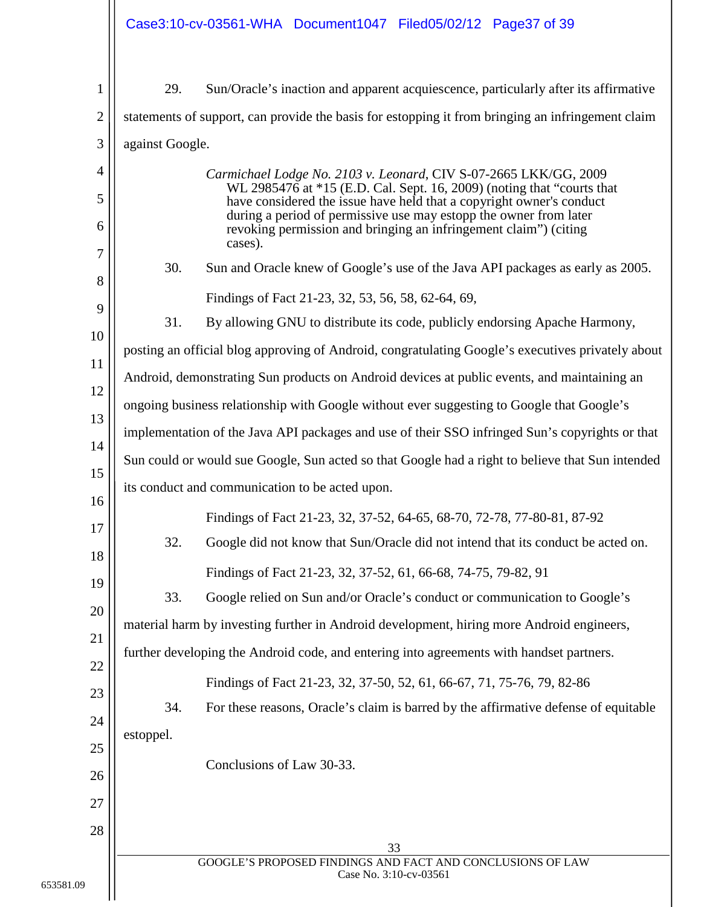|                | Case3:10-cv-03561-WHA Document1047 Filed05/02/12 Page37 of 39                                                                                                                                                       |
|----------------|---------------------------------------------------------------------------------------------------------------------------------------------------------------------------------------------------------------------|
| 1              | 29.<br>Sun/Oracle's inaction and apparent acquiescence, particularly after its affirmative                                                                                                                          |
| $\overline{2}$ | statements of support, can provide the basis for estopping it from bringing an infringement claim                                                                                                                   |
| 3              | against Google.                                                                                                                                                                                                     |
| 4              | Carmichael Lodge No. 2103 v. Leonard, CIV S-07-2665 LKK/GG, 2009                                                                                                                                                    |
| 5              | WL 2985476 at *15 (E.D. Cal. Sept. 16, 2009) (noting that "courts that<br>have considered the issue have held that a copyright owner's conduct<br>during a period of permissive use may estopp the owner from later |
| 6<br>7         | revoking permission and bringing an infringement claim") (citing<br>cases).                                                                                                                                         |
| 8              | 30.<br>Sun and Oracle knew of Google's use of the Java API packages as early as 2005.                                                                                                                               |
| 9              | Findings of Fact 21-23, 32, 53, 56, 58, 62-64, 69,                                                                                                                                                                  |
| 10             | 31.<br>By allowing GNU to distribute its code, publicly endorsing Apache Harmony,                                                                                                                                   |
| 11             | posting an official blog approving of Android, congratulating Google's executives privately about                                                                                                                   |
| 12             | Android, demonstrating Sun products on Android devices at public events, and maintaining an                                                                                                                         |
| 13             | ongoing business relationship with Google without ever suggesting to Google that Google's                                                                                                                           |
| 14             | implementation of the Java API packages and use of their SSO infringed Sun's copyrights or that                                                                                                                     |
|                | Sun could or would sue Google, Sun acted so that Google had a right to believe that Sun intended                                                                                                                    |
| 15<br>16       | its conduct and communication to be acted upon.                                                                                                                                                                     |
| 17             | Findings of Fact 21-23, 32, 37-52, 64-65, 68-70, 72-78, 77-80-81, 87-92                                                                                                                                             |
| 18             | 32.<br>Google did not know that Sun/Oracle did not intend that its conduct be acted on.                                                                                                                             |
| 19             | Findings of Fact 21-23, 32, 37-52, 61, 66-68, 74-75, 79-82, 91                                                                                                                                                      |
| 20             | 33.<br>Google relied on Sun and/or Oracle's conduct or communication to Google's                                                                                                                                    |
| 21             | material harm by investing further in Android development, hiring more Android engineers,                                                                                                                           |
| 22             | further developing the Android code, and entering into agreements with handset partners.                                                                                                                            |
| 23             | Findings of Fact 21-23, 32, 37-50, 52, 61, 66-67, 71, 75-76, 79, 82-86                                                                                                                                              |
| 24             | For these reasons, Oracle's claim is barred by the affirmative defense of equitable<br>34.                                                                                                                          |
| 25             | estoppel.                                                                                                                                                                                                           |
|                | Conclusions of Law 30-33.                                                                                                                                                                                           |
| 26             |                                                                                                                                                                                                                     |
| 27             |                                                                                                                                                                                                                     |
| 28             | 33                                                                                                                                                                                                                  |
|                | GOOGLE'S PROPOSED FINDINGS AND FACT AND CONCLUSIONS OF LAW<br>Case No. 3:10-cv-03561                                                                                                                                |
|                |                                                                                                                                                                                                                     |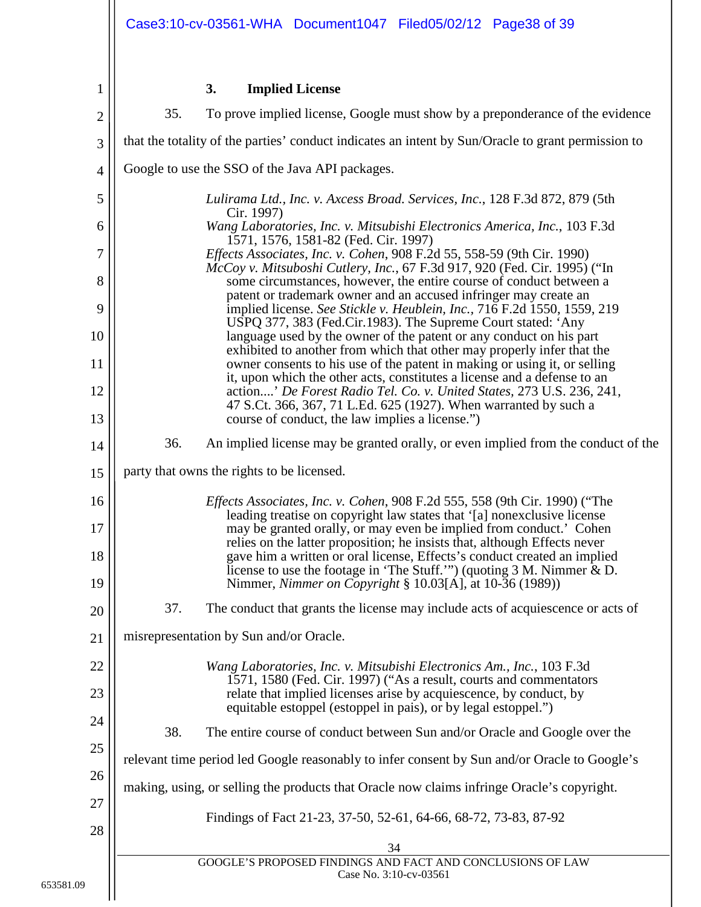<span id="page-37-0"></span>1

## **3. Implied License**

<span id="page-37-3"></span><span id="page-37-2"></span><span id="page-37-1"></span>

| $\mathbf{2}$   | 35.<br>To prove implied license, Google must show by a preponderance of the evidence                                                                                                                                       |  |
|----------------|----------------------------------------------------------------------------------------------------------------------------------------------------------------------------------------------------------------------------|--|
| 3              | that the totality of the parties' conduct indicates an intent by Sun/Oracle to grant permission to                                                                                                                         |  |
| $\overline{4}$ | Google to use the SSO of the Java API packages.                                                                                                                                                                            |  |
| 5              | Lulirama Ltd., Inc. v. Axcess Broad. Services, Inc., 128 F.3d 872, 879 (5th<br>Cir. 1997)                                                                                                                                  |  |
| 6              | Wang Laboratories, Inc. v. Mitsubishi Electronics America, Inc., 103 F.3d<br>1571, 1576, 1581-82 (Fed. Cir. 1997)                                                                                                          |  |
| 7              | <i>Effects Associates, Inc. v. Cohen, 908 F.2d 55, 558-59 (9th Cir. 1990)</i><br>McCoy v. Mitsuboshi Cutlery, Inc., 67 F.3d 917, 920 (Fed. Cir. 1995) ("In                                                                 |  |
| 8              | some circumstances, however, the entire course of conduct between a<br>patent or trademark owner and an accused infringer may create an                                                                                    |  |
| 9              | implied license. See Stickle v. Heublein, Inc., 716 F.2d 1550, 1559, 219<br>USPQ 377, 383 (Fed.Cir.1983). The Supreme Court stated: 'Any                                                                                   |  |
| 10<br>11       | language used by the owner of the patent or any conduct on his part<br>exhibited to another from which that other may properly infer that the<br>owner consents to his use of the patent in making or using it, or selling |  |
| 12             | it, upon which the other acts, constitutes a license and a defense to an<br>action' De Forest Radio Tel. Co. v. United States, 273 U.S. 236, 241,                                                                          |  |
| 13             | 47 S.Ct. 366, 367, 71 L.Ed. 625 (1927). When warranted by such a<br>course of conduct, the law implies a license.")                                                                                                        |  |
| 14             | 36.<br>An implied license may be granted orally, or even implied from the conduct of the                                                                                                                                   |  |
| 15             | party that owns the rights to be licensed.                                                                                                                                                                                 |  |
| 16             | <i>Effects Associates, Inc. v. Cohen, 908 F.2d 555, 558 (9th Cir. 1990) ("The</i>                                                                                                                                          |  |
| 17             | leading treatise on copyright law states that '[a] nonexclusive license<br>may be granted orally, or may even be implied from conduct.' Cohen<br>relies on the latter proposition; he insists that, although Effects never |  |
| 18             | gave him a written or oral license, Effects's conduct created an implied<br>license to use the footage in 'The Stuff.'") (quoting $3 M$ . Nimmer $\& D$ .                                                                  |  |
| 19             | Nimmer, Nimmer on Copyright § 10.03[A], at 10-36 (1989))                                                                                                                                                                   |  |
| 20             | The conduct that grants the license may include acts of acquiescence or acts of<br>37.                                                                                                                                     |  |
| 21             | misrepresentation by Sun and/or Oracle.                                                                                                                                                                                    |  |
| 22             | Wang Laboratories, Inc. v. Mitsubishi Electronics Am., Inc., 103 F.3d<br>1571, 1580 (Fed. Cir. 1997) ("As a result, courts and commentators                                                                                |  |
| 23             | relate that implied licenses arise by acquiescence, by conduct, by<br>equitable estoppel (estoppel in pais), or by legal estoppel.")                                                                                       |  |
| 24             | 38.<br>The entire course of conduct between Sun and/or Oracle and Google over the                                                                                                                                          |  |
| 25             | relevant time period led Google reasonably to infer consent by Sun and/or Oracle to Google's                                                                                                                               |  |
| 26             | making, using, or selling the products that Oracle now claims infringe Oracle's copyright.                                                                                                                                 |  |
| 27             | Findings of Fact 21-23, 37-50, 52-61, 64-66, 68-72, 73-83, 87-92                                                                                                                                                           |  |
| 28             | 34                                                                                                                                                                                                                         |  |
|                | GOOGLE'S PROPOSED FINDINGS AND FACT AND CONCLUSIONS OF LAW<br>Case No. 3:10-cv-03561                                                                                                                                       |  |
|                |                                                                                                                                                                                                                            |  |